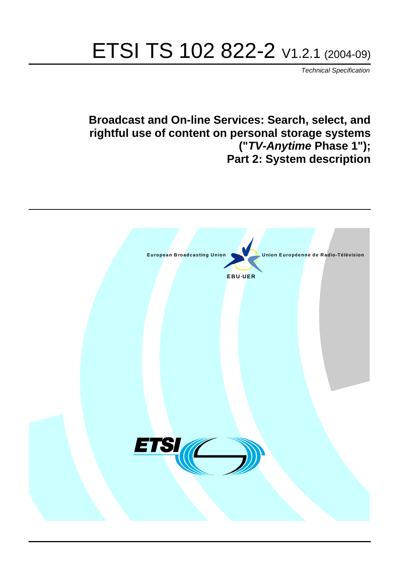# ETSI TS 102 822-2 V1.2.1 (2004-09)

Technical Specification

# **Broadcast and On-line Services: Search, select, and rightful use of content on personal storage systems ("TV-Anytime Phase 1"); Part 2: System description**

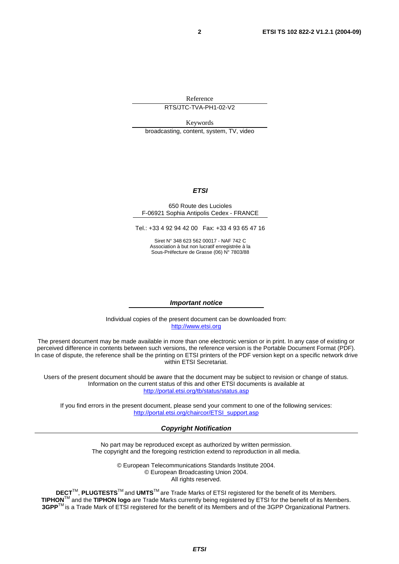Reference

RTS/JTC-TVA-PH1-02-V2

Keywords

broadcasting, content, system, TV, video

#### **ETSI**

#### 650 Route des Lucioles F-06921 Sophia Antipolis Cedex - FRANCE

Tel.: +33 4 92 94 42 00 Fax: +33 4 93 65 47 16

Siret N° 348 623 562 00017 - NAF 742 C Association à but non lucratif enregistrée à la Sous-Préfecture de Grasse (06) N° 7803/88

#### **Important notice**

Individual copies of the present document can be downloaded from: [http://www.etsi.org](http://www.etsi.org/)

The present document may be made available in more than one electronic version or in print. In any case of existing or perceived difference in contents between such versions, the reference version is the Portable Document Format (PDF). In case of dispute, the reference shall be the printing on ETSI printers of the PDF version kept on a specific network drive within ETSI Secretariat.

Users of the present document should be aware that the document may be subject to revision or change of status. Information on the current status of this and other ETSI documents is available at <http://portal.etsi.org/tb/status/status.asp>

If you find errors in the present document, please send your comment to one of the following services: [http://portal.etsi.org/chaircor/ETSI\\_support.asp](http://portal.etsi.org/chaircor/ETSI_support.asp)

#### **Copyright Notification**

No part may be reproduced except as authorized by written permission. The copyright and the foregoing restriction extend to reproduction in all media.

> © European Telecommunications Standards Institute 2004. © European Broadcasting Union 2004. All rights reserved.

**DECT**TM, **PLUGTESTS**TM and **UMTS**TM are Trade Marks of ETSI registered for the benefit of its Members. **TIPHON**TM and the **TIPHON logo** are Trade Marks currently being registered by ETSI for the benefit of its Members. **3GPP**TM is a Trade Mark of ETSI registered for the benefit of its Members and of the 3GPP Organizational Partners.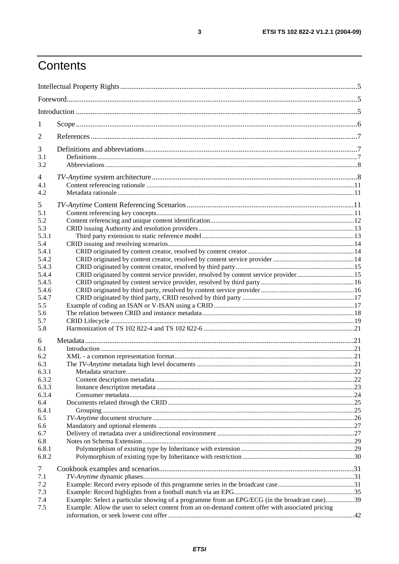# Contents

| 1            |                                                                                                   |  |
|--------------|---------------------------------------------------------------------------------------------------|--|
| 2            |                                                                                                   |  |
| 3            |                                                                                                   |  |
| 3.1          |                                                                                                   |  |
| 3.2          |                                                                                                   |  |
| 4            |                                                                                                   |  |
| 4.1          |                                                                                                   |  |
| 4.2          |                                                                                                   |  |
| 5            |                                                                                                   |  |
| 5.1          |                                                                                                   |  |
| 5.2          |                                                                                                   |  |
| 5.3          |                                                                                                   |  |
| 5.3.1        |                                                                                                   |  |
| 5.4          |                                                                                                   |  |
| 5.4.1        |                                                                                                   |  |
| 5.4.2        |                                                                                                   |  |
| 5.4.3        |                                                                                                   |  |
| 5.4.4        | CRID originated by content service provider, resolved by content service provider15               |  |
| 5.4.5        |                                                                                                   |  |
| 5.4.6        |                                                                                                   |  |
| 5.4.7        |                                                                                                   |  |
| 5.5          |                                                                                                   |  |
| 5.6          |                                                                                                   |  |
| 5.7<br>5.8   |                                                                                                   |  |
|              |                                                                                                   |  |
| 6            |                                                                                                   |  |
| 6.1          |                                                                                                   |  |
| 6.2          |                                                                                                   |  |
| 6.3          |                                                                                                   |  |
| 6.3.1        |                                                                                                   |  |
| 6.3.2        |                                                                                                   |  |
| 6.3.3        |                                                                                                   |  |
| 6.3.4        |                                                                                                   |  |
| 6.4<br>6.4.1 |                                                                                                   |  |
| 6.5          |                                                                                                   |  |
| 6.6          |                                                                                                   |  |
| 6.7          |                                                                                                   |  |
| 6.8          |                                                                                                   |  |
| 6.8.1        |                                                                                                   |  |
| 6.8.2        |                                                                                                   |  |
|              |                                                                                                   |  |
| $\tau$       |                                                                                                   |  |
| 7.1          |                                                                                                   |  |
| 7.2          |                                                                                                   |  |
| 7.3<br>7.4   | Example: Select a particular showing of a programme from an EPG/ECG (in the broadcast case)39     |  |
| 7.5          | Example: Allow the user to select content from an on-demand content offer with associated pricing |  |
|              |                                                                                                   |  |
|              |                                                                                                   |  |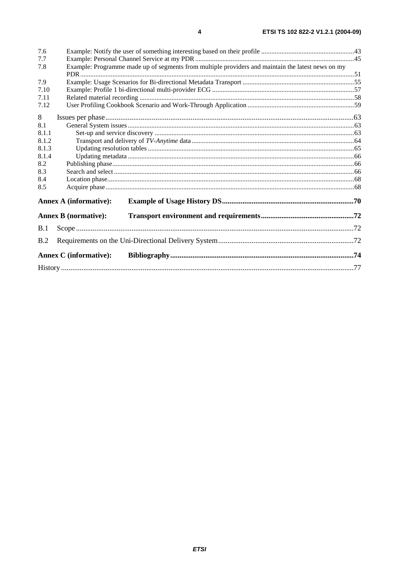| 7.6   |                                                                                                   |  |
|-------|---------------------------------------------------------------------------------------------------|--|
| 7.7   |                                                                                                   |  |
| 7.8   | Example: Programme made up of segments from multiple providers and maintain the latest news on my |  |
|       |                                                                                                   |  |
| 7.9   |                                                                                                   |  |
| 7.10  |                                                                                                   |  |
| 7.11  |                                                                                                   |  |
| 7.12  |                                                                                                   |  |
| 8     |                                                                                                   |  |
| 8.1   |                                                                                                   |  |
| 8.1.1 |                                                                                                   |  |
| 8.1.2 |                                                                                                   |  |
| 8.1.3 |                                                                                                   |  |
| 8.1.4 |                                                                                                   |  |
| 8.2   |                                                                                                   |  |
| 8.3   |                                                                                                   |  |
| 8.4   |                                                                                                   |  |
| 8.5   |                                                                                                   |  |
|       | <b>Annex A (informative):</b>                                                                     |  |
|       |                                                                                                   |  |
|       | <b>Annex B</b> (normative):                                                                       |  |
| B.1   |                                                                                                   |  |
| B.2   |                                                                                                   |  |
|       | Annex C (informative):                                                                            |  |
|       |                                                                                                   |  |
|       |                                                                                                   |  |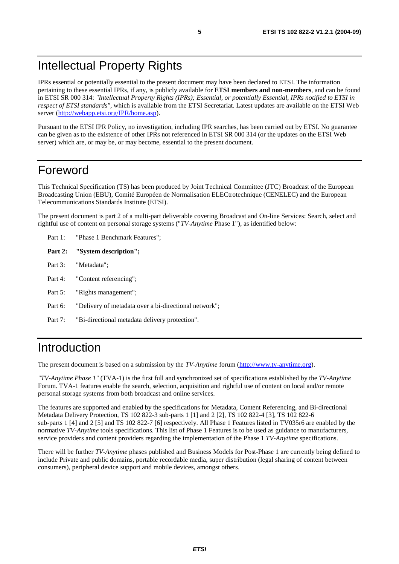# Intellectual Property Rights

IPRs essential or potentially essential to the present document may have been declared to ETSI. The information pertaining to these essential IPRs, if any, is publicly available for **ETSI members and non-members**, and can be found in ETSI SR 000 314: *"Intellectual Property Rights (IPRs); Essential, or potentially Essential, IPRs notified to ETSI in respect of ETSI standards"*, which is available from the ETSI Secretariat. Latest updates are available on the ETSI Web server (<http://webapp.etsi.org/IPR/home.asp>).

Pursuant to the ETSI IPR Policy, no investigation, including IPR searches, has been carried out by ETSI. No guarantee can be given as to the existence of other IPRs not referenced in ETSI SR 000 314 (or the updates on the ETSI Web server) which are, or may be, or may become, essential to the present document.

# Foreword

This Technical Specification (TS) has been produced by Joint Technical Committee (JTC) Broadcast of the European Broadcasting Union (EBU), Comité Européen de Normalisation ELECtrotechnique (CENELEC) and the European Telecommunications Standards Institute (ETSI).

The present document is part 2 of a multi-part deliverable covering Broadcast and On-line Services: Search, select and rightful use of content on personal storage systems ("*TV-Anytime* Phase 1"), as identified below:

- Part 1: "Phase 1 Benchmark Features";
- **Part 2: "System description";**
- Part 3: "Metadata";
- Part 4: "Content referencing":
- Part 5: "Rights management":
- Part 6: "Delivery of metadata over a bi-directional network";
- Part 7: "Bi-directional metadata delivery protection".

# Introduction

The present document is based on a submission by the *TV-Anytime* forum ([http://www.tv-anytime.org](http://www.tv-anytime.org/)).

*"TV-Anytime Phase 1"* (TVA-1) is the first full and synchronized set of specifications established by the *TV-Anytime* Forum. TVA-1 features enable the search, selection, acquisition and rightful use of content on local and/or remote personal storage systems from both broadcast and online services.

The features are supported and enabled by the specifications for Metadata, Content Referencing, and Bi-directional Metadata Delivery Protection, TS 102 822-3 sub-parts 1 [1] and 2 [2], TS 102 822-4 [3], TS 102 822-6 sub-parts 1 [4] and 2 [5] and TS 102 822-7 [6] respectively. All Phase 1 Features listed in TV035r6 are enabled by the normative *TV-Anytime* tools specifications. This list of Phase 1 Features is to be used as guidance to manufacturers, service providers and content providers regarding the implementation of the Phase 1 *TV-Anytime* specifications.

There will be further *TV-Anytime* phases published and Business Models for Post-Phase 1 are currently being defined to include Private and public domains, portable recordable media, super distribution (legal sharing of content between consumers), peripheral device support and mobile devices, amongst others.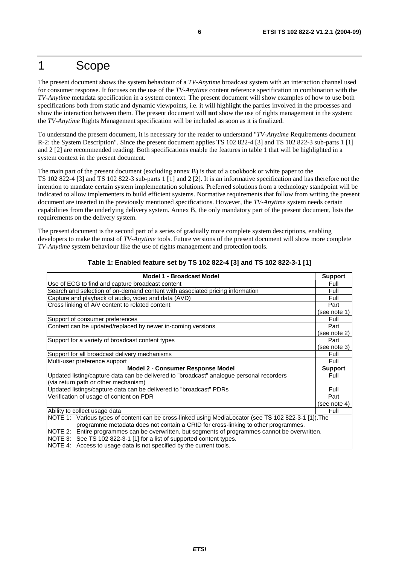# 1 Scope

The present document shows the system behaviour of a *TV-Anytime* broadcast system with an interaction channel used for consumer response. It focuses on the use of the *TV-Anytime* content reference specification in combination with the *TV-Anytime* metadata specification in a system context. The present document will show examples of how to use both specifications both from static and dynamic viewpoints, i.e. it will highlight the parties involved in the processes and show the interaction between them. The present document will **not** show the use of rights management in the system: the *TV-Anytime* Rights Management specification will be included as soon as it is finalized.

To understand the present document, it is necessary for the reader to understand "*TV-Anytime* Requirements document R-2: the System Description". Since the present document applies TS 102 822-4 [3] and TS 102 822-3 sub-parts 1 [1] and 2 [2] are recommended reading. Both specifications enable the features in table 1 that will be highlighted in a system context in the present document.

The main part of the present document (excluding annex B) is that of a cookbook or white paper to the TS 102 822-4 [3] and TS 102 822-3 sub-parts 1 [1] and 2 [2]. It is an informative specification and has therefore not the intention to mandate certain system implementation solutions. Preferred solutions from a technology standpoint will be indicated to allow implementers to build efficient systems. Normative requirements that follow from writing the present document are inserted in the previously mentioned specifications. However, the *TV-Anytime* system needs certain capabilities from the underlying delivery system. Annex B, the only mandatory part of the present document, lists the requirements on the delivery system.

The present document is the second part of a series of gradually more complete system descriptions, enabling developers to make the most of *TV-Anytime* tools. Future versions of the present document will show more complete *TV-Anytime* system behaviour like the use of rights management and protection tools.

| <b>Model 1 - Broadcast Model</b>                                                                      | <b>Support</b> |
|-------------------------------------------------------------------------------------------------------|----------------|
| Use of ECG to find and capture broadcast content                                                      | Full           |
| Search and selection of on-demand content with associated pricing information                         | Full           |
| Capture and playback of audio, video and data (AVD)                                                   | Full           |
| Cross linking of A/V content to related content                                                       | Part           |
|                                                                                                       | (see note 1)   |
| Support of consumer preferences                                                                       | Full           |
| Content can be updated/replaced by newer in-coming versions                                           | Part           |
|                                                                                                       | (see note 2)   |
| Support for a variety of broadcast content types                                                      | Part           |
|                                                                                                       | (see note 3)   |
| Support for all broadcast delivery mechanisms                                                         | Full           |
| Multi-user preference support                                                                         | Full           |
| <b>Model 2 - Consumer Response Model</b>                                                              | <b>Support</b> |
| Updated listing/capture data can be delivered to "broadcast" analogue personal recorders              | Full           |
| (via return path or other mechanism)                                                                  |                |
| Updated listings/capture data can be delivered to "broadcast" PDRs                                    | Full           |
| Verification of usage of content on PDR                                                               | Part           |
|                                                                                                       | (see note 4)   |
| Ability to collect usage data                                                                         | Full           |
| NOTE 1: Various types of content can be cross-linked using MediaLocator (see TS 102 822-3-1 [1]). The |                |
| programme metadata does not contain a CRID for cross-linking to other programmes.                     |                |
| NOTE 2: Entire programmes can be overwritten, but segments of programmes cannot be overwritten.       |                |
| NOTE 3: See TS 102 822-3-1 [1] for a list of supported content types.                                 |                |
| $M$ OTE $\Lambda$ . Access to use a details not specified by the current tools                        |                |

#### **Table 1: Enabled feature set by TS 102 822-4 [3] and TS 102 822-3-1 [1]**

Access to usage data is not specified by the current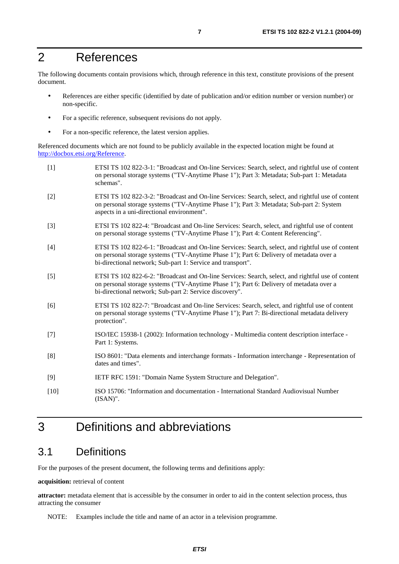# 2 References

The following documents contain provisions which, through reference in this text, constitute provisions of the present document.

- References are either specific (identified by date of publication and/or edition number or version number) or non-specific.
- For a specific reference, subsequent revisions do not apply.
- For a non-specific reference, the latest version applies.

Referenced documents which are not found to be publicly available in the expected location might be found at [http://docbox.etsi.org/Reference.](http://docbox.etsi.org/Reference)

| $[1]$  | ETSI TS 102 822-3-1: "Broadcast and On-line Services: Search, select, and rightful use of content<br>on personal storage systems ("TV-Anytime Phase 1"); Part 3: Metadata; Sub-part 1: Metadata<br>schemas".                                                |
|--------|-------------------------------------------------------------------------------------------------------------------------------------------------------------------------------------------------------------------------------------------------------------|
| $[2]$  | ETSI TS 102 822-3-2: "Broadcast and On-line Services: Search, select, and rightful use of content<br>on personal storage systems ("TV-Anytime Phase 1"); Part 3: Metadata; Sub-part 2: System<br>aspects in a uni-directional environment".                 |
| $[3]$  | ETSI TS 102 822-4: "Broadcast and On-line Services: Search, select, and rightful use of content<br>on personal storage systems ("TV-Anytime Phase 1"); Part 4: Content Referencing".                                                                        |
| $[4]$  | ETSI TS 102 822-6-1: "Broadcast and On-line Services: Search, select, and rightful use of content<br>on personal storage systems ("TV-Anytime Phase 1"); Part 6: Delivery of metadata over a<br>bi-directional network; Sub-part 1: Service and transport". |
| $[5]$  | ETSI TS 102 822-6-2: "Broadcast and On-line Services: Search, select, and rightful use of content<br>on personal storage systems ("TV-Anytime Phase 1"); Part 6: Delivery of metadata over a<br>bi-directional network; Sub-part 2: Service discovery".     |
| [6]    | ETSI TS 102 822-7: "Broadcast and On-line Services: Search, select, and rightful use of content<br>on personal storage systems ("TV-Anytime Phase 1"); Part 7: Bi-directional metadata delivery<br>protection".                                             |
| $[7]$  | ISO/IEC 15938-1 (2002): Information technology - Multimedia content description interface -<br>Part 1: Systems.                                                                                                                                             |
| [8]    | ISO 8601: "Data elements and interchange formats - Information interchange - Representation of<br>dates and times".                                                                                                                                         |
| [9]    | IETF RFC 1591: "Domain Name System Structure and Delegation".                                                                                                                                                                                               |
| $[10]$ | ISO 15706: "Information and documentation - International Standard Audiovisual Number<br>$(ISAN)$ ".                                                                                                                                                        |
|        |                                                                                                                                                                                                                                                             |

# 3 Definitions and abbreviations

### 3.1 Definitions

For the purposes of the present document, the following terms and definitions apply:

#### **acquisition:** retrieval of content

**attractor:** metadata element that is accessible by the consumer in order to aid in the content selection process, thus attracting the consumer

NOTE: Examples include the title and name of an actor in a television programme.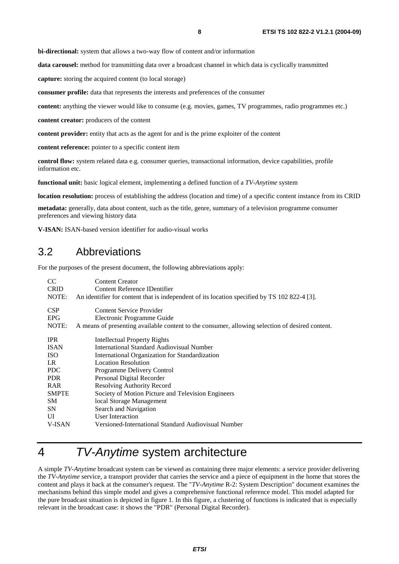**bi-directional:** system that allows a two-way flow of content and/or information

**data carousel:** method for transmitting data over a broadcast channel in which data is cyclically transmitted

**capture:** storing the acquired content (to local storage)

**consumer profile:** data that represents the interests and preferences of the consumer

**content:** anything the viewer would like to consume (e.g. movies, games, TV programmes, radio programmes etc.)

**content creator:** producers of the content

**content provider:** entity that acts as the agent for and is the prime exploiter of the content

**content reference:** pointer to a specific content item

**control flow:** system related data e.g. consumer queries, transactional information, device capabilities, profile information etc.

**functional unit:** basic logical element, implementing a defined function of a *TV-Anytime* system

**location resolution:** process of establishing the address (location and time) of a specific content instance from its CRID

**metadata:** generally, data about content, such as the title, genre, summary of a television programme consumer preferences and viewing history data

**V-ISAN:** ISAN-based version identifier for audio-visual works

### 3.2 Abbreviations

For the purposes of the present document, the following abbreviations apply:

| CC.<br><b>CRID</b><br>NOTE: | <b>Content Creator</b><br>Content Reference IDentifier<br>An identifier for content that is independent of its location specified by TS 102 822-4 [3]. |
|-----------------------------|--------------------------------------------------------------------------------------------------------------------------------------------------------|
| <b>CSP</b>                  | Content Service Provider                                                                                                                               |
| <b>EPG</b>                  | Electronic Programme Guide                                                                                                                             |
| NOTE:                       | A means of presenting available content to the consumer, allowing selection of desired content.                                                        |
| <b>IPR</b>                  | Intellectual Property Rights                                                                                                                           |
| <b>ISAN</b>                 | International Standard Audiovisual Number                                                                                                              |
| <b>ISO</b>                  | International Organization for Standardization                                                                                                         |
| LR.                         | <b>Location Resolution</b>                                                                                                                             |
| <b>PDC</b>                  | Programme Delivery Control                                                                                                                             |
| <b>PDR</b>                  | Personal Digital Recorder                                                                                                                              |
| RAR                         | <b>Resolving Authority Record</b>                                                                                                                      |
| <b>SMPTE</b>                | Society of Motion Picture and Television Engineers                                                                                                     |
| SM                          | local Storage Management                                                                                                                               |
| <b>SN</b>                   | Search and Navigation                                                                                                                                  |
| UI                          | User Interaction                                                                                                                                       |
| V-ISAN                      | Versioned-International Standard Audiovisual Number                                                                                                    |

# 4 TV-Anytime system architecture

A simple *TV-Anytime* broadcast system can be viewed as containing three major elements: a service provider delivering the *TV-Anytime* service, a transport provider that carries the service and a piece of equipment in the home that stores the content and plays it back at the consumer's request. The "*TV-Anytime* R-2: System Description" document examines the mechanisms behind this simple model and gives a comprehensive functional reference model. This model adapted for the pure broadcast situation is depicted in figure 1. In this figure, a clustering of functions is indicated that is especially relevant in the broadcast case: it shows the "PDR" (Personal Digital Recorder).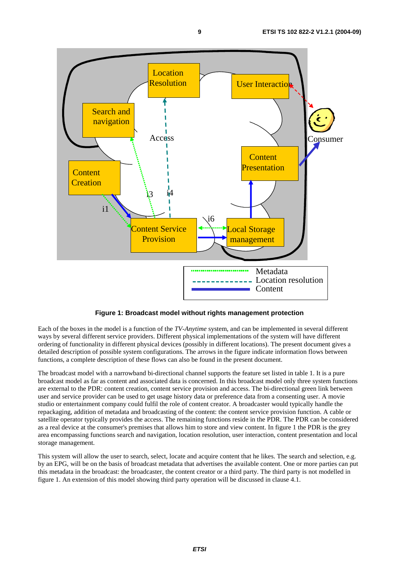

**Figure 1: Broadcast model without rights management protection** 

Each of the boxes in the model is a function of the *TV-Anytime* system, and can be implemented in several different ways by several different service providers. Different physical implementations of the system will have different ordering of functionality in different physical devices (possibly in different locations). The present document gives a detailed description of possible system configurations. The arrows in the figure indicate information flows between functions, a complete description of these flows can also be found in the present document.

The broadcast model with a narrowband bi-directional channel supports the feature set listed in table 1. It is a pure broadcast model as far as content and associated data is concerned. In this broadcast model only three system functions are external to the PDR: content creation, content service provision and access. The bi-directional green link between user and service provider can be used to get usage history data or preference data from a consenting user. A movie studio or entertainment company could fulfil the role of content creator. A broadcaster would typically handle the repackaging, addition of metadata and broadcasting of the content: the content service provision function. A cable or satellite operator typically provides the access. The remaining functions reside in the PDR. The PDR can be considered as a real device at the consumer's premises that allows him to store and view content. In figure 1 the PDR is the grey area encompassing functions search and navigation, location resolution, user interaction, content presentation and local storage management.

This system will allow the user to search, select, locate and acquire content that he likes. The search and selection, e.g. by an EPG, will be on the basis of broadcast metadata that advertises the available content. One or more parties can put this metadata in the broadcast: the broadcaster, the content creator or a third party. The third party is not modelled in figure 1. An extension of this model showing third party operation will be discussed in clause 4.1.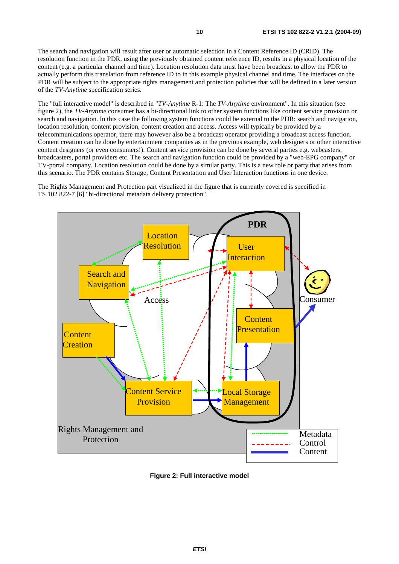The search and navigation will result after user or automatic selection in a Content Reference ID (CRID). The resolution function in the PDR, using the previously obtained content reference ID, results in a physical location of the content (e.g. a particular channel and time). Location resolution data must have been broadcast to allow the PDR to actually perform this translation from reference ID to in this example physical channel and time. The interfaces on the PDR will be subject to the appropriate rights management and protection policies that will be defined in a later version of the *TV-Anytime* specification series.

The "full interactive model" is described in "*TV-Anytime* R-1: The *TV-Anytime* environment". In this situation (see figure 2), the *TV-Anytime* consumer has a bi-directional link to other system functions like content service provision or search and navigation. In this case the following system functions could be external to the PDR: search and navigation, location resolution, content provision, content creation and access. Access will typically be provided by a telecommunications operator, there may however also be a broadcast operator providing a broadcast access function. Content creation can be done by entertainment companies as in the previous example, web designers or other interactive content designers (or even consumers!). Content service provision can be done by several parties e.g. webcasters, broadcasters, portal providers etc. The search and navigation function could be provided by a "web-EPG company" or TV-portal company. Location resolution could be done by a similar party. This is a new role or party that arises from this scenario. The PDR contains Storage, Content Presentation and User Interaction functions in one device.

The Rights Management and Protection part visualized in the figure that is currently covered is specified in TS 102 822-7 [6] "bi-directional metadata delivery protection".



**Figure 2: Full interactive model**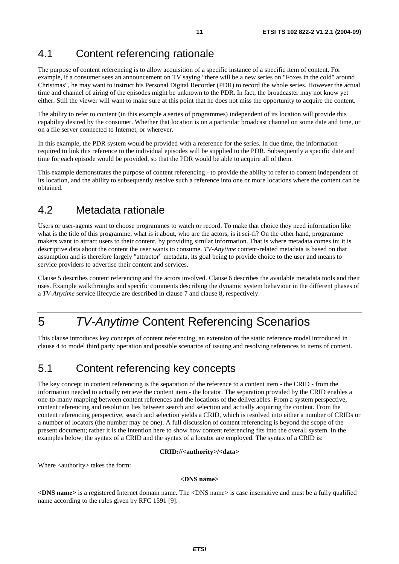# 4.1 Content referencing rationale

The purpose of content referencing is to allow acquisition of a specific instance of a specific item of content. For example, if a consumer sees an announcement on TV saying "there will be a new series on "Foxes in the cold" around Christmas", he may want to instruct his Personal Digital Recorder (PDR) to record the whole series. However the actual time and channel of airing of the episodes might be unknown to the PDR. In fact, the broadcaster may not know yet either. Still the viewer will want to make sure at this point that he does not miss the opportunity to acquire the content.

The ability to refer to content (in this example a series of programmes) independent of its location will provide this capability desired by the consumer. Whether that location is on a particular broadcast channel on some date and time, or on a file server connected to Internet, or wherever.

In this example, the PDR system would be provided with a reference for the series. In due time, the information required to link this reference to the individual episodes will be supplied to the PDR. Subsequently a specific date and time for each episode would be provided, so that the PDR would be able to acquire all of them.

This example demonstrates the purpose of content referencing - to provide the ability to refer to content independent of its location, and the ability to subsequently resolve such a reference into one or more locations where the content can be obtained.

# 4.2 Metadata rationale

Users or user-agents want to choose programmes to watch or record. To make that choice they need information like what is the title of this programme, what is it about, who are the actors, is it sci-fi? On the other hand, programme makers want to attract users to their content, by providing similar information. That is where metadata comes in: it is descriptive data about the content the user wants to consume. *TV-Anytime* content-related metadata is based on that assumption and is therefore largely "attractor" metadata, its goal being to provide choice to the user and means to service providers to advertise their content and services.

Clause 5 describes content referencing and the actors involved. Clause 6 describes the available metadata tools and their uses. Example walkthroughs and specific comments describing the dynamic system behaviour in the different phases of a *TV-Anytime* service lifecycle are described in clause 7 and clause 8, respectively.

# 5 TV-Anytime Content Referencing Scenarios

This clause introduces key concepts of content referencing, an extension of the static reference model introduced in clause 4 to model third party operation and possible scenarios of issuing and resolving references to items of content.

### 5.1 Content referencing key concepts

The key concept in content referencing is the separation of the reference to a content item - the CRID - from the information needed to actually retrieve the content item - the locator. The separation provided by the CRID enables a one-to-many mapping between content references and the locations of the deliverables. From a system perspective, content referencing and resolution lies between search and selection and actually acquiring the content. From the content referencing perspective, search and selection yields a CRID, which is resolved into either a number of CRIDs or a number of locators (the number may be one). A full discussion of content referencing is beyond the scope of the present document; rather it is the intention here to show how content referencing fits into the overall system. In the examples below, the syntax of a CRID and the syntax of a locator are employed. The syntax of a CRID is:

#### **CRID://<authority>/<data>**

Where <authority> takes the form:

#### **<DNS name>**

**<DNS name>** is a registered Internet domain name. The <DNS name> is case insensitive and must be a fully qualified name according to the rules given by RFC 1591 [9].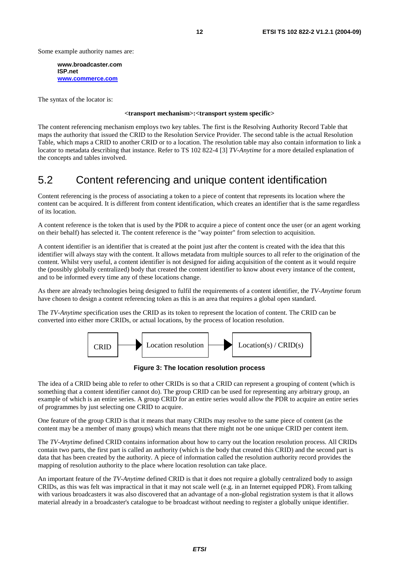Some example authority names are:

**www.broadcaster.com ISP.net [www.commerce.com](http://www.commerce.com/)**

The syntax of the locator is:

#### **<transport mechanism>:<transport system specific>**

The content referencing mechanism employs two key tables. The first is the Resolving Authority Record Table that maps the authority that issued the CRID to the Resolution Service Provider. The second table is the actual Resolution Table, which maps a CRID to another CRID or to a location. The resolution table may also contain information to link a locator to metadata describing that instance. Refer to TS 102 822-4 [3] *TV-Anytime* for a more detailed explanation of the concepts and tables involved.

### 5.2 Content referencing and unique content identification

Content referencing is the process of associating a token to a piece of content that represents its location where the content can be acquired. It is different from content identification, which creates an identifier that is the same regardless of its location.

A content reference is the token that is used by the PDR to acquire a piece of content once the user (or an agent working on their behalf) has selected it. The content reference is the "way pointer" from selection to acquisition.

A content identifier is an identifier that is created at the point just after the content is created with the idea that this identifier will always stay with the content. It allows metadata from multiple sources to all refer to the origination of the content. Whilst very useful, a content identifier is not designed for aiding acquisition of the content as it would require the (possibly globally centralized) body that created the content identifier to know about every instance of the content, and to be informed every time any of these locations change.

As there are already technologies being designed to fulfil the requirements of a content identifier, the *TV-Anytime* forum have chosen to design a content referencing token as this is an area that requires a global open standard.

The *TV-Anytime* specification uses the CRID as its token to represent the location of content. The CRID can be converted into either more CRIDs, or actual locations, by the process of location resolution.



**Figure 3: The location resolution process** 

The idea of a CRID being able to refer to other CRIDs is so that a CRID can represent a grouping of content (which is something that a content identifier cannot do). The group CRID can be used for representing any arbitrary group, an example of which is an entire series. A group CRID for an entire series would allow the PDR to acquire an entire series of programmes by just selecting one CRID to acquire.

One feature of the group CRID is that it means that many CRIDs may resolve to the same piece of content (as the content may be a member of many groups) which means that there might not be one unique CRID per content item.

The *TV-Anytime* defined CRID contains information about how to carry out the location resolution process. All CRIDs contain two parts, the first part is called an authority (which is the body that created this CRID) and the second part is data that has been created by the authority. A piece of information called the resolution authority record provides the mapping of resolution authority to the place where location resolution can take place.

An important feature of the *TV-Anytime* defined CRID is that it does not require a globally centralized body to assign CRIDs, as this was felt was impractical in that it may not scale well (e.g. in an Internet equipped PDR). From talking with various broadcasters it was also discovered that an advantage of a non-global registration system is that it allows material already in a broadcaster's catalogue to be broadcast without needing to register a globally unique identifier.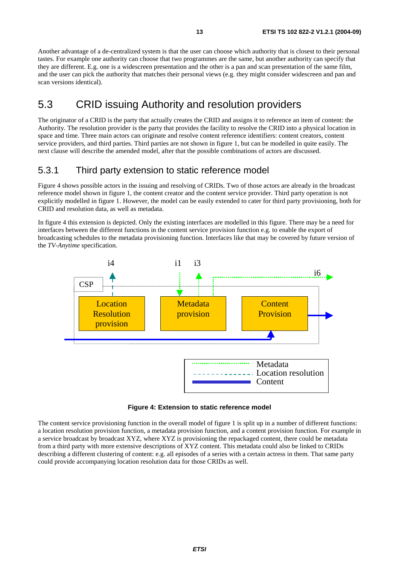Another advantage of a de-centralized system is that the user can choose which authority that is closest to their personal tastes. For example one authority can choose that two programmes are the same, but another authority can specify that they are different. E.g. one is a widescreen presentation and the other is a pan and scan presentation of the same film, and the user can pick the authority that matches their personal views (e.g. they might consider widescreen and pan and scan versions identical).

### 5.3 CRID issuing Authority and resolution providers

The originator of a CRID is the party that actually creates the CRID and assigns it to reference an item of content: the Authority. The resolution provider is the party that provides the facility to resolve the CRID into a physical location in space and time. Three main actors can originate and resolve content reference identifiers: content creators, content service providers, and third parties. Third parties are not shown in figure 1, but can be modelled in quite easily. The next clause will describe the amended model, after that the possible combinations of actors are discussed.

### 5.3.1 Third party extension to static reference model

Figure 4 shows possible actors in the issuing and resolving of CRIDs. Two of those actors are already in the broadcast reference model shown in figure 1, the content creator and the content service provider. Third party operation is not explicitly modelled in figure 1. However, the model can be easily extended to cater for third party provisioning, both for CRID and resolution data, as well as metadata.

In figure 4 this extension is depicted. Only the existing interfaces are modelled in this figure. There may be a need for interfaces between the different functions in the content service provision function e.g. to enable the export of broadcasting schedules to the metadata provisioning function. Interfaces like that may be covered by future version of the *TV-Anytime* specification.



#### **Figure 4: Extension to static reference model**

The content service provisioning function in the overall model of figure 1 is split up in a number of different functions: a location resolution provision function, a metadata provision function, and a content provision function. For example in a service broadcast by broadcast XYZ, where XYZ is provisioning the repackaged content, there could be metadata from a third party with more extensive descriptions of XYZ content. This metadata could also be linked to CRIDs describing a different clustering of content: e.g. all episodes of a series with a certain actress in them. That same party could provide accompanying location resolution data for those CRIDs as well.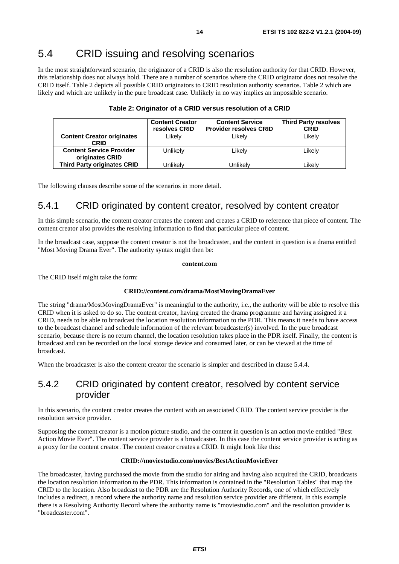# 5.4 CRID issuing and resolving scenarios

In the most straightforward scenario, the originator of a CRID is also the resolution authority for that CRID. However, this relationship does not always hold. There are a number of scenarios where the CRID originator does not resolve the CRID itself. Table 2 depicts all possible CRID originators to CRID resolution authority scenarios. Table 2 which are likely and which are unlikely in the pure broadcast case. Unlikely in no way implies an impossible scenario.

|                                                    | <b>Content Creator</b><br>resolves CRID | <b>Content Service</b><br><b>Provider resolves CRID</b> | <b>Third Party resolves</b><br><b>CRID</b> |
|----------------------------------------------------|-----------------------------------------|---------------------------------------------------------|--------------------------------------------|
| <b>Content Creator originates</b><br><b>CRID</b>   | Likely                                  | Likely                                                  | Likely                                     |
| <b>Content Service Provider</b><br>originates CRID | Unlikely                                | Likely                                                  | Likely                                     |
| <b>Third Party originates CRID</b>                 | Unlikelv                                | Unlikelv                                                | Likelv                                     |

#### **Table 2: Originator of a CRID versus resolution of a CRID**

The following clauses describe some of the scenarios in more detail.

### 5.4.1 CRID originated by content creator, resolved by content creator

In this simple scenario, the content creator creates the content and creates a CRID to reference that piece of content. The content creator also provides the resolving information to find that particular piece of content.

In the broadcast case, suppose the content creator is not the broadcaster, and the content in question is a drama entitled "Most Moving Drama Ever". The authority syntax might then be:

#### **content.com**

The CRID itself might take the form:

#### **CRID://content.com/drama/MostMovingDramaEver**

The string "drama/MostMovingDramaEver" is meaningful to the authority, i.e., the authority will be able to resolve this CRID when it is asked to do so. The content creator, having created the drama programme and having assigned it a CRID, needs to be able to broadcast the location resolution information to the PDR. This means it needs to have access to the broadcast channel and schedule information of the relevant broadcaster(s) involved. In the pure broadcast scenario, because there is no return channel, the location resolution takes place in the PDR itself. Finally, the content is broadcast and can be recorded on the local storage device and consumed later, or can be viewed at the time of broadcast.

When the broadcaster is also the content creator the scenario is simpler and described in clause 5.4.4.

### 5.4.2 CRID originated by content creator, resolved by content service provider

In this scenario, the content creator creates the content with an associated CRID. The content service provider is the resolution service provider.

Supposing the content creator is a motion picture studio, and the content in question is an action movie entitled "Best Action Movie Ever". The content service provider is a broadcaster. In this case the content service provider is acting as a proxy for the content creator. The content creator creates a CRID. It might look like this:

#### **CRID://moviestudio.com/movies/BestActionMovieEver**

The broadcaster, having purchased the movie from the studio for airing and having also acquired the CRID, broadcasts the location resolution information to the PDR. This information is contained in the "Resolution Tables" that map the CRID to the location. Also broadcast to the PDR are the Resolution Authority Records, one of which effectively includes a redirect, a record where the authority name and resolution service provider are different. In this example there is a Resolving Authority Record where the authority name is "moviestudio.com" and the resolution provider is "broadcaster.com".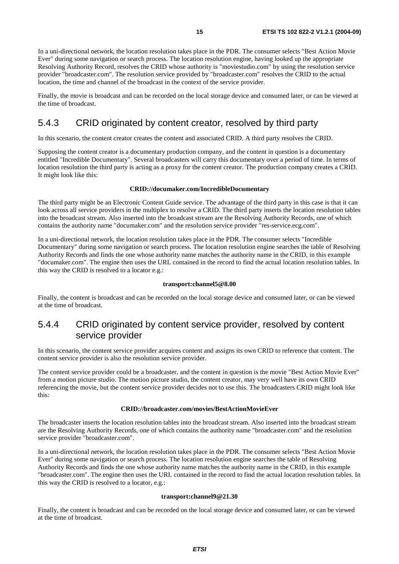In a uni-directional network, the location resolution takes place in the PDR. The consumer selects "Best Action Movie Ever" during some navigation or search process. The location resolution engine, having looked up the appropriate Resolving Authority Record, resolves the CRID whose authority is "moviestudio.com" by using the resolution service provider "broadcaster.com". The resolution service provided by "broadcaster.com" resolves the CRID to the actual location, the time and channel of the broadcast in the context of the service provider.

Finally, the movie is broadcast and can be recorded on the local storage device and consumed later, or can be viewed at the time of broadcast.

### 5.4.3 CRID originated by content creator, resolved by third party

In this scenario, the content creator creates the content and associated CRID. A third party resolves the CRID.

Supposing the content creator is a documentary production company, and the content in question is a documentary entitled "Incredible Documentary". Several broadcasters will carry this documentary over a period of time. In terms of location resolution the third party is acting as a proxy for the content creator. The production company creates a CRID. It might look like this:

#### **CRID://documaker.com/IncredibleDocumentary**

The third party might be an Electronic Content Guide service. The advantage of the third party in this case is that it can look across all service providers in the multiplex to resolve a CRID. The third party inserts the location resolution tables into the broadcast stream. Also inserted into the broadcast stream are the Resolving Authority Records, one of which contains the authority name "documaker.com" and the resolution service provider "res-service.ecg.com".

In a uni-directional network, the location resolution takes place in the PDR. The consumer selects "Incredible Documentary" during some navigation or search process. The location resolution engine searches the table of Resolving Authority Records and finds the one whose authority name matches the authority name in the CRID, in this example "documaker.com". The engine then uses the URL contained in the record to find the actual location resolution tables. In this way the CRID is resolved to a locator e.g.:

#### **transport:channel5@8.00**

Finally, the content is broadcast and can be recorded on the local storage device and consumed later, or can be viewed at the time of broadcast.

### 5.4.4 CRID originated by content service provider, resolved by content service provider

In this scenario, the content service provider acquires content and assigns its own CRID to reference that content. The content service provider is also the resolution service provider.

The content service provider could be a broadcaster, and the content in question is the movie "Best Action Movie Ever" from a motion picture studio. The motion picture studio, the content creator, may very well have its own CRID referencing the movie, but the content service provider decides not to use this. The broadcasters CRID might look like this:

#### **CRID://broadcaster.com/movies/BestActionMovieEver**

The broadcaster inserts the location resolution tables into the broadcast stream. Also inserted into the broadcast stream are the Resolving Authority Records, one of which contains the authority name "broadcaster.com" and the resolution service provider "broadcaster.com".

In a uni-directional network, the location resolution takes place in the PDR. The consumer selects "Best Action Movie Ever" during some navigation or search process. The location resolution engine searches the table of Resolving Authority Records and finds the one whose authority name matches the authority name in the CRID, in this example "broadcaster.com". The engine then uses the URL contained in the record to find the actual location resolution tables. In this way the CRID is resolved to a locator, e.g.:

#### **transport:channel9@21.30**

Finally, the content is broadcast and can be recorded on the local storage device and consumed later, or can be viewed at the time of broadcast.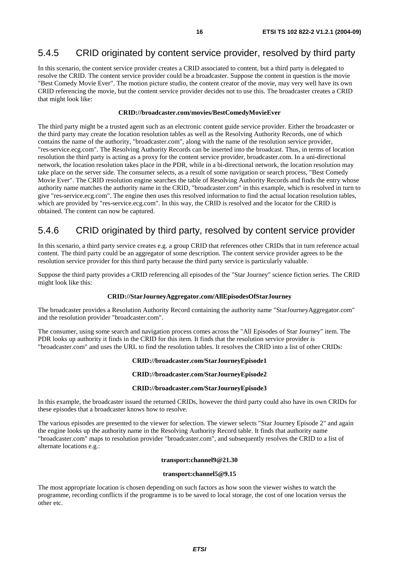### 5.4.5 CRID originated by content service provider, resolved by third party

In this scenario, the content service provider creates a CRID associated to content, but a third party is delegated to resolve the CRID. The content service provider could be a broadcaster. Suppose the content in question is the movie "Best Comedy Movie Ever". The motion picture studio, the content creator of the movie, may very well have its own CRID referencing the movie, but the content service provider decides not to use this. The broadcaster creates a CRID that might look like:

#### **CRID://broadcaster.com/movies/BestComedyMovieEver**

The third party might be a trusted agent such as an electronic content guide service provider. Either the broadcaster or the third party may create the location resolution tables as well as the Resolving Authority Records, one of which contains the name of the authority, "broadcaster.com", along with the name of the resolution service provider, "res-service.ecg.com". The Resolving Authority Records can be inserted into the broadcast. Thus, in terms of location resolution the third party is acting as a proxy for the content service provider, broadcaster.com. In a uni-directional network, the location resolution takes place in the PDR, while in a bi-directional network, the location resolution may take place on the server side. The consumer selects, as a result of some navigation or search process, "Best Comedy Movie Ever". The CRID resolution engine searches the table of Resolving Authority Records and finds the entry whose authority name matches the authority name in the CRID, "broadcaster.com" in this example, which is resolved in turn to give "res-service.ecg.com". The engine then uses this resolved information to find the actual location resolution tables, which are provided by "res-service.ecg.com". In this way, the CRID is resolved and the locator for the CRID is obtained. The content can now be captured.

### 5.4.6 CRID originated by third party, resolved by content service provider

In this scenario, a third party service creates e.g. a group CRID that references other CRIDs that in turn reference actual content. The third party could be an aggregator of some description. The content service provider agrees to be the resolution service provider for this third party because the third party service is particularly valuable.

Suppose the third party provides a CRID referencing all episodes of the "Star Journey" science fiction series. The CRID might look like this:

#### **CRID://StarJourneyAggregator.com/AllEpisodesOfStarJourney**

The broadcaster provides a Resolution Authority Record containing the authority name "StarJourneyAggregator.com" and the resolution provider "broadcaster.com".

The consumer, using some search and navigation process comes across the "All Episodes of Star Journey" item. The PDR looks up authority it finds in the CRID for this item. It finds that the resolution service provider is "broadcaster.com" and uses the URL to find the resolution tables. It resolves the CRID into a list of other CRIDs:

#### **CRID://broadcaster.com/StarJourneyEpisode1**

#### **CRID://broadcaster.com/StarJourneyEpisode2**

#### **CRID://broadcaster.com/StarJourneyEpisode3**

In this example, the broadcaster issued the returned CRIDs, however the third party could also have its own CRIDs for these episodes that a broadcaster knows how to resolve.

The various episodes are presented to the viewer for selection. The viewer selects "Star Journey Episode 2" and again the engine looks up the authority name in the Resolving Authority Record table. It finds that authority name "broadcaster.com" maps to resolution provider "broadcaster.com", and subsequently resolves the CRID to a list of alternate locations e.g.:

#### **transport:channel9@21.30**

#### **transport:channel5@9.15**

The most appropriate location is chosen depending on such factors as how soon the viewer wishes to watch the programme, recording conflicts if the programme is to be saved to local storage, the cost of one location versus the other etc.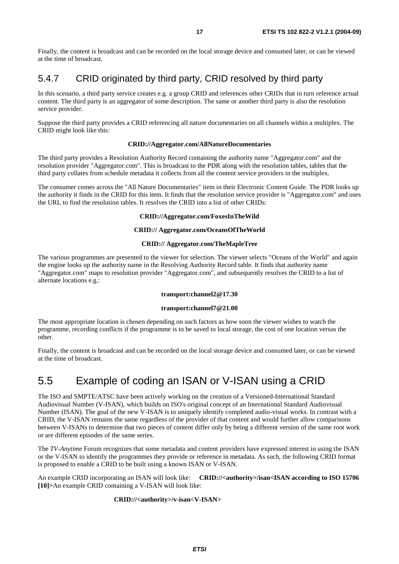Finally, the content is broadcast and can be recorded on the local storage device and consumed later, or can be viewed at the time of broadcast.

### 5.4.7 CRID originated by third party, CRID resolved by third party

In this scenario, a third party service creates e.g. a group CRID and references other CRIDs that in turn reference actual content. The third party is an aggregator of some description. The same or another third party is also the resolution service provider.

Suppose the third party provides a CRID referencing all nature documentaries on all channels within a multiplex. The CRID might look like this:

#### **CRID://Aggregator.com/AllNatureDocumentaries**

The third party provides a Resolution Authority Record containing the authority name "Aggregator.com" and the resolution provider "Aggregator.com". This is broadcast to the PDR along with the resolution tables, tables that the third party collates from schedule metadata it collects from all the content service providers in the multiplex.

The consumer comes across the "All Nature Documentaries" item in their Electronic Content Guide. The PDR looks up the authority it finds in the CRID for this item. It finds that the resolution service provider is "Aggregator.com" and uses the URL to find the resolution tables. It resolves the CRID into a list of other CRIDs:

#### **CRID://Aggregator.com/FoxesInTheWild**

#### **CRID:// Aggregator.com/OceansOfTheWorld**

#### **CRID:// Aggregator.com/TheMapleTree**

The various programmes are presented to the viewer for selection. The viewer selects "Oceans of the World" and again the engine looks up the authority name in the Resolving Authority Record table. It finds that authority name "Aggregator.com" maps to resolution provider "Aggregator.com", and subsequently resolves the CRID to a list of alternate locations e.g.:

#### **transport:channel2@17.30**

#### **transport:channel7@21.00**

The most appropriate location is chosen depending on such factors as how soon the viewer wishes to watch the programme, recording conflicts if the programme is to be saved to local storage, the cost of one location versus the other.

Finally, the content is broadcast and can be recorded on the local storage device and consumed later, or can be viewed at the time of broadcast.

# 5.5 Example of coding an ISAN or V-ISAN using a CRID

The ISO and SMPTE/ATSC have been actively working on the creation of a Versioned-International Standard Audiovisual Number (V-ISAN), which builds on ISO's original concept of an International Standard Audiovisual Number (ISAN). The goal of the new V-ISAN is to uniquely identify completed audio-visual works. In contrast with a CRID, the V-ISAN remains the same regardless of the provider of that content and would further allow comparisons between V-ISANs to determine that two pieces of content differ only by being a different version of the same root work or are different episodes of the same series.

The *TV-Anytime* Forum recognizes that some metadata and content providers have expressed interest in using the ISAN or the V-ISAN to identify the programmes they provide or reference in metadata. As such, the following CRID format is proposed to enable a CRID to be built using a known ISAN or V-ISAN.

An example CRID incorporating an ISAN will look like: **CRID://<authority>/isan<ISAN according to ISO 15706 [10]>**An example CRID containing a V-ISAN will look like:

#### **CRID://<authority>/v-isan<V-ISAN>**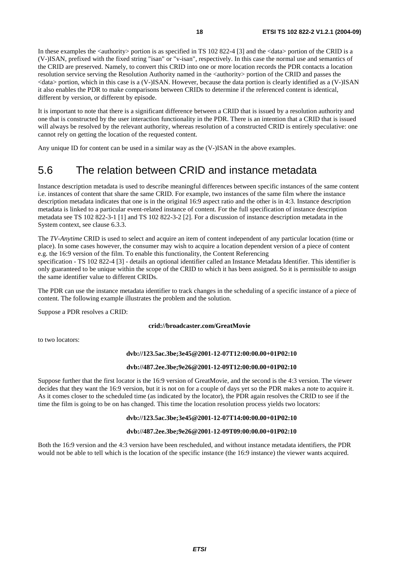In these examples the  $\langle$ authority  $\rangle$  portion is as specified in TS 102 822-4 [3] and the  $\langle$ data  $\rangle$  portion of the CRID is a (V-)ISAN, prefixed with the fixed string "isan" or "v-isan", respectively. In this case the normal use and semantics of the CRID are preserved. Namely, to convert this CRID into one or more location records the PDR contacts a location resolution service serving the Resolution Authority named in the <authority> portion of the CRID and passes the <data> portion, which in this case is a (V-)ISAN. However, because the data portion is clearly identified as a (V-)ISAN it also enables the PDR to make comparisons between CRIDs to determine if the referenced content is identical, different by version, or different by episode.

It is important to note that there is a significant difference between a CRID that is issued by a resolution authority and one that is constructed by the user interaction functionality in the PDR. There is an intention that a CRID that is issued will always be resolved by the relevant authority, whereas resolution of a constructed CRID is entirely speculative: one cannot rely on getting the location of the requested content.

Any unique ID for content can be used in a similar way as the (V-)ISAN in the above examples.

# 5.6 The relation between CRID and instance metadata

Instance description metadata is used to describe meaningful differences between specific instances of the same content i.e. instances of content that share the same CRID. For example, two instances of the same film where the instance description metadata indicates that one is in the original 16:9 aspect ratio and the other is in 4:3. Instance description metadata is linked to a particular event-related instance of content. For the full specification of instance description metadata see TS 102 822-3-1 [1] and TS 102 822-3-2 [2]. For a discussion of instance description metadata in the System context, see clause 6.3.3.

The *TV-Anytime* CRID is used to select and acquire an item of content independent of any particular location (time or place). In some cases however, the consumer may wish to acquire a location dependent version of a piece of content e.g. the 16:9 version of the film. To enable this functionality, the Content Referencing

specification - TS 102 822-4 [3] - details an optional identifier called an Instance Metadata Identifier. This identifier is only guaranteed to be unique within the scope of the CRID to which it has been assigned. So it is permissible to assign the same identifier value to different CRIDs.

The PDR can use the instance metadata identifier to track changes in the scheduling of a specific instance of a piece of content. The following example illustrates the problem and the solution.

Suppose a PDR resolves a CRID:

#### **crid://broadcaster.com/GreatMovie**

to two locators:

#### **dvb://123.5ac.3be;3e45@2001-12-07T12:00:00.00+01P02:10**

#### **dvb://487.2ee.3be;9e26@2001-12-09T12:00:00.00+01P02:10**

Suppose further that the first locator is the 16:9 version of GreatMovie, and the second is the 4:3 version. The viewer decides that they want the 16:9 version, but it is not on for a couple of days yet so the PDR makes a note to acquire it. As it comes closer to the scheduled time (as indicated by the locator), the PDR again resolves the CRID to see if the time the film is going to be on has changed. This time the location resolution process yields two locators:

#### **dvb://123.5ac.3be;3e45@2001-12-07T14:00:00.00+01P02:10**

#### **dvb://487.2ee.3be;9e26@2001-12-09T09:00:00.00+01P02:10**

Both the 16:9 version and the 4:3 version have been rescheduled, and without instance metadata identifiers, the PDR would not be able to tell which is the location of the specific instance (the 16:9 instance) the viewer wants acquired.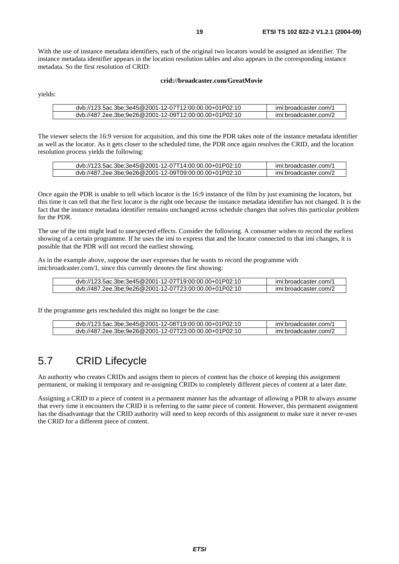With the use of instance metadata identifiers, each of the original two locators would be assigned an identifier. The instance metadata identifier appears in the location resolution tables and also appears in the corresponding instance metadata. So the first resolution of CRID:

#### **crid://broadcaster.com/GreatMovie**

yields:

| dvb://123.5ac.3be:3e45@2001-12-07T12:00:00.00+01P02:10 | imi:broadcaster.com/1 |
|--------------------------------------------------------|-----------------------|
| dvb://487.2ee.3be:9e26@2001-12-09T12:00:00.00+01P02:10 | imi:broadcaster.com/2 |

The viewer selects the 16:9 version for acquisition, and this time the PDR takes note of the instance metadata identifier as well as the locator. As it gets closer to the scheduled time, the PDR once again resolves the CRID, and the location resolution process yields the following:

| dvb://123.5ac.3be:3e45@2001-12-07T14:00:00.00+01P02:10 | imi:broadcaster.com/1 |
|--------------------------------------------------------|-----------------------|
| dvb://487.2ee.3be;9e26@2001-12-09T09:00:00.00+01P02:10 | imi:broadcaster.com/2 |

Once again the PDR is unable to tell which locator is the 16:9 instance of the film by just examining the locators, but this time it can tell that the first locator is the right one because the instance metadata identifier has not changed. It is the fact that the instance metadata identifier remains unchanged across schedule changes that solves this particular problem for the PDR.

The use of the imi might lead to unexpected effects. Consider the following. A consumer wishes to record the earliest showing of a certain programme. If he uses the imi to express that and the locator connected to that imi changes, it is possible that the PDR will not record the earliest showing.

As in the example above, suppose the user expresses that he wants to record the programme with imi:broadcaster.com/1, since this currently denotes the first showing:

| dvb://123.5ac.3be:3e45@2001-12-07T19:00:00.00+01P02:10 | imi:broadcaster.com/1 |
|--------------------------------------------------------|-----------------------|
| dvb://487.2ee.3be;9e26@2001-12-07T23:00:00.00+01P02:10 | imi:broadcaster.com/2 |

If the programme gets rescheduled this might no longer be the case:

| dvb://123.5ac.3be:3e45@2001-12-08T19:00:00.00+01P02:10 | imi:broadcaster.com/1 |
|--------------------------------------------------------|-----------------------|
| dvb://487.2ee.3be:9e26@2001-12-07T23:00:00.00+01P02:10 | imi:broadcaster.com/2 |

### 5.7 CRID Lifecycle

An authority who creates CRIDs and assigns them to pieces of content has the choice of keeping this assignment permanent, or making it temporary and re-assigning CRIDs to completely different pieces of content at a later date.

Assigning a CRID to a piece of content in a permanent manner has the advantage of allowing a PDR to always assume that every time it encounters the CRID it is referring to the same piece of content. However, this permanent assignment has the disadvantage that the CRID authority will need to keep records of this assignment to make sure it never re-uses the CRID for a different piece of content.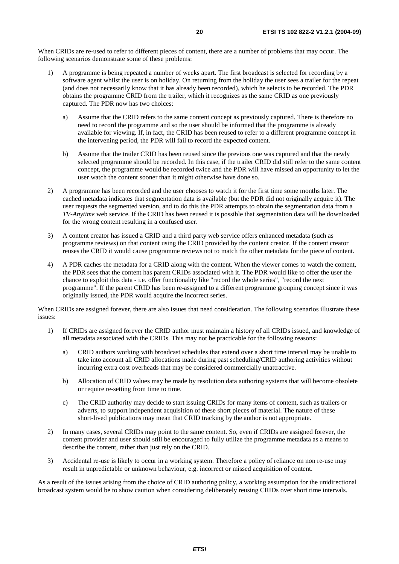When CRIDs are re-used to refer to different pieces of content, there are a number of problems that may occur. The following scenarios demonstrate some of these problems:

- 1) A programme is being repeated a number of weeks apart. The first broadcast is selected for recording by a software agent whilst the user is on holiday. On returning from the holiday the user sees a trailer for the repeat (and does not necessarily know that it has already been recorded), which he selects to be recorded. The PDR obtains the programme CRID from the trailer, which it recognizes as the same CRID as one previously captured. The PDR now has two choices:
	- a) Assume that the CRID refers to the same content concept as previously captured. There is therefore no need to record the programme and so the user should be informed that the programme is already available for viewing. If, in fact, the CRID has been reused to refer to a different programme concept in the intervening period, the PDR will fail to record the expected content.
	- b) Assume that the trailer CRID has been reused since the previous one was captured and that the newly selected programme should be recorded. In this case, if the trailer CRID did still refer to the same content concept, the programme would be recorded twice and the PDR will have missed an opportunity to let the user watch the content sooner than it might otherwise have done so.
- 2) A programme has been recorded and the user chooses to watch it for the first time some months later. The cached metadata indicates that segmentation data is available (but the PDR did not originally acquire it). The user requests the segmented version, and to do this the PDR attempts to obtain the segmentation data from a *TV-Anytime* web service. If the CRID has been reused it is possible that segmentation data will be downloaded for the wrong content resulting in a confused user.
- 3) A content creator has issued a CRID and a third party web service offers enhanced metadata (such as programme reviews) on that content using the CRID provided by the content creator. If the content creator reuses the CRID it would cause programme reviews not to match the other metadata for the piece of content.
- 4) A PDR caches the metadata for a CRID along with the content. When the viewer comes to watch the content, the PDR sees that the content has parent CRIDs associated with it. The PDR would like to offer the user the chance to exploit this data - i.e. offer functionality like "record the whole series", "record the next programme". If the parent CRID has been re-assigned to a different programme grouping concept since it was originally issued, the PDR would acquire the incorrect series.

When CRIDs are assigned forever, there are also issues that need consideration. The following scenarios illustrate these issues:

- 1) If CRIDs are assigned forever the CRID author must maintain a history of all CRIDs issued, and knowledge of all metadata associated with the CRIDs. This may not be practicable for the following reasons:
	- a) CRID authors working with broadcast schedules that extend over a short time interval may be unable to take into account all CRID allocations made during past scheduling/CRID authoring activities without incurring extra cost overheads that may be considered commercially unattractive.
	- b) Allocation of CRID values may be made by resolution data authoring systems that will become obsolete or require re-setting from time to time.
	- c) The CRID authority may decide to start issuing CRIDs for many items of content, such as trailers or adverts, to support independent acquisition of these short pieces of material. The nature of these short-lived publications may mean that CRID tracking by the author is not appropriate.
- 2) In many cases, several CRIDs may point to the same content. So, even if CRIDs are assigned forever, the content provider and user should still be encouraged to fully utilize the programme metadata as a means to describe the content, rather than just rely on the CRID.
- 3) Accidental re-use is likely to occur in a working system. Therefore a policy of reliance on non re-use may result in unpredictable or unknown behaviour, e.g. incorrect or missed acquisition of content.

As a result of the issues arising from the choice of CRID authoring policy, a working assumption for the unidirectional broadcast system would be to show caution when considering deliberately reusing CRIDs over short time intervals.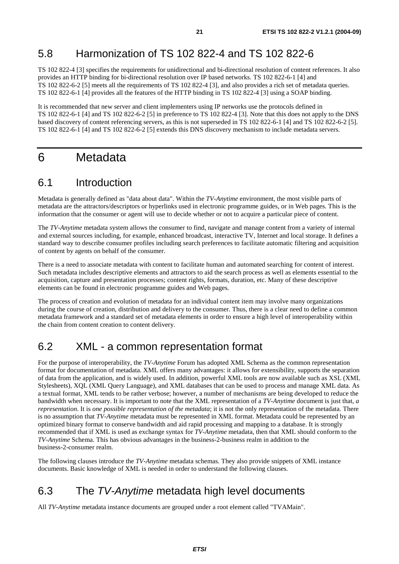### 5.8 Harmonization of TS 102 822-4 and TS 102 822-6

TS 102 822-4 [3] specifies the requirements for unidirectional and bi-directional resolution of content references. It also provides an HTTP binding for bi-directional resolution over IP based networks. TS 102 822-6-1 [4] and TS 102 822-6-2 [5] meets all the requirements of TS 102 822-4 [3], and also provides a rich set of metadata queries. TS 102 822-6-1 [4] provides all the features of the HTTP binding in TS 102 822-4 [3] using a SOAP binding.

It is recommended that new server and client implementers using IP networks use the protocols defined in TS 102 822-6-1 [4] and TS 102 822-6-2 [5] in preference to TS 102 822-4 [3]. Note that this does not apply to the DNS based discovery of content referencing servers, as this is not superseded in TS 102 822-6-1 [4] and TS 102 822-6-2 [5]. TS 102 822-6-1 [4] and TS 102 822-6-2 [5] extends this DNS discovery mechanism to include metadata servers.

# 6 Metadata

### 6.1 Introduction

Metadata is generally defined as "data about data". Within the *TV-Anytime* environment, the most visible parts of metadata are the attractors/descriptors or hyperlinks used in electronic programme guides, or in Web pages. This is the information that the consumer or agent will use to decide whether or not to acquire a particular piece of content.

The *TV-Anytime* metadata system allows the consumer to find, navigate and manage content from a variety of internal and external sources including, for example, enhanced broadcast, interactive TV, Internet and local storage. It defines a standard way to describe consumer profiles including search preferences to facilitate automatic filtering and acquisition of content by agents on behalf of the consumer.

There is a need to associate metadata with content to facilitate human and automated searching for content of interest. Such metadata includes descriptive elements and attractors to aid the search process as well as elements essential to the acquisition, capture and presentation processes; content rights, formats, duration, etc. Many of these descriptive elements can be found in electronic programme guides and Web pages.

The process of creation and evolution of metadata for an individual content item may involve many organizations during the course of creation, distribution and delivery to the consumer. Thus, there is a clear need to define a common metadata framework and a standard set of metadata elements in order to ensure a high level of interoperability within the chain from content creation to content delivery.

### 6.2 XML - a common representation format

For the purpose of interoperability, the *TV-Anytime* Forum has adopted XML Schema as the common representation format for documentation of metadata. XML offers many advantages: it allows for extensibility, supports the separation of data from the application, and is widely used. In addition, powerful XML tools are now available such as XSL (XML Stylesheets), XQL (XML Query Language), and XML databases that can be used to process and manage XML data. As a textual format, XML tends to be rather verbose; however, a number of mechanisms are being developed to reduce the bandwidth when necessary. It is important to note that the XML representation of a *TV-Anytime* document is just that, *a representation*. It is *one possible representation of the metadata*; it is not the only representation of the metadata. There is no assumption that *TV-Anytime* metadata must be represented in XML format. Metadata could be represented by an optimized binary format to conserve bandwidth and aid rapid processing and mapping to a database. It is strongly recommended that if XML is used as exchange syntax for *TV-Anytime* metadata, then that XML should conform to the *TV-Anytime* Schema. This has obvious advantages in the business-2-business realm in addition to the business-2-consumer realm.

The following clauses introduce the *TV-Anytime* metadata schemas. They also provide snippets of XML instance documents. Basic knowledge of XML is needed in order to understand the following clauses.

### 6.3 The TV-Anytime metadata high level documents

All *TV-Anytime* metadata instance documents are grouped under a root element called "TVAMain".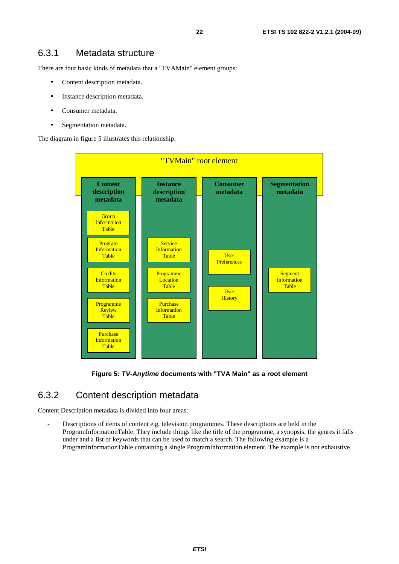There are four basic kinds of metadata that a "TVAMain" element groups:

- Content description metadata.
- Instance description metadata.
- Consumer metadata.
- Segmentation metadata.

The diagram in figure 5 illustrates this relationship.



**Figure 5: TV-Anytime documents with "TVA Main" as a root element** 

### 6.3.2 Content description metadata

Content Description metadata is divided into four areas:

Descriptions of items of content e.g. television programmes. These descriptions are held in the ProgramInformationTable. They include things like the title of the programme, a synopsis, the genres it falls under and a list of keywords that can be used to match a search. The following example is a ProgramInformationTable containing a single ProgramInformation element. The example is not exhaustive.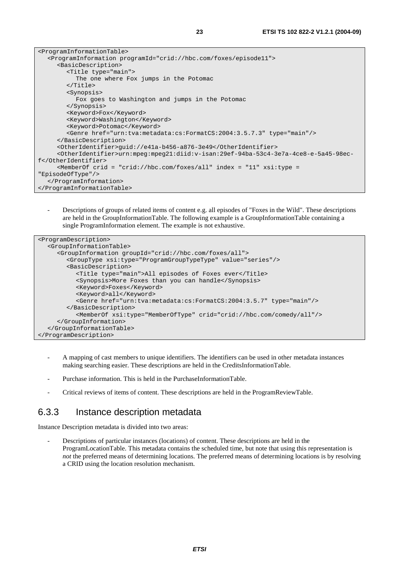| <programinformationtable></programinformationtable>                                                  |
|------------------------------------------------------------------------------------------------------|
| <programinformation programid="crid://hbc.com/foxes/episode11"></programinformation>                 |
| <basicdescription></basicdescription>                                                                |
| <title type="main"></title>                                                                          |
| The one where Fox jumps in the Potomac                                                               |
| $\langle$ Title>                                                                                     |
| <synopsis></synopsis>                                                                                |
| Fox goes to Washington and jumps in the Potomac                                                      |
|                                                                                                      |
| <keyword>Fox</keyword>                                                                               |
| <keyword>Washington</keyword>                                                                        |
| <keyword>Potomac</keyword>                                                                           |
| <genre href="urn:tva:metadata:cs:FormatCS:2004:3.5.7.3" type="main"></genre>                         |
|                                                                                                      |
| <otheridentifier>quid://e41a-b456-a876-3e49</otheridentifier>                                        |
| <otheridentifier>urn:mpeq:mpeq21:diid:v-isan:29ef-94ba-53c4-3e7a-4ce8-e-5a45-98ec-</otheridentifier> |
| f                                                                                                    |
| $\epsilon$ MemberOf crid = "crid://hbc.com/foxes/all" index = "11" xsi:type =                        |
| "EpisodeOfType"/>                                                                                    |
|                                                                                                      |
|                                                                                                      |

- Descriptions of groups of related items of content e.g. all episodes of "Foxes in the Wild". These descriptions are held in the GroupInformationTable. The following example is a GroupInformationTable containing a single ProgramInformation element. The example is not exhaustive.

```
<ProgramDescription> 
   <GroupInformationTable> 
      <GroupInformation groupId="crid://hbc.com/foxes/all"> 
         <GroupType xsi:type="ProgramGroupTypeType" value="series"/> 
         <BasicDescription> 
            <Title type="main">All episodes of Foxes ever</Title> 
            <Synopsis>More Foxes than you can handle</Synopsis> 
            <Keyword>Foxes</Keyword> 
            <Keyword>all</Keyword> 
            <Genre href="urn:tva:metadata:cs:FormatCS:2004:3.5.7" type="main"/> 
         </BasicDescription> 
           <MemberOf xsi:type="MemberOfType" crid="crid://hbc.com/comedy/all"/> 
      </GroupInformation> 
   </GroupInformationTable> 
</ProgramDescription>
```
- A mapping of cast members to unique identifiers. The identifiers can be used in other metadata instances making searching easier. These descriptions are held in the CreditsInformationTable.
- Purchase information. This is held in the PurchaseInformationTable.
- Critical reviews of items of content. These descriptions are held in the ProgramReviewTable.

### 6.3.3 Instance description metadata

Instance Description metadata is divided into two areas:

- Descriptions of particular instances (locations) of content. These descriptions are held in the ProgramLocationTable. This metadata contains the scheduled time, but note that using this representation is *not* the preferred means of determining locations. The preferred means of determining locations is by resolving a CRID using the location resolution mechanism.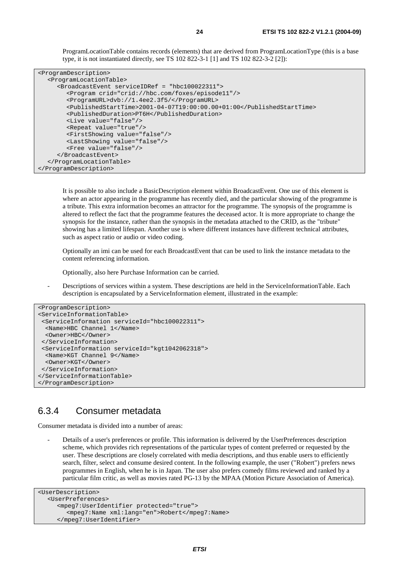ProgramLocationTable contains records (elements) that are derived from ProgramLocationType (this is a base type, it is not instantiated directly, see TS 102 822-3-1 [1] and TS 102 822-3-2 [2]):

| <programdescription></programdescription>                             |
|-----------------------------------------------------------------------|
| <programlocationtable></programlocationtable>                         |
| <broadcastevent serviceidref="hbc100022311"></broadcastevent>         |
| <program crid="crid://hbc.com/foxes/episode11"></program>             |
| <programurl>dvb://1.4ee2.3f5/</programurl>                            |
| <publishedstarttime>2001-04-07T19:00:00.00+01:00</publishedstarttime> |
| <publishedduration>PT6H</publishedduration>                           |
| <live value="false"></live>                                           |
| <repeat value="true"></repeat>                                        |
| <firstshowing value="false"></firstshowing>                           |
| <lastshowing value="false"></lastshowing>                             |
| <free value="false"></free>                                           |
|                                                                       |
|                                                                       |
|                                                                       |

 It is possible to also include a BasicDescription element within BroadcastEvent. One use of this element is where an actor appearing in the programme has recently died, and the particular showing of the programme is a tribute. This extra information becomes an attractor for the programme. The synopsis of the programme is altered to reflect the fact that the programme features the deceased actor. It is more appropriate to change the synopsis for the instance, rather than the synopsis in the metadata attached to the CRID, as the "tribute" showing has a limited lifespan. Another use is where different instances have different technical attributes, such as aspect ratio or audio or video coding.

 Optionally an imi can be used for each BroadcastEvent that can be used to link the instance metadata to the content referencing information.

Optionally, also here Purchase Information can be carried.

Descriptions of services within a system. These descriptions are held in the ServiceInformationTable. Each description is encapsulated by a ServiceInformation element, illustrated in the example:

```
<ProgramDescription> 
<ServiceInformationTable> 
  <ServiceInformation serviceId="hbc100022311"> 
   <Name>HBC Channel 1</Name> 
  <Owner>HBC</Owner> 
  </ServiceInformation> 
  <ServiceInformation serviceId="kgt1042062318"> 
  <Name>KGT Channel 9</Name> 
  <Owner>KGT</Owner> 
 </ServiceInformation> 
</ServiceInformationTable> 
</ProgramDescription>
```
### 6.3.4 Consumer metadata

Consumer metadata is divided into a number of areas:

- Details of a user's preferences or profile. This information is delivered by the UserPreferences description scheme, which provides rich representations of the particular types of content preferred or requested by the user. These descriptions are closely correlated with media descriptions, and thus enable users to efficiently search, filter, select and consume desired content. In the following example, the user ("Robert") prefers news programmes in English, when he is in Japan. The user also prefers comedy films reviewed and ranked by a particular film critic, as well as movies rated PG-13 by the MPAA (Motion Picture Association of America).

```
<UserDescription> 
   <UserPreferences> 
      <mpeg7:UserIdentifier protected="true"> 
         <mpeg7:Name xml:lang="en">Robert</mpeg7:Name> 
      </mpeg7:UserIdentifier>
```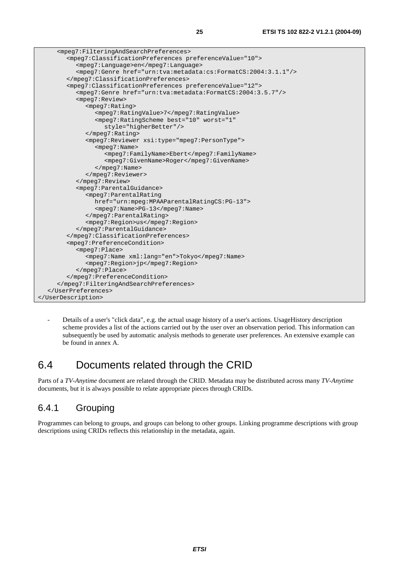| <mpeq7:filteringandsearchpreferences></mpeq7:filteringandsearchpreferences>              |
|------------------------------------------------------------------------------------------|
| <mpeq7:classificationpreferences preferencevalue="10"></mpeq7:classificationpreferences> |
| <mpeq7:language>en</mpeq7:language>                                                      |
| <mpeq7:genre href="urn:tva:metadata:cs:FormatCS:2004:3.1.1"></mpeq7:genre>               |
|                                                                                          |
| <mpeq7:classificationpreferences preferencevalue="12"></mpeq7:classificationpreferences> |
| <mpeg7:genre href="urn:tva:metadata:FormatCS:2004:3.5.7"></mpeg7:genre>                  |
| <mpeg7:review></mpeg7:review>                                                            |
| $mpeq7:Rating>$                                                                          |
| <mpeq7:ratingvalue>7</mpeq7:ratingvalue>                                                 |
| <mpeq7:ratingscheme <="" best="10" td="" worst="1"></mpeq7:ratingscheme>                 |
| style="higherBetter"/>                                                                   |
|                                                                                          |
| <mpeq7:reviewer xsi:type="mpeq7:PersonType"></mpeq7:reviewer>                            |
| $mpeq7:Name>$                                                                            |
| <mpeg7:familyname>Ebert</mpeg7:familyname>                                               |
| <mpeq7:givenname>Roger</mpeq7:givenname>                                                 |
| $\langle$ mpeq7: Name>                                                                   |
|                                                                                          |
|                                                                                          |
| <mpeq7:parentalguidance></mpeq7:parentalguidance>                                        |
| <mpeg7: parentalrating<="" td=""></mpeg7:>                                               |
| href="urn:mpeq:MPAAParentalRatingCS:PG-13">                                              |
| <mpeq7:name>PG-13</mpeq7:name>                                                           |
|                                                                                          |
| <mpeg7:region>us</mpeg7:region>                                                          |
|                                                                                          |
|                                                                                          |
| <mpeq7:preferencecondition></mpeq7:preferencecondition>                                  |
| $mpeq7:Place>$                                                                           |
| <mpeq7:name xml:lang="en">Tokyo</mpeq7:name>                                             |
| <mpeq7:reqion>jp</mpeq7:reqion>                                                          |
|                                                                                          |
|                                                                                          |
|                                                                                          |
|                                                                                          |
|                                                                                          |

- Details of a user's "click data", e.g. the actual usage history of a user's actions. UsageHistory description scheme provides a list of the actions carried out by the user over an observation period. This information can subsequently be used by automatic analysis methods to generate user preferences. An extensive example can be found in annex A.

# 6.4 Documents related through the CRID

Parts of a *TV-Anytime* document are related through the CRID. Metadata may be distributed across many *TV-Anytime* documents, but it is always possible to relate appropriate pieces through CRIDs.

### 6.4.1 Grouping

Programmes can belong to groups, and groups can belong to other groups. Linking programme descriptions with group descriptions using CRIDs reflects this relationship in the metadata, again.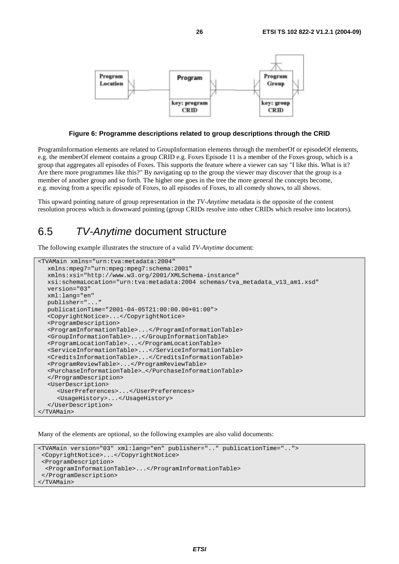

**Figure 6: Programme descriptions related to group descriptions through the CRID** 

ProgramInformation elements are related to GroupInformation elements through the memberOf or episodeOf elements, e.g. the memberOf element contains a group CRID e.g. Foxes Episode 11 is a member of the Foxes group, which is a group that aggregates all episodes of Foxes. This supports the feature where a viewer can say "I like this. What is it? Are there more programmes like this?" By navigating up to the group the viewer may discover that the group is a member of another group and so forth. The higher one goes in the tree the more general the concepts become, e.g. moving from a specific episode of Foxes, to all episodes of Foxes, to all comedy shows, to all shows.

This upward pointing nature of group representation in the *TV-Anytime* metadata is the opposite of the content resolution process which is downward pointing (group CRIDs resolve into other CRIDs which resolve into locators).

### 6.5 TV-Anytime document structure

The following example illustrates the structure of a valid *TV-Anytime* document:

```
<TVAMain xmlns="urn:tva:metadata:2004" 
   xmlns:mpeg7="urn:mpeg:mpeg7:schema:2001" 
   xmlns:xsi="http://www.w3.org/2001/XMLSchema-instance" 
   xsi:schemaLocation="urn:tva:metadata:2004 schemas/tva_metadata_v13_am1.xsd" 
   version="03" 
   xml:lang="en" 
   publisher="..." 
   publicationTime="2001-04-05T21:00:00.00+01:00"> 
   <CopyrightNotice>...</CopyrightNotice> 
   <ProgramDescription> 
   <ProgramInformationTable>...</ProgramInformationTable> 
   <GroupInformationTable>...</GroupInformationTable> 
   <ProgramLocationTable>...</ProgramLocationTable> 
   <ServiceInformationTable>...</ServiceInformationTable> 
   <CreditsInformationTable>...</CreditsInformationTable> 
   <ProgramReviewTable>...</ProgramReviewTable> 
   <PurchaseInformationTable>…</PurchaseInformationTable> 
   </ProgramDescription> 
   <UserDescription> 
      <UserPreferences>...</UserPreferences> 
      <UsageHistory>...</UsageHistory> 
   </UserDescription> 
</TVAMain>
```
Many of the elements are optional, so the following examples are also valid documents:

```
<TVAMain version="03" xml:lang="en" publisher=".." publicationTime=".."> 
  <CopyrightNotice>...</CopyrightNotice> 
  <ProgramDescription> 
  <ProgramInformationTable>...</ProgramInformationTable> 
  </ProgramDescription> 
</TVAMain>
```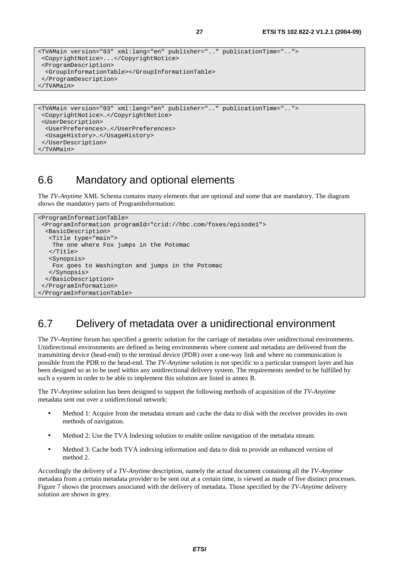```
<TVAMain version="03" xml:lang="en" publisher=".." publicationTime=".."> 
  <CopyrightNotice>...</CopyrightNotice> 
  <ProgramDescription> 
  <GroupInformationTable></GroupInformationTable> 
  </ProgramDescription> 
</TVAMain>
```

```
<TVAMain version="03" xml:lang="en" publisher=".." publicationTime=".."> 
 <CopyrightNotice>…</CopyrightNotice> 
 <UserDescription> 
  <UserPreferences>…</UserPreferences> 
  <UsageHistory>…</UsageHistory> 
 </UserDescription> 
</TVAMain>
```
### 6.6 Mandatory and optional elements

The *TV-Anytime* XML Schema contains many elements that are optional and some that are mandatory. The diagram shows the mandatory parts of ProgramInformation:

```
<ProgramInformationTable> 
 <ProgramInformation programId="crid://hbc.com/foxes/episode1"> 
  <BasicDescription> 
    <Title type="main"> 
    The one where Fox jumps in the Potomac 
    </Title> 
    <Synopsis> 
    Fox goes to Washington and jumps in the Potomac 
   </Synopsis> 
  </BasicDescription> 
 </ProgramInformation> 
</ProgramInformationTable>
```
# 6.7 Delivery of metadata over a unidirectional environment

The *TV-Anytime* forum has specified a generic solution for the carriage of metadata over unidirectional environments. Unidirectional environments are defined as being environments where content and metadata are delivered from the transmitting device (head-end) to the terminal device (PDR) over a one-way link and where no communication is possible from the PDR to the head-end. The *TV-Anytime* solution is not specific to a particular transport layer and has been designed so as to be used within any unidirectional delivery system. The requirements needed to be fulfilled by such a system in order to be able to implement this solution are listed in annex B.

The *TV-Anytime* solution has been designed to support the following methods of acquisition of the *TV-Anytime* metadata sent out over a unidirectional network:

- Method 1: Acquire from the metadata stream and cache the data to disk with the receiver provides its own methods of navigation.
- Method 2: Use the TVA Indexing solution to enable online navigation of the metadata stream.
- Method 3: Cache both TVA indexing information and data to disk to provide an enhanced version of method 2.

Accordingly the delivery of a *TV-Anytime* description, namely the actual document containing all the *TV-Anytime* metadata from a certain metadata provider to be sent out at a certain time, is viewed as made of five distinct processes. Figure 7 shows the processes associated with the delivery of metadata. Those specified by the *TV-Anytime* delivery solution are shown in grey.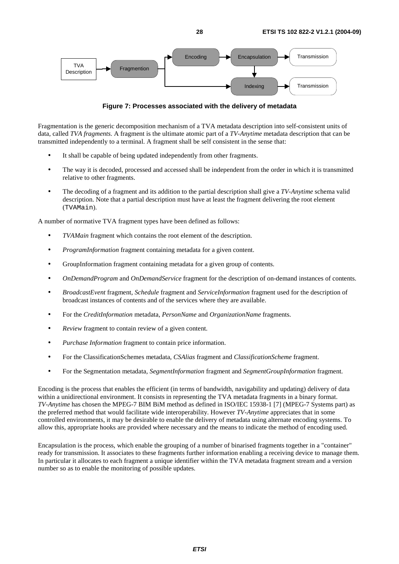

**Figure 7: Processes associated with the delivery of metadata** 

Fragmentation is the generic decomposition mechanism of a TVA metadata description into self-consistent units of data, called *TVA fragments.* A fragment is the ultimate atomic part of a *TV-Anytime* metadata description that can be transmitted independently to a terminal. A fragment shall be self consistent in the sense that:

- It shall be capable of being updated independently from other fragments.
- The way it is decoded, processed and accessed shall be independent from the order in which it is transmitted relative to other fragments.
- The decoding of a fragment and its addition to the partial description shall give a *TV-Anytime* schema valid description. Note that a partial description must have at least the fragment delivering the root element (TVAMain).

A number of normative TVA fragment types have been defined as follows:

- *TVAMain* fragment which contains the root element of the description.
- *ProgramInformation* fragment containing metadata for a given content.
- GroupInformation fragment containing metadata for a given group of contents.
- *OnDemandProgram* and *OnDemandService* fragment for the description of on-demand instances of contents.
- *BroadcastEvent* fragment, *Schedule* fragment and *ServiceInformation* fragment used for the description of broadcast instances of contents and of the services where they are available.
- For the *CreditInformation* metadata, *PersonName* and *OrganizationName* fragments.
- *Review* fragment to contain review of a given content.
- *Purchase Information* fragment to contain price information.
- For the ClassificationSchemes metadata, *CSAlias* fragment and *ClassificationScheme* fragment.
- For the Segmentation metadata, *SegmentInformation* fragment and *SegmentGroupInformation* fragment.

Encoding is the process that enables the efficient (in terms of bandwidth, navigability and updating) delivery of data within a unidirectional environment. It consists in representing the TVA metadata fragments in a binary format. *TV-Anytime* has chosen the MPEG-7 BIM BiM method as defined in ISO/IEC 15938-1 [7] (MPEG-7 Systems part) as the preferred method that would facilitate wide interoperability. However *TV-Anytime* appreciates that in some controlled environments, it may be desirable to enable the delivery of metadata using alternate encoding systems. To allow this, appropriate hooks are provided where necessary and the means to indicate the method of encoding used.

Encapsulation is the process, which enable the grouping of a number of binarised fragments together in a "container" ready for transmission. It associates to these fragments further information enabling a receiving device to manage them. In particular it allocates to each fragment a unique identifier within the TVA metadata fragment stream and a version number so as to enable the monitoring of possible updates.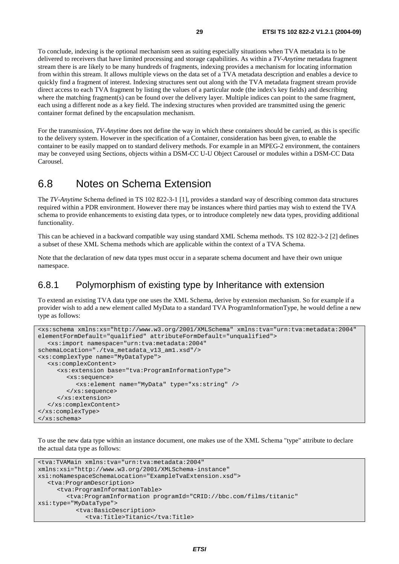To conclude, indexing is the optional mechanism seen as suiting especially situations when TVA metadata is to be delivered to receivers that have limited processing and storage capabilities. As within a *TV-Anytime* metadata fragment stream there is are likely to be many hundreds of fragments, indexing provides a mechanism for locating information from within this stream. It allows multiple views on the data set of a TVA metadata description and enables a device to quickly find a fragment of interest. Indexing structures sent out along with the TVA metadata fragment stream provide direct access to each TVA fragment by listing the values of a particular node (the index's key fields) and describing where the matching fragment(s) can be found over the delivery layer. Multiple indices can point to the same fragment, each using a different node as a key field. The indexing structures when provided are transmitted using the generic container format defined by the encapsulation mechanism.

For the transmission, *TV-Anytime* does not define the way in which these containers should be carried, as this is specific to the delivery system. However in the specification of a Container, consideration has been given, to enable the container to be easily mapped on to standard delivery methods. For example in an MPEG-2 environment, the containers may be conveyed using Sections, objects within a DSM-CC U-U Object Carousel or modules within a DSM-CC Data Carousel.

### 6.8 Notes on Schema Extension

The *TV-Anytime* Schema defined in TS 102 822-3-1 [1], provides a standard way of describing common data structures required within a PDR environment. However there may be instances where third parties may wish to extend the TVA schema to provide enhancements to existing data types, or to introduce completely new data types, providing additional functionality.

This can be achieved in a backward compatible way using standard XML Schema methods. TS 102 822-3-2 [2] defines a subset of these XML Schema methods which are applicable within the context of a TVA Schema.

Note that the declaration of new data types must occur in a separate schema document and have their own unique namespace.

### 6.8.1 Polymorphism of existing type by Inheritance with extension

To extend an existing TVA data type one uses the XML Schema, derive by extension mechanism. So for example if a provider wish to add a new element called MyData to a standard TVA ProgramInformationType, he would define a new type as follows:

```
<xs:schema xmlns:xs="http://www.w3.org/2001/XMLSchema" xmlns:tva="urn:tva:metadata:2004" 
elementFormDefault="qualified" attributeFormDefault="unqualified"> 
   <xs:import namespace="urn:tva:metadata:2004" 
schemaLocation="./tva_metadata_v13_am1.xsd"/> 
<xs:complexType name="MyDataType"> 
   <xs:complexContent> 
      <xs:extension base="tva:ProgramInformationType"> 
         <xs:sequence> 
           <xs:element name="MyData" type="xs:string" /> 
         </xs:sequence> 
      </xs:extension> 
   </xs:complexContent> 
</xs:complexType> 
</xs:schema>
```
To use the new data type within an instance document, one makes use of the XML Schema "type" attribute to declare the actual data type as follows:

```
<tva:TVAMain xmlns:tva="urn:tva:metadata:2004" 
xmlns:xsi="http://www.w3.org/2001/XMLSchema-instance" 
xsi:noNamespaceSchemaLocation="ExampleTvaExtension.xsd"> 
   <tva:ProgramDescription> 
      <tva:ProgramInformationTable> 
         <tva:ProgramInformation programId="CRID://bbc.com/films/titanic" 
xsi:type="MyDataType"> 
            <tva:BasicDescription> 
              <tva:Title>Titanic</tva:Title>
```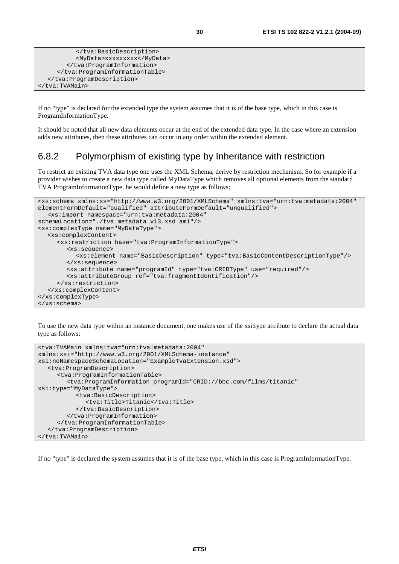```
 </tva:BasicDescription> 
            <MyData>xxxxxxxxx</MyData> 
         </tva:ProgramInformation> 
      </tva:ProgramInformationTable> 
   </tva:ProgramDescription> 
</tva:TVAMain>
```
If no "type" is declared for the extended type the system assumes that it is of the base type, which in this case is ProgramInformationType.

It should be noted that all new data elements occur at the end of the extended data type. In the case where an extension adds new attributes, then these attributes can occur in any order within the extended element.

### 6.8.2 Polymorphism of existing type by Inheritance with restriction

To restrict an existing TVA data type one uses the XML Schema, derive by restriction mechanism. So for example if a provider wishes to create a new data type called MyDataType which removes all optional elements from the standard TVA ProgramInformationType, he would define a new type as follows:

```
<xs:schema xmlns:xs="http://www.w3.org/2001/XMLSchema" xmlns:tva="urn:tva:metadata:2004" 
elementFormDefault="qualified" attributeFormDefault="unqualified"> 
   <xs:import namespace="urn:tva:metadata:2004" 
schemaLocation="./tva_metadata_v13.xsd_am1"/> 
<xs:complexType name="MyDataType"> 
   <xs:complexContent> 
      <xs:restriction base="tva:ProgramInformationType"> 
         <xs:sequence> 
            <xs:element name="BasicDescription" type="tva:BasicContentDescriptionType"/> 
         </xs:sequence> 
         <xs:attribute name="programId" type="tva:CRIDType" use="required"/> 
         <xs:attributeGroup ref="tva:fragmentIdentification"/> 
      </xs:restriction> 
   </xs:complexContent> 
</xs:complexType> 
</xs:schema>
```
To use the new data type within an instance document, one makes use of the xsi:type attribute to declare the actual data type as follows:

```
<tva:TVAMain xmlns:tva="urn:tva:metadata:2004" 
xmlns:xsi="http://www.w3.org/2001/XMLSchema-instance" 
xsi:noNamespaceSchemaLocation="ExampleTvaExtension.xsd"> 
   <tva:ProgramDescription> 
      <tva:ProgramInformationTable> 
         <tva:ProgramInformation programId="CRID://bbc.com/films/titanic" 
xsi:type="MyDataType"> 
            <tva:BasicDescription> 
               <tva:Title>Titanic</tva:Title> 
            </tva:BasicDescription> 
         </tva:ProgramInformation> 
      </tva:ProgramInformationTable> 
   </tva:ProgramDescription> 
</tva:TVAMain>
```
If no "type" is declared the system assumes that it is of the base type, which in this case is ProgramInformationType.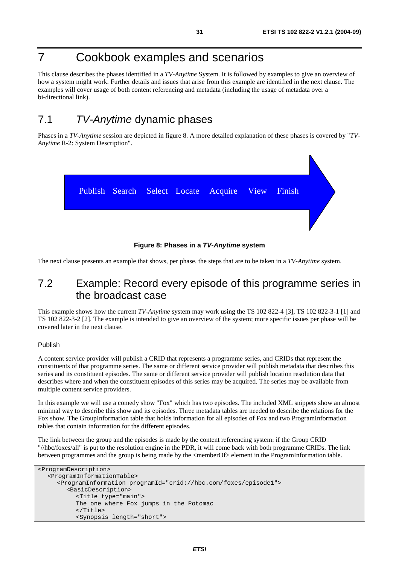# 7 Cookbook examples and scenarios

This clause describes the phases identified in a *TV-Anytime* System. It is followed by examples to give an overview of how a system might work. Further details and issues that arise from this example are identified in the next clause. The examples will cover usage of both content referencing and metadata (including the usage of metadata over a bi-directional link).

# 7.1 TV-Anytime dynamic phases

Phases in a *TV-Anytime* session are depicted in figure 8. A more detailed explanation of these phases is covered by "*TV-Anytime* R-2: System Description".



**Figure 8: Phases in a TV-Anytime system** 

The next clause presents an example that shows, per phase, the steps that are to be taken in a *TV-Anytime* system.

# 7.2 Example: Record every episode of this programme series in the broadcast case

This example shows how the current *TV-Anytime* system may work using the TS 102 822-4 [3], TS 102 822-3-1 [1] and TS 102 822-3-2 [2]. The example is intended to give an overview of the system; more specific issues per phase will be covered later in the next clause.

#### Publish

A content service provider will publish a CRID that represents a programme series, and CRIDs that represent the constituents of that programme series. The same or different service provider will publish metadata that describes this series and its constituent episodes. The same or different service provider will publish location resolution data that describes where and when the constituent episodes of this series may be acquired. The series may be available from multiple content service providers.

In this example we will use a comedy show "Fox" which has two episodes. The included XML snippets show an almost minimal way to describe this show and its episodes. Three metadata tables are needed to describe the relations for the Fox show. The GroupInformation table that holds information for all episodes of Fox and two ProgramInformation tables that contain information for the different episodes.

The link between the group and the episodes is made by the content referencing system: if the Group CRID "//hbc/foxes/all" is put to the resolution engine in the PDR, it will come back with both programme CRIDs. The link between programmes and the group is being made by the <memberOf> element in the ProgramInformation table.

```
<ProgramDescription> 
   <ProgramInformationTable> 
      <ProgramInformation programId="crid://hbc.com/foxes/episode1"> 
         <BasicDescription> 
            <Title type="main"> 
            The one where Fox jumps in the Potomac 
            </Title> 
            <Synopsis length="short">
```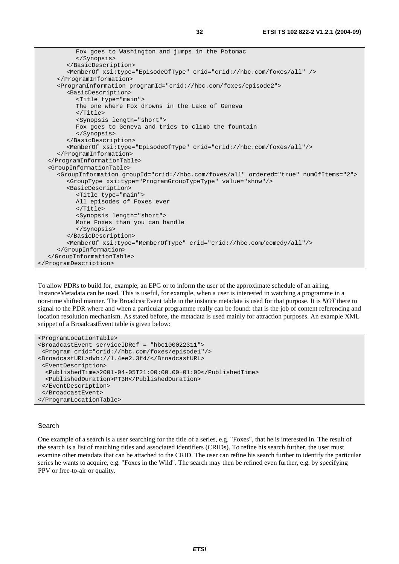Fox goes to Washington and jumps in the Potomac </Synopsis> </BasicDescription> <MemberOf xsi:type="EpisodeOfType" crid="crid://hbc.com/foxes/all" /> </ProgramInformation> <ProgramInformation programId="crid://hbc.com/foxes/episode2"> <BasicDescription> <Title type="main"> The one where Fox drowns in the Lake of Geneva </Title> <Synopsis length="short"> Fox goes to Geneva and tries to climb the fountain </Synopsis> </BasicDescription> <MemberOf xsi:type="EpisodeOfType" crid="crid://hbc.com/foxes/all"/> </ProgramInformation> </ProgramInformationTable> <GroupInformationTable> <GroupInformation groupId="crid://hbc.com/foxes/all" ordered="true" numOfItems="2"> <GroupType xsi:type="ProgramGroupTypeType" value="show"/> <BasicDescription> <Title type="main"> All episodes of Foxes ever  $\langle$ Title> <Synopsis length="short"> More Foxes than you can handle </Synopsis> </BasicDescription> <MemberOf xsi:type="MemberOfType" crid="crid://hbc.com/comedy/all"/> </GroupInformation> </GroupInformationTable> </ProgramDescription>

To allow PDRs to build for, example, an EPG or to inform the user of the approximate schedule of an airing, InstanceMetadata can be used. This is useful, for example, when a user is interested in watching a programme in a non-time shifted manner. The BroadcastEvent table in the instance metadata is used for that purpose. It is *NOT* there to signal to the PDR where and when a particular programme really can be found: that is the job of content referencing and location resolution mechanism. As stated before, the metadata is used mainly for attraction purposes. An example XML snippet of a BroadcastEvent table is given below:

```
<ProgramLocationTable> 
<BroadcastEvent serviceIDRef = "hbc100022311"> 
  <Program crid="crid://hbc.com/foxes/episode1"/> 
<BroadcastURL>dvb://1.4ee2.3f4/</BroadcastURL> 
  <EventDescription> 
   <PublishedTime>2001-04-05T21:00:00.00+01:00</PublishedTime> 
   <PublishedDuration>PT3H</PublishedDuration> 
  </EventDescription> 
  </BroadcastEvent> 
</ProgramLocationTable>
```
#### Search

One example of a search is a user searching for the title of a series, e.g. "Foxes", that he is interested in. The result of the search is a list of matching titles and associated identifiers (CRIDs). To refine his search further, the user must examine other metadata that can be attached to the CRID. The user can refine his search further to identify the particular series he wants to acquire, e.g. "Foxes in the Wild". The search may then be refined even further, e.g. by specifying PPV or free-to-air or quality.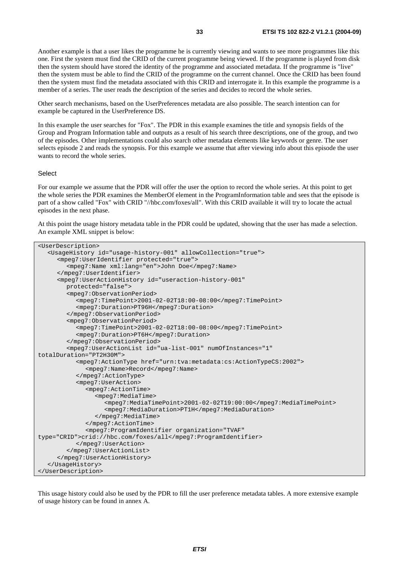Another example is that a user likes the programme he is currently viewing and wants to see more programmes like this one. First the system must find the CRID of the current programme being viewed. If the programme is played from disk then the system should have stored the identity of the programme and associated metadata. If the programme is "live" then the system must be able to find the CRID of the programme on the current channel. Once the CRID has been found then the system must find the metadata associated with this CRID and interrogate it. In this example the programme is a member of a series. The user reads the description of the series and decides to record the whole series.

Other search mechanisms, based on the UserPreferences metadata are also possible. The search intention can for example be captured in the UserPreference DS.

In this example the user searches for "Fox". The PDR in this example examines the title and synopsis fields of the Group and Program Information table and outputs as a result of his search three descriptions, one of the group, and two of the episodes. Other implementations could also search other metadata elements like keywords or genre. The user selects episode 2 and reads the synopsis. For this example we assume that after viewing info about this episode the user wants to record the whole series.

#### Select

For our example we assume that the PDR will offer the user the option to record the whole series. At this point to get the whole series the PDR examines the MemberOf element in the ProgramInformation table and sees that the episode is part of a show called "Fox" with CRID "//hbc.com/foxes/all". With this CRID available it will try to locate the actual episodes in the next phase.

At this point the usage history metadata table in the PDR could be updated, showing that the user has made a selection. An example XML snippet is below:

<UserDescription> <UsageHistory id="usage-history-001" allowCollection="true"> <mpeg7:UserIdentifier protected="true"> <mpeg7:Name xml:lang="en">John Doe</mpeg7:Name> </mpeg7:UserIdentifier> <mpeg7:UserActionHistory id="useraction-history-001" protected="false"> <mpeg7:ObservationPeriod> <mpeg7:TimePoint>2001-02-02T18:00-08:00</mpeg7:TimePoint> <mpeg7:Duration>PT96H</mpeg7:Duration> </mpeg7:ObservationPeriod> <mpeg7:ObservationPeriod> <mpeg7:TimePoint>2001-02-02T18:00-08:00</mpeg7:TimePoint> <mpeg7:Duration>PT6H</mpeg7:Duration> </mpeg7:ObservationPeriod> <mpeg7:UserActionList id="ua-list-001" numOfInstances="1" totalDuration="PT2H30M"> <mpeg7:ActionType href="urn:tva:metadata:cs:ActionTypeCS:2002"> <mpeg7:Name>Record</mpeg7:Name> </mpeg7:ActionType> <mpeg7:UserAction> <mpeg7:ActionTime> <mpeg7:MediaTime> <mpeg7:MediaTimePoint>2001-02-02T19:00:00</mpeg7:MediaTimePoint> <mpeg7:MediaDuration>PT1H</mpeg7:MediaDuration> </mpeg7:MediaTime> </mpeg7:ActionTime> <mpeg7:ProgramIdentifier organization="TVAF" type="CRID">crid://hbc.com/foxes/all</mpeg7:ProgramIdentifier> </mpeg7:UserAction> </mpeg7:UserActionList> </mpeg7:UserActionHistory> </UsageHistory> </UserDescription>

This usage history could also be used by the PDR to fill the user preference metadata tables. A more extensive example of usage history can be found in annex A.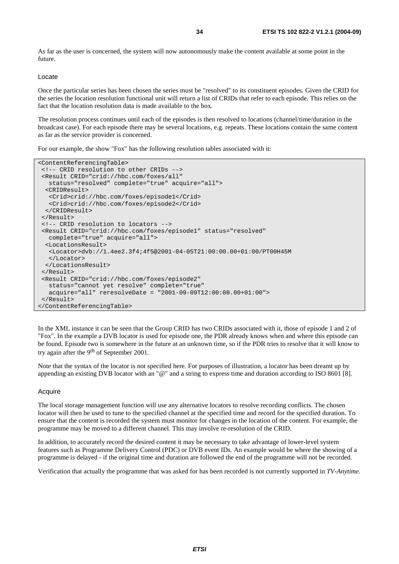As far as the user is concerned, the system will now autonomously make the content available at some point in the future.

#### Locate

Once the particular series has been chosen the series must be "resolved" to its constituent episodes. Given the CRID for the series the location resolution functional unit will return a list of CRIDs that refer to each episode. This relies on the fact that the location resolution data is made available to the box.

The resolution process continues until each of the episodes is then resolved to locations (channel/time/duration in the broadcast case). For each episode there may be several locations, e.g. repeats. These locations contain the same content as far as the service provider is concerned.

For our example, the show "Fox" has the following resolution tables associated with it:

```
<ContentReferencingTable> 
 <!-- CRID resolution to other CRIDs --> 
  <Result CRID="crid://hbc.com/foxes/all" 
   status="resolved" complete="true" acquire="all"> 
   <CRIDResult> 
    <Crid>crid://hbc.com/foxes/episode1</Crid> 
   <Crid>crid://hbc.com/foxes/episode2</Crid> 
   </CRIDResult> 
  </Result> 
  <!-- CRID resolution to locators --> 
  <Result CRID="crid://hbc.com/foxes/episode1" status="resolved" 
   complete="true" acquire="all"> 
   <LocationsResult> 
    <Locator>dvb://1.4ee2.3f4;4f5@2001-04-05T21:00:00.00+01:00/PT00H45M 
    </Locator> 
   </LocationsResult> 
  </Result> 
  <Result CRID="crid://hbc.com/foxes/episode2" 
    status="cannot yet resolve" complete="true" 
    acquire="all" reresolveDate = "2001-09-09T12:00:00.00+01:00"> 
  </Result> 
</ContentReferencingTable>
```
In the XML instance it can be seen that the Group CRID has two CRIDs associated with it, those of episode 1 and 2 of "Fox". In the example a DVB locator is used for episode one, the PDR already knows when and where this episode can be found. Episode two is somewhere in the future at an unknown time, so if the PDR tries to resolve that it will know to try again after the 9th of September 2001.

Note that the syntax of the locator is not specified here. For purposes of illustration, a locator has been dreamt up by appending an existing DVB locator with an "@" and a string to express time and duration according to ISO 8601 [8].

#### Acquire

The local storage management function will use any alternative locators to resolve recording conflicts. The chosen locator will then be used to tune to the specified channel at the specified time and record for the specified duration. To ensure that the content is recorded the system must monitor for changes in the location of the content. For example, the programme may be moved to a different channel. This may involve re-resolution of the CRID.

In addition, to accurately record the desired content it may be necessary to take advantage of lower-level system features such as Programme Delivery Control (PDC) or DVB event IDs. An example would be where the showing of a programme is delayed - if the original time and duration are followed the end of the programme will not be recorded.

Verification that actually the programme that was asked for has been recorded is not currently supported in *TV-Anytime*.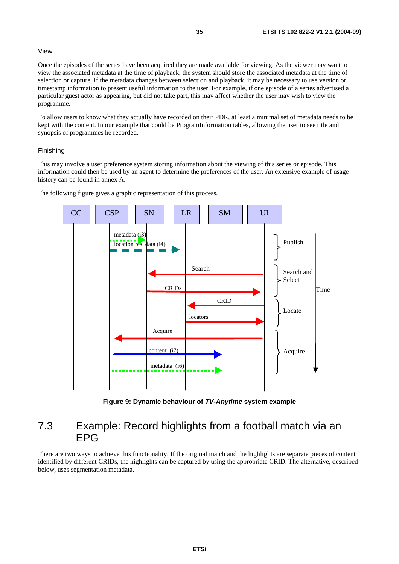#### View

Once the episodes of the series have been acquired they are made available for viewing. As the viewer may want to view the associated metadata at the time of playback, the system should store the associated metadata at the time of selection or capture. If the metadata changes between selection and playback, it may be necessary to use version or timestamp information to present useful information to the user. For example, if one episode of a series advertised a particular guest actor as appearing, but did not take part, this may affect whether the user may wish to view the programme.

To allow users to know what they actually have recorded on their PDR, at least a minimal set of metadata needs to be kept with the content. In our example that could be ProgramInformation tables, allowing the user to see title and synopsis of programmes he recorded.

#### Finishing

This may involve a user preference system storing information about the viewing of this series or episode. This information could then be used by an agent to determine the preferences of the user. An extensive example of usage history can be found in annex A.



The following figure gives a graphic representation of this process.

**Figure 9: Dynamic behaviour of TV-Anytime system example** 

# 7.3 Example: Record highlights from a football match via an EPG

There are two ways to achieve this functionality. If the original match and the highlights are separate pieces of content identified by different CRIDs, the highlights can be captured by using the appropriate CRID. The alternative, described below, uses segmentation metadata.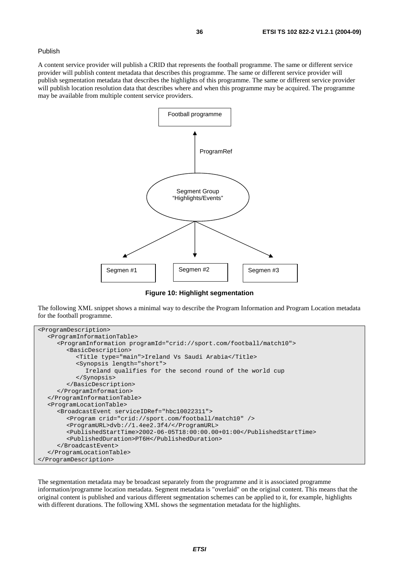#### Publish

A content service provider will publish a CRID that represents the football programme. The same or different service provider will publish content metadata that describes this programme. The same or different service provider will publish segmentation metadata that describes the highlights of this programme. The same or different service provider will publish location resolution data that describes where and when this programme may be acquired. The programme may be available from multiple content service providers.



**Figure 10: Highlight segmentation** 

The following XML snippet shows a minimal way to describe the Program Information and Program Location metadata for the football programme.

```
<ProgramDescription> 
   <ProgramInformationTable> 
      <ProgramInformation programId="crid://sport.com/football/match10"> 
         <BasicDescription> 
            <Title type="main">Ireland Vs Saudi Arabia</Title> 
            <Synopsis length="short"> 
              Ireland qualifies for the second round of the world cup 
            </Synopsis> 
         </BasicDescription> 
      </ProgramInformation> 
   </ProgramInformationTable> 
   <ProgramLocationTable> 
      <BroadcastEvent serviceIDRef="hbc10022311"> 
         <Program crid="crid://sport.com/football/match10" /> 
         <ProgramURL>dvb://1.4ee2.3f4/</ProgramURL> 
         <PublishedStartTime>2002-06-05T18:00:00.00+01:00</PublishedStartTime> 
         <PublishedDuration>PT6H</PublishedDuration> 
      </BroadcastEvent> 
   </ProgramLocationTable> 
</ProgramDescription>
```
The segmentation metadata may be broadcast separately from the programme and it is associated programme information/programme location metadata. Segment metadata is "overlaid" on the original content. This means that the original content is published and various different segmentation schemes can be applied to it, for example, highlights with different durations. The following XML shows the segmentation metadata for the highlights.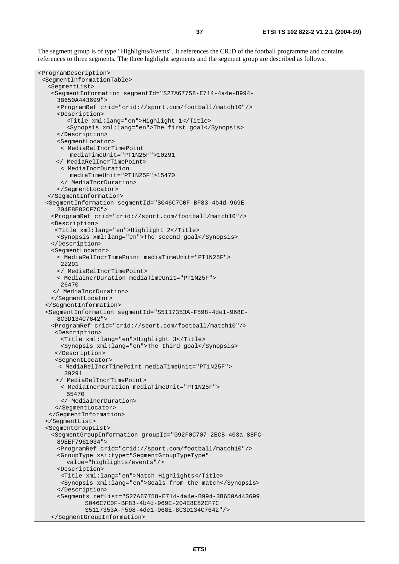The segment group is of type "Highlights/Events". It references the CRID of the football programme and contains references to three segments. The three highlight segments and the segment group are described as follows:

```
<ProgramDescription> 
  <SegmentInformationTable> 
   <SegmentList> 
    <SegmentInformation segmentId="S27A67758-E714-4a4e-B994- 
      3B650A443699"> 
      <ProgramRef crid="crid://sport.com/football/match10"/> 
      <Description> 
         <Title xml:lang="en">Highlight 1</Title> 
         <Synopsis xml:lang="en">The first goal</Synopsis> 
      </Description> 
      <SegmentLocator> 
       < MediaRelIncrTimePoint 
          mediaTimeUnit="PT1N25F">10291 
      </ MediaRelIncrTimePoint> 
       < MediaIncrDuration 
         modiaTimeIni+="PT1N25F">15470
       </ MediaIncrDuration> 
      </SegmentLocator> 
   </SegmentInformation> 
   <SegmentInformation segmentId="S046C7C0F-BF83-4b4d-969E- 
      204E8E82CF7C"> 
    <ProgramRef crid="crid://sport.com/football/match10"/> 
    <Description> 
     <Title xml:lang="en">Highlight 2</Title> 
      <Synopsis xml:lang="en">The second goal</Synopsis> 
    </Description> 
    <SegmentLocator> 
      < MediaRelIncrTimePoint mediaTimeUnit="PT1N25F"> 
       22291 
      </ MediaRelIncrTimePoint> 
      < MediaIncrDuration mediaTimeUnit="PT1N25F"> 
       26470 
     </ MediaIncrDuration> 
    </SegmentLocator> 
   </SegmentInformation> 
   <SegmentInformation segmentId="S5117353A-F598-4de1-968E- 
      8C3D134C7642"> 
    <ProgramRef crid="crid://sport.com/football/match10"/> 
     <Description> 
       <Title xml:lang="en">Highlight 3</Title> 
       <Synopsis xml:lang="en">The third goal</Synopsis> 
      </Description> 
     <SegmentLocator> 
       < MediaRelIncrTimePoint mediaTimeUnit="PT1N25F"> 
        39291 
      </ MediaRelIncrTimePoint> 
       < MediaIncrDuration mediaTimeUnit="PT1N25F"> 
         55470 
       </ MediaIncrDuration> 
     </SegmentLocator> 
    </SegmentInformation> 
   </SegmentList> 
   <SegmentGroupList> 
    <SegmentGroupInformation groupId="G92F0C707-2ECB-403a-88FC- 
      89EEF7961034"> 
      <ProgramRef crid="crid://sport.com/football/match10"/> 
      <GroupType xsi:type="SegmentGroupTypeType" 
         value="highlights/events"/> 
      <Description> 
       <Title xml:lang="en">Match Highlights</Title> 
       <Synopsis xml:lang="en">Goals from the match</Synopsis> 
      </Description> 
      <Segments refList="S27A67758-E714-4a4e-B994-3B650A443699 
              S046C7C0F-BF83-4b4d-969E-204E8E82CF7C 
              S5117353A-F598-4de1-968E-8C3D134C7642"/> 
    </SegmentGroupInformation>
```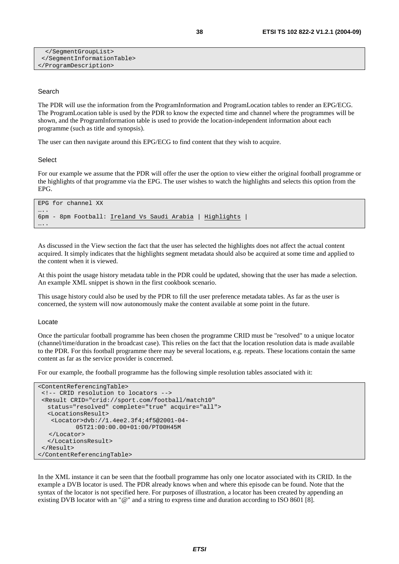```
 </SegmentGroupList> 
  </SegmentInformationTable> 
</ProgramDescription>
```
#### Search

The PDR will use the information from the ProgramInformation and ProgramLocation tables to render an EPG/ECG. The ProgramLocation table is used by the PDR to know the expected time and channel where the programmes will be shown, and the ProgramInformation table is used to provide the location-independent information about each programme (such as title and synopsis).

The user can then navigate around this EPG/ECG to find content that they wish to acquire.

#### **Select**

For our example we assume that the PDR will offer the user the option to view either the original football programme or the highlights of that programme via the EPG. The user wishes to watch the highlights and selects this option from the EPG.

```
EPG for channel XX 
….
6pm - 8pm Football: Ireland Vs Saudi Arabia | Highlights | 
….
```
As discussed in the View section the fact that the user has selected the highlights does not affect the actual content acquired. It simply indicates that the highlights segment metadata should also be acquired at some time and applied to the content when it is viewed.

At this point the usage history metadata table in the PDR could be updated, showing that the user has made a selection. An example XML snippet is shown in the first cookbook scenario.

This usage history could also be used by the PDR to fill the user preference metadata tables. As far as the user is concerned, the system will now autonomously make the content available at some point in the future.

#### Locate

Once the particular football programme has been chosen the programme CRID must be "resolved" to a unique locator (channel/time/duration in the broadcast case). This relies on the fact that the location resolution data is made available to the PDR. For this football programme there may be several locations, e.g. repeats. These locations contain the same content as far as the service provider is concerned.

For our example, the football programme has the following simple resolution tables associated with it:

```
<ContentReferencingTable> 
 <!-- CRID resolution to locators --> 
 <Result CRID="crid://sport.com/football/match10" 
   status="resolved" complete="true" acquire="all"> 
   <LocationsResult> 
    <Locator>dvb://1.4ee2.3f4;4f5@2001-04- 
            05T21:00:00.00+01:00/PT00H45M 
   </Locator> 
   </LocationsResult> 
 </Result> 
</ContentReferencingTable>
```
In the XML instance it can be seen that the football programme has only one locator associated with its CRID. In the example a DVB locator is used. The PDR already knows when and where this episode can be found. Note that the syntax of the locator is not specified here. For purposes of illustration, a locator has been created by appending an existing DVB locator with an "@" and a string to express time and duration according to ISO 8601 [8].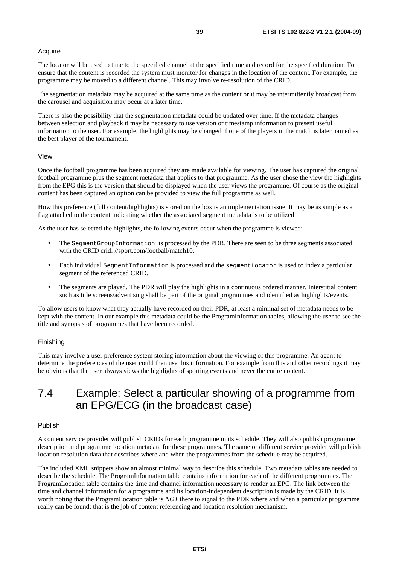#### Acquire

The locator will be used to tune to the specified channel at the specified time and record for the specified duration. To ensure that the content is recorded the system must monitor for changes in the location of the content. For example, the programme may be moved to a different channel. This may involve re-resolution of the CRID.

The segmentation metadata may be acquired at the same time as the content or it may be intermittently broadcast from the carousel and acquisition may occur at a later time.

There is also the possibility that the segmentation metadata could be updated over time. If the metadata changes between selection and playback it may be necessary to use version or timestamp information to present useful information to the user. For example, the highlights may be changed if one of the players in the match is later named as the best player of the tournament.

#### View

Once the football programme has been acquired they are made available for viewing. The user has captured the original football programme plus the segment metadata that applies to that programme. As the user chose the view the highlights from the EPG this is the version that should be displayed when the user views the programme. Of course as the original content has been captured an option can be provided to view the full programme as well.

How this preference (full content/highlights) is stored on the box is an implementation issue. It may be as simple as a flag attached to the content indicating whether the associated segment metadata is to be utilized.

As the user has selected the highlights, the following events occur when the programme is viewed:

- The SegmentGroupInformation is processed by the PDR. There are seen to be three segments associated with the CRID crid: //sport.com/football/match10.
- Each individual SegmentInformation is processed and the segmentLocator is used to index a particular segment of the referenced CRID.
- The segments are played. The PDR will play the highlights in a continuous ordered manner. Interstitial content such as title screens/advertising shall be part of the original programmes and identified as highlights/events.

To allow users to know what they actually have recorded on their PDR, at least a minimal set of metadata needs to be kept with the content. In our example this metadata could be the ProgramInformation tables, allowing the user to see the title and synopsis of programmes that have been recorded.

#### Finishing

This may involve a user preference system storing information about the viewing of this programme. An agent to determine the preferences of the user could then use this information. For example from this and other recordings it may be obvious that the user always views the highlights of sporting events and never the entire content.

### 7.4 Example: Select a particular showing of a programme from an EPG/ECG (in the broadcast case)

#### Publish

A content service provider will publish CRIDs for each programme in its schedule. They will also publish programme description and programme location metadata for these programmes. The same or different service provider will publish location resolution data that describes where and when the programmes from the schedule may be acquired.

The included XML snippets show an almost minimal way to describe this schedule. Two metadata tables are needed to describe the schedule. The ProgramInformation table contains information for each of the different programmes. The ProgramLocation table contains the time and channel information necessary to render an EPG. The link between the time and channel information for a programme and its location-independent description is made by the CRID. It is worth noting that the ProgramLocation table is *NOT* there to signal to the PDR where and when a particular programme really can be found: that is the job of content referencing and location resolution mechanism.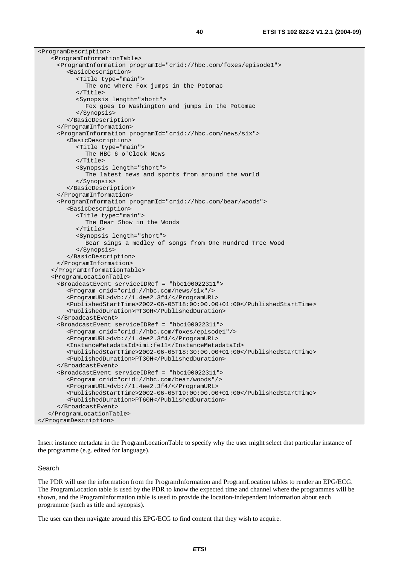| <programdescription></programdescription>                                           |
|-------------------------------------------------------------------------------------|
| <programinformationtable></programinformationtable>                                 |
| <programinformation programid="crid://hbc.com/foxes/episode1"></programinformation> |
| <basicdescription></basicdescription>                                               |
| <title type="main"></title>                                                         |
| The one where Fox jumps in the Potomac                                              |
|                                                                                     |
| <synopsis length="short"></synopsis>                                                |
| Fox goes to Washington and jumps in the Potomac                                     |
|                                                                                     |
|                                                                                     |
|                                                                                     |
| <programinformation programid="crid://hbc.com/news/six"></programinformation>       |
| <basicdescription></basicdescription>                                               |
| <title type="main"></title>                                                         |
| The HBC 6 o'Clock News                                                              |
| $\langle$ Title>                                                                    |
| <synopsis length="short"></synopsis>                                                |
| The latest news and sports from around the world                                    |
|                                                                                     |
|                                                                                     |
|                                                                                     |
| <programinformation programid="crid://hbc.com/bear/woods"></programinformation>     |
| <basicdescription></basicdescription>                                               |
| <title type="main"></title>                                                         |
| The Bear Show in the Woods                                                          |
|                                                                                     |
| <synopsis length="short"></synopsis>                                                |
| Bear sings a medley of songs from One Hundred Tree Wood                             |
|                                                                                     |
|                                                                                     |
|                                                                                     |
|                                                                                     |
| <programlocationtable></programlocationtable>                                       |
| <broadcastevent serviceidref="hbc100022311"></broadcastevent>                       |
| <program crid="crid://hbc.com/news/six"></program>                                  |
| <programurl>dvb://1.4ee2.3f4/</programurl>                                          |
| <publishedstarttime>2002-06-05T18:00:00.00+01:00</publishedstarttime>               |
| <publishedduration>PT30H</publishedduration>                                        |
|                                                                                     |
| <broadcastevent serviceidref="hbc100022311"></broadcastevent>                       |
| <program crid="crid://hbc.com/foxes/episode1"></program>                            |
| <programurl>dvb://1.4ee2.3f4/</programurl>                                          |
| <instancemetadataid>imi:fell</instancemetadataid>                                   |
| <publishedstarttime>2002-06-05T18:30:00.00+01:00</publishedstarttime>               |
| <publishedduration>PT30H</publishedduration>                                        |
|                                                                                     |
| <broadcastevent serviceidref="hbc100022311"></broadcastevent>                       |
| <program crid="crid://hbc.com/bear/woods"></program>                                |
| <programurl>dvb://1.4ee2.3f4/</programurl>                                          |
| <publishedstarttime>2002-06-05T19:00:00.00+01:00</publishedstarttime>               |
| <publishedduration>PT60H</publishedduration>                                        |
|                                                                                     |
|                                                                                     |
|                                                                                     |

Insert instance metadata in the ProgramLocationTable to specify why the user might select that particular instance of the programme (e.g. edited for language).

#### Search

The PDR will use the information from the ProgramInformation and ProgramLocation tables to render an EPG/ECG. The ProgramLocation table is used by the PDR to know the expected time and channel where the programmes will be shown, and the ProgramInformation table is used to provide the location-independent information about each programme (such as title and synopsis).

The user can then navigate around this EPG/ECG to find content that they wish to acquire.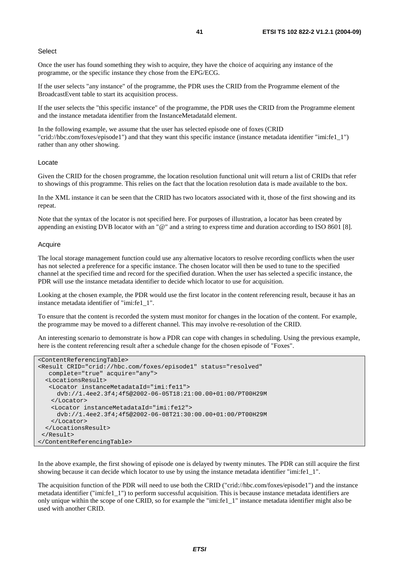#### **Select**

Once the user has found something they wish to acquire, they have the choice of acquiring any instance of the programme, or the specific instance they chose from the EPG/ECG.

If the user selects "any instance" of the programme, the PDR uses the CRID from the Programme element of the BroadcastEvent table to start its acquisition process.

If the user selects the "this specific instance" of the programme, the PDR uses the CRID from the Programme element and the instance metadata identifier from the InstanceMetadataId element.

In the following example, we assume that the user has selected episode one of foxes (CRID "crid://hbc.com/foxes/episode1") and that they want this specific instance (instance metadata identifier "imi:fe1\_1") rather than any other showing.

#### Locate

Given the CRID for the chosen programme, the location resolution functional unit will return a list of CRIDs that refer to showings of this programme. This relies on the fact that the location resolution data is made available to the box.

In the XML instance it can be seen that the CRID has two locators associated with it, those of the first showing and its repeat.

Note that the syntax of the locator is not specified here. For purposes of illustration, a locator has been created by appending an existing DVB locator with an "@" and a string to express time and duration according to ISO 8601 [8].

#### Acquire

The local storage management function could use any alternative locators to resolve recording conflicts when the user has not selected a preference for a specific instance. The chosen locator will then be used to tune to the specified channel at the specified time and record for the specified duration. When the user has selected a specific instance, the PDR will use the instance metadata identifier to decide which locator to use for acquisition.

Looking at the chosen example, the PDR would use the first locator in the content referencing result, because it has an instance metadata identifier of "imi:fe1\_1".

To ensure that the content is recorded the system must monitor for changes in the location of the content. For example, the programme may be moved to a different channel. This may involve re-resolution of the CRID.

An interesting scenario to demonstrate is how a PDR can cope with changes in scheduling. Using the previous example, here is the content referencing result after a schedule change for the chosen episode of "Foxes".

```
<ContentReferencingTable> 
<Result CRID="crid://hbc.com/foxes/episode1" status="resolved" 
    complete="true" acquire="any"> 
   <LocationsResult> 
    <Locator instanceMetadataId="imi:fe11"> 
      dvb://1.4ee2.3f4;4f5@2002-06-05T18:21:00.00+01:00/PT00H29M 
    </Locator> 
    <Locator instanceMetadataId="imi:fe12"> 
      dvb://1.4ee2.3f4;4f5@2002-06-08T21:30:00.00+01:00/PT00H29M 
    </Locator> 
   </LocationsResult> 
  </Result> 
</ContentReferencingTable>
```
In the above example, the first showing of episode one is delayed by twenty minutes. The PDR can still acquire the first showing because it can decide which locator to use by using the instance metadata identifier "imi:fe1\_1".

The acquisition function of the PDR will need to use both the CRID ("crid://hbc.com/foxes/episode1") and the instance metadata identifier ("imi:fe1\_1") to perform successful acquisition. This is because instance metadata identifiers are only unique within the scope of one CRID, so for example the "imi:fe1\_1" instance metadata identifier might also be used with another CRID.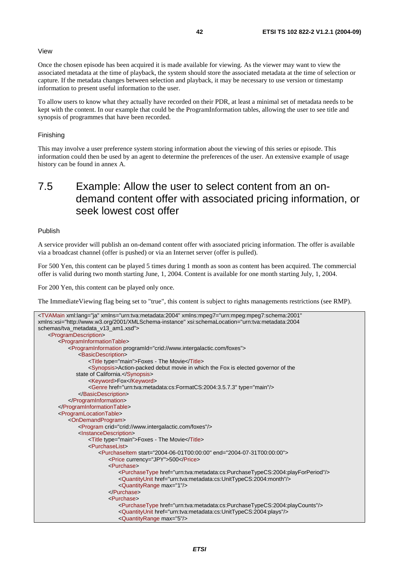#### View

Once the chosen episode has been acquired it is made available for viewing. As the viewer may want to view the associated metadata at the time of playback, the system should store the associated metadata at the time of selection or capture. If the metadata changes between selection and playback, it may be necessary to use version or timestamp information to present useful information to the user.

To allow users to know what they actually have recorded on their PDR, at least a minimal set of metadata needs to be kept with the content. In our example that could be the ProgramInformation tables, allowing the user to see title and synopsis of programmes that have been recorded.

#### Finishing

This may involve a user preference system storing information about the viewing of this series or episode. This information could then be used by an agent to determine the preferences of the user. An extensive example of usage history can be found in annex A.

## 7.5 Example: Allow the user to select content from an ondemand content offer with associated pricing information, or seek lowest cost offer

#### Publish

A service provider will publish an on-demand content offer with associated pricing information. The offer is available via a broadcast channel (offer is pushed) or via an Internet server (offer is pulled).

For 500 Yen, this content can be played 5 times during 1 month as soon as content has been acquired. The commercial offer is valid during two month starting June, 1, 2004. Content is available for one month starting July, 1, 2004.

For 200 Yen, this content can be played only once.

The ImmediateViewing flag being set to "true", this content is subject to rights managements restrictions (see RMP).

```
<TVAMain xml:lang="ja" xmlns="urn:tva:metadata:2004" xmlns:mpeg7="urn:mpeg:mpeg7:schema:2001" 
xmlns:xsi="http://www.w3.org/2001/XMLSchema-instance" xsi:schemaLocation="urn:tva:metadata:2004 
schemas/tva_metadata_v13_am1.xsd">
    <ProgramDescription> 
        <ProgramInformationTable> 
            <ProgramInformation programId="crid://www.intergalactic.com/foxes"> 
                <BasicDescription> 
                    <Title type="main">Foxes - The Movie</Title> 
                    <Synopsis>Action-packed debut movie in which the Fox is elected governor of the 
              state of California.</Synopsis>
                    <Keyword>Fox</Keyword> 
                    <Genre href="urn:tva:metadata:cs:FormatCS:2004:3.5.7.3" type="main"/> 
                </BasicDescription> 
            </ProgramInformation> 
        </ProgramInformationTable> 
        <ProgramLocationTable> 
            <OnDemandProgram> 
                <Program crid="crid://www.intergalactic.com/foxes"/> 
                <InstanceDescription> 
                    <Title type="main">Foxes - The Movie</Title> 
                    <PurchaseList> 
                        <PurchaseItem start="2004-06-01T00:00:00" end="2004-07-31T00:00:00"> 
                            <Price currency="JPY">500</Price> 
                            <Purchase> 
                               <PurchaseType href="urn:tva:metadata:cs:PurchaseTypeCS:2004:playForPeriod"/> 
                               <QuantityUnit href="urn:tva:metadata:cs:UnitTypeCS:2004:month"/> 
                               <QuantityRange max="1"/> 
                            </Purchase> 
                            <Purchase> 
                               <PurchaseType href="urn:tva:metadata:cs:PurchaseTypeCS:2004:playCounts"/> 
                               <QuantityUnit href="urn:tva:metadata:cs:UnitTypeCS:2004:plays"/> 
                               <QuantityRange max="5"/>
```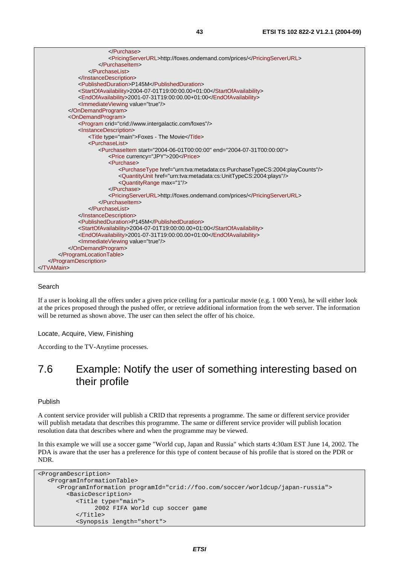| <pricingserverurl>http://foxes.ondemand.com/prices/</pricingserverurl>                  |
|-----------------------------------------------------------------------------------------|
| $\le$ /Purchaseltem>                                                                    |
|                                                                                         |
|                                                                                         |
| <publishedduration>P145M</publishedduration>                                            |
| <startofavailability>2004-07-01T19:00:00.00+01:00</startofavailability>                 |
| <endofavailability>2001-07-31T19:00:00.00+01:00</endofavailability>                     |
|                                                                                         |
|                                                                                         |
| <ondemandprogram></ondemandprogram>                                                     |
| <program crid="crid://www.intergalactic.com/foxes"></program>                           |
| <instancedescription></instancedescription>                                             |
| <title type="main">Foxes - The Movie</title>                                            |
| <purchaselist></purchaselist>                                                           |
| <purchaseltem end="2004-07-31T00:00:00" start="2004-06-01T00:00:00"></purchaseltem>     |
| <price currency="JPY">200</price>                                                       |
| <purchase></purchase>                                                                   |
| <purchasetype href="urn:tva:metadata:cs:PurchaseTypeCS:2004:playCounts"></purchasetype> |
| <quantityunit href="urn:tva:metadata:cs:UnitTypeCS:2004:plays"></quantityunit>          |
| <quantityrange max="1"></quantityrange>                                                 |
|                                                                                         |
| <pricingserverurl>http://foxes.ondemand.com/prices/</pricingserverurl>                  |
|                                                                                         |
|                                                                                         |
|                                                                                         |
| <publishedduration>P145M</publishedduration>                                            |
| <startofavailability>2004-07-01T19:00:00.00+01:00</startofavailability>                 |
| <endofavailability>2001-07-31T19:00:00.00+01:00</endofavailability>                     |
|                                                                                         |
|                                                                                         |
|                                                                                         |
|                                                                                         |
|                                                                                         |

#### Search

If a user is looking all the offers under a given price ceiling for a particular movie (e.g. 1 000 Yens), he will either look at the prices proposed through the pushed offer, or retrieve additional information from the web server. The information will be returned as shown above. The user can then select the offer of his choice.

Locate, Acquire, View, Finishing

According to the TV-Anytime processes.

### 7.6 Example: Notify the user of something interesting based on their profile

#### Publish

A content service provider will publish a CRID that represents a programme. The same or different service provider will publish metadata that describes this programme. The same or different service provider will publish location resolution data that describes where and when the programme may be viewed.

In this example we will use a soccer game "World cup, Japan and Russia" which starts 4:30am EST June 14, 2002. The PDA is aware that the user has a preference for this type of content because of his profile that is stored on the PDR or NDR.

```
<ProgramDescription> 
   <ProgramInformationTable> 
      <ProgramInformation programId="crid://foo.com/soccer/worldcup/japan-russia"> 
         <BasicDescription> 
            <Title type="main"> 
                 2002 FIFA World cup soccer game 
            </Title> 
            <Synopsis length="short">
```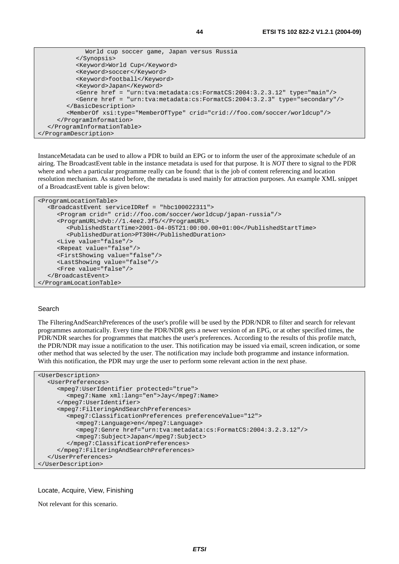```
 World cup soccer game, Japan versus Russia 
            </Synopsis> 
            <Keyword>World Cup</Keyword> 
            <Keyword>soccer</Keyword> 
            <Keyword>football</Keyword> 
            <Keyword>Japan</Keyword> 
            <Genre href = "urn:tva:metadata:cs:FormatCS:2004:3.2.3.12" type="main"/> 
            <Genre href = "urn:tva:metadata:cs:FormatCS:2004:3.2.3" type="secondary"/> 
         </BasicDescription> 
         <MemberOf xsi:type="MemberOfType" crid="crid://foo.com/soccer/worldcup"/> 
      </ProgramInformation> 
   </ProgramInformationTable> 
</ProgramDescription>
```
InstanceMetadata can be used to allow a PDR to build an EPG or to inform the user of the approximate schedule of an airing. The BroadcastEvent table in the instance metadata is used for that purpose. It is *NOT* there to signal to the PDR where and when a particular programme really can be found: that is the job of content referencing and location resolution mechanism. As stated before, the metadata is used mainly for attraction purposes. An example XML snippet of a BroadcastEvent table is given below:

```
<ProgramLocationTable> 
   <BroadcastEvent serviceIDRef = "hbc100022311"> 
      <Program crid=" crid://foo.com/soccer/worldcup/japan-russia"/> 
      <ProgramURL>dvb://1.4ee2.3f5/</ProgramURL> 
         <PublishedStartTime>2001-04-05T21:00:00.00+01:00</PublishedStartTime> 
         <PublishedDuration>PT30H</PublishedDuration> 
      <Live value="false"/> 
      <Repeat value="false"/> 
      <FirstShowing value="false"/> 
      <LastShowing value="false"/> 
      <Free value="false"/> 
   </BroadcastEvent> 
</ProgramLocationTable>
```
#### Search

The FilteringAndSearchPreferences of the user's profile will be used by the PDR/NDR to filter and search for relevant programmes automatically. Every time the PDR/NDR gets a newer version of an EPG, or at other specified times, the PDR/NDR searches for programmes that matches the user's preferences. According to the results of this profile match, the PDR/NDR may issue a notification to the user. This notification may be issued via email, screen indication, or some other method that was selected by the user. The notification may include both programme and instance information. With this notification, the PDR may urge the user to perform some relevant action in the next phase.

```
<UserDescription> 
   <UserPreferences> 
      <mpeg7:UserIdentifier protected="true"> 
         <mpeg7:Name xml:lang="en">Jay</mpeg7:Name> 
      </mpeg7:UserIdentifier> 
      <mpeg7:FilteringAndSearchPreferences> 
         <mpeg7:ClassificationPreferences preferenceValue="12"> 
            <mpeg7:Language>en</mpeg7:Language> 
            <mpeg7:Genre href="urn:tva:metadata:cs:FormatCS:2004:3.2.3.12"/> 
            <mpeg7:Subject>Japan</mpeg7:Subject> 
         </mpeg7:ClassificationPreferences> 
      </mpeg7:FilteringAndSearchPreferences> 
   </UserPreferences> 
</UserDescription>
```
#### Locate, Acquire, View, Finishing

Not relevant for this scenario.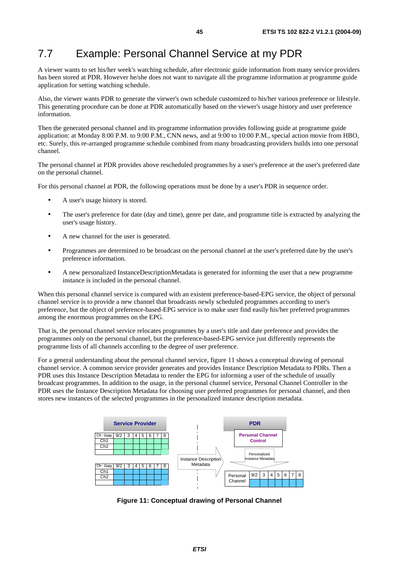## 7.7 Example: Personal Channel Service at my PDR

A viewer wants to set his/her week's watching schedule, after electronic guide information from many service providers has been stored at PDR. However he/she does not want to navigate all the programme information at programme guide application for setting watching schedule.

Also, the viewer wants PDR to generate the viewer's own schedule customized to his/her various preference or lifestyle. This generating procedure can be done at PDR automatically based on the viewer's usage history and user preference information.

Then the generated personal channel and its programme information provides following guide at programme guide application: at Monday 8:00 P.M. to 9:00 P.M., CNN news, and at 9:00 to 10:00 P.M., special action movie from HBO, etc. Surely, this re-arranged programme schedule combined from many broadcasting providers builds into one personal channel.

The personal channel at PDR provides above rescheduled programmes by a user's preference at the user's preferred date on the personal channel.

For this personal channel at PDR, the following operations must be done by a user's PDR in sequence order.

- A user's usage history is stored.
- The user's preference for date (day and time), genre per date, and programme title is extracted by analyzing the user's usage history.
- A new channel for the user is generated.
- Programmes are determined to be broadcast on the personal channel at the user's preferred date by the user's preference information.
- A new personalized InstanceDescriptionMetadata is generated for informing the user that a new programme instance is included in the personal channel.

When this personal channel service is compared with an existent preference-based-EPG service, the object of personal channel service is to provide a new channel that broadcasts newly scheduled programmes according to user's preference, but the object of preference-based-EPG service is to make user find easily his/her preferred programmes among the enormous programmes on the EPG.

That is, the personal channel service relocates programmes by a user's title and date preference and provides the programmes only on the personal channel, but the preference-based-EPG service just differently represents the programme lists of all channels according to the degree of user preference.

For a general understanding about the personal channel service, figure 11 shows a conceptual drawing of personal channel service. A common service provider generates and provides Instance Description Metadata to PDRs. Then a PDR uses this Instance Description Metadata to render the EPG for informing a user of the schedule of usually broadcast programmes. In addition to the usage, in the personal channel service, Personal Channel Controller in the PDR uses the Instance Description Metadata for choosing user preferred programmes for personal channel, and then stores new instances of the selected programmes in the personalized instance description metadata.



**Figure 11: Conceptual drawing of Personal Channel**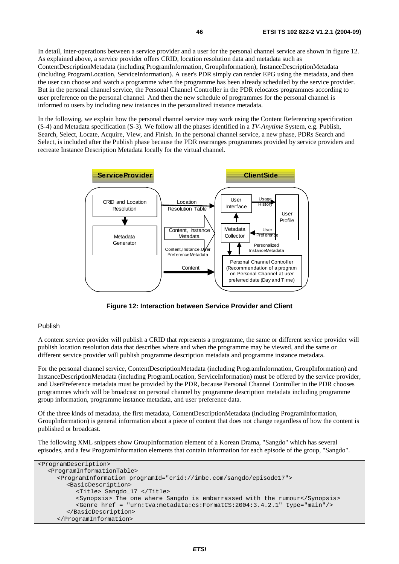In detail, inter-operations between a service provider and a user for the personal channel service are shown in figure 12. As explained above, a service provider offers CRID, location resolution data and metadata such as ContentDescriptionMetadata (including ProgramInformation, GroupInformation), InstanceDescriptionMetadata (including ProgramLocation, ServiceInformation). A user's PDR simply can render EPG using the metadata, and then the user can choose and watch a programme when the programme has been already scheduled by the service provider. But in the personal channel service, the Personal Channel Controller in the PDR relocates programmes according to user preference on the personal channel. And then the new schedule of programmes for the personal channel is informed to users by including new instances in the personalized instance metadata.

In the following, we explain how the personal channel service may work using the Content Referencing specification (S-4) and Metadata specification (S-3). We follow all the phases identified in a *TV-Anytime* System, e.g. Publish, Search, Select, Locate, Acquire, View, and Finish. In the personal channel service, a new phase, PDRs Search and Select, is included after the Publish phase because the PDR rearranges programmes provided by service providers and recreate Instance Description Metadata locally for the virtual channel.



**Figure 12: Interaction between Service Provider and Client** 

#### Publish

A content service provider will publish a CRID that represents a programme, the same or different service provider will publish location resolution data that describes where and when the programme may be viewed, and the same or different service provider will publish programme description metadata and programme instance metadata.

For the personal channel service, ContentDescriptionMetadata (including ProgramInformation, GroupInformation) and InstanceDescriptionMetadata (including ProgramLocation, ServiceInformation) must be offered by the service provider, and UserPreference metadata must be provided by the PDR, because Personal Channel Controller in the PDR chooses programmes which will be broadcast on personal channel by programme description metadata including programme group information, programme instance metadata, and user preference data.

Of the three kinds of metadata, the first metadata, ContentDescriptionMetadata (including ProgramInformation, GroupInformation) is general information about a piece of content that does not change regardless of how the content is published or broadcast.

The following XML snippets show GroupInformation element of a Korean Drama, "Sangdo" which has several episodes, and a few ProgramInformation elements that contain information for each episode of the group, "Sangdo".

```
<ProgramDescription> 
   <ProgramInformationTable> 
      <ProgramInformation programId="crid://imbc.com/sangdo/episode17"> 
         <BasicDescription> 
           <Title> Sangdo_17 </Title> 
           <Synopsis> The one where Sangdo is embarrassed with the rumour</Synopsis> 
           <Genre href = "urn:tva:metadata:cs:FormatCS:2004:3.4.2.1" type="main"/> 
         </BasicDescription> 
      </ProgramInformation>
```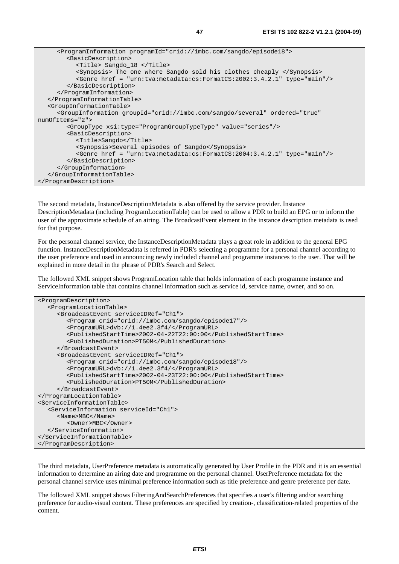```
 <ProgramInformation programId="crid://imbc.com/sangdo/episode18"> 
         <BasicDescription> 
            <Title> Sangdo_18 </Title> 
            <Synopsis> The one where Sangdo sold his clothes cheaply </Synopsis> 
            <Genre href = "urn:tva:metadata:cs:FormatCS:2002:3.4.2.1" type="main"/> 
         </BasicDescription> 
      </ProgramInformation> 
   </ProgramInformationTable> 
   <GroupInformationTable> 
      <GroupInformation groupId="crid://imbc.com/sangdo/several" ordered="true" 
numOfItems="2"> 
         <GroupType xsi:type="ProgramGroupTypeType" value="series"/> 
         <BasicDescription> 
            <Title>Sangdo</Title> 
            <Synopsis>Several episodes of Sangdo</Synopsis> 
            <Genre href = "urn:tva:metadata:cs:FormatCS:2004:3.4.2.1" type="main"/> 
         </BasicDescription> 
      </GroupInformation> 
   </GroupInformationTable> 
</ProgramDescription>
```
The second metadata, InstanceDescriptionMetadata is also offered by the service provider. Instance DescriptionMetadata (including ProgramLocationTable) can be used to allow a PDR to build an EPG or to inform the user of the approximate schedule of an airing. The BroadcastEvent element in the instance description metadata is used for that purpose.

For the personal channel service, the InstanceDescriptionMetadata plays a great role in addition to the general EPG function. InstanceDescriptionMetadata is referred in PDR's selecting a programme for a personal channel according to the user preference and used in announcing newly included channel and programme instances to the user. That will be explained in more detail in the phrase of PDR's Search and Select.

The followed XML snippet shows ProgramLocation table that holds information of each programme instance and ServiceInformation table that contains channel information such as service id, service name, owner, and so on.

```
<ProgramDescription> 
   <ProgramLocationTable> 
      <BroadcastEvent serviceIDRef="Ch1"> 
         <Program crid="crid://imbc.com/sangdo/episode17"/> 
         <ProgramURL>dvb://1.4ee2.3f4/</ProgramURL> 
         <PublishedStartTime>2002-04-22T22:00:00</PublishedStartTime> 
         <PublishedDuration>PT50M</PublishedDuration> 
      </BroadcastEvent> 
      <BroadcastEvent serviceIDRef="Ch1"> 
         <Program crid="crid://imbc.com/sangdo/episode18"/> 
         <ProgramURL>dvb://1.4ee2.3f4/</ProgramURL> 
         <PublishedStartTime>2002-04-23T22:00:00</PublishedStartTime> 
         <PublishedDuration>PT50M</PublishedDuration> 
      </BroadcastEvent> 
</ProgramLocationTable> 
<ServiceInformationTable> 
   <ServiceInformation serviceId="Ch1"> 
      <Name>MBC</Name> 
         <Owner>MBC</Owner> 
   </ServiceInformation> 
</ServiceInformationTable> 
</ProgramDescription>
```
The third metadata, UserPreference metadata is automatically generated by User Profile in the PDR and it is an essential information to determine an airing date and programme on the personal channel. UserPreference metadata for the personal channel service uses minimal preference information such as title preference and genre preference per date.

The followed XML snippet shows FilteringAndSearchPreferences that specifies a user's filtering and/or searching preference for audio-visual content. These preferences are specified by creation-, classification-related properties of the content.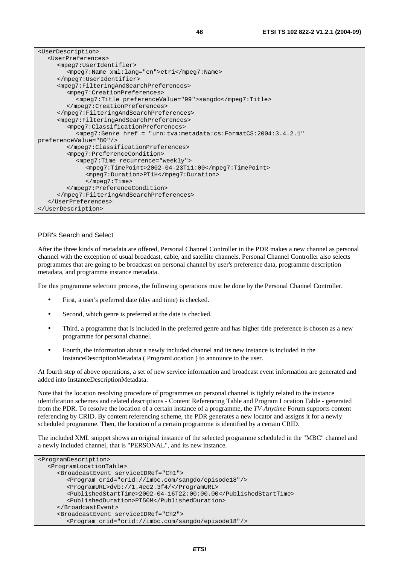| <userdescription></userdescription>                                         |
|-----------------------------------------------------------------------------|
| <userpreferences></userpreferences>                                         |
| <mpeq7:useridentifier></mpeq7:useridentifier>                               |
| <mpeq7:name xml:lang="en">etri</mpeq7:name>                                 |
|                                                                             |
| <mpeq7:filteringandsearchpreferences></mpeq7:filteringandsearchpreferences> |
| <mpeq7:creationpreferences></mpeq7:creationpreferences>                     |
| <mpeq7:title preferencevalue="99">sangdo</mpeq7:title>                      |
|                                                                             |
|                                                                             |
| <mpeq7:filteringandsearchpreferences></mpeq7:filteringandsearchpreferences> |
| <mpeq7:classificationpreferences></mpeq7:classificationpreferences>         |
| $\langle mpeq7:Genre$ href = "urn:tva:metadata:cs:FormatCS:2004:3.4.2.1"    |
| preferenceValue="80"/>                                                      |
|                                                                             |
| <mpeq7:preferencecondition></mpeq7:preferencecondition>                     |
| <mpeq7:time recurrence="weekly"></mpeq7:time>                               |
| $<$ mpeq $7:$ TimePoint>2002-04-23T11:007:TimePoint>                        |
| <mpeq7:duration>PT1H</mpeq7:duration>                                       |
| $<$ /mpeq $7:$ Time>                                                        |
|                                                                             |
|                                                                             |
|                                                                             |
|                                                                             |

#### PDR's Search and Select

After the three kinds of metadata are offered, Personal Channel Controller in the PDR makes a new channel as personal channel with the exception of usual broadcast, cable, and satellite channels. Personal Channel Controller also selects programmes that are going to be broadcast on personal channel by user's preference data, programme description metadata, and programme instance metadata.

For this programme selection process, the following operations must be done by the Personal Channel Controller.

- First, a user's preferred date (day and time) is checked.
- Second, which genre is preferred at the date is checked.
- Third, a programme that is included in the preferred genre and has higher title preference is chosen as a new programme for personal channel.
- Fourth, the information about a newly included channel and its new instance is included in the InstanceDescriptionMetadata ( ProgramLocation ) to announce to the user.

At fourth step of above operations, a set of new service information and broadcast event information are generated and added into InstanceDescriptionMetadata.

Note that the location resolving procedure of programmes on personal channel is tightly related to the instance identification schemes and related descriptions - Content Referencing Table and Program Location Table - generated from the PDR. To resolve the location of a certain instance of a programme, the *TV-Anytime* Forum supports content referencing by CRID. By content referencing scheme, the PDR generates a new locator and assigns it for a newly scheduled programme. Then, the location of a certain programme is identified by a certain CRID.

The included XML snippet shows an original instance of the selected programme scheduled in the "MBC" channel and a newly included channel, that is "PERSONAL", and its new instance.

```
<ProgramDescription> 
   <ProgramLocationTable> 
      <BroadcastEvent serviceIDRef="Ch1"> 
         <Program crid="crid://imbc.com/sangdo/episode18"/> 
         <ProgramURL>dvb://1.4ee2.3f4/</ProgramURL> 
         <PublishedStartTime>2002-04-16T22:00:00.00</PublishedStartTime> 
         <PublishedDuration>PT50M</PublishedDuration> 
      </BroadcastEvent> 
      <BroadcastEvent serviceIDRef="Ch2"> 
         <Program crid="crid://imbc.com/sangdo/episode18"/>
```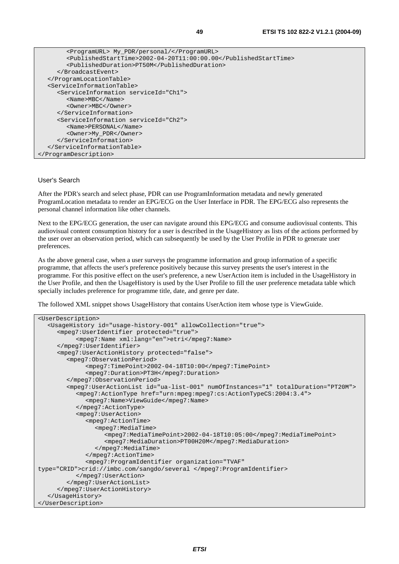| <programurl> My_PDR/personal/</programurl>                      |
|-----------------------------------------------------------------|
| <publishedstarttime>2002-04-20T11:00:00.00</publishedstarttime> |
| <publishedduration>PT50M</publishedduration>                    |
|                                                                 |
|                                                                 |
| <serviceinformationtable></serviceinformationtable>             |
| <serviceinformation serviceid="Ch1"></serviceinformation>       |
| $<$ Name>MBC $<$ /Name>                                         |
| <owner>MBC</owner>                                              |
|                                                                 |
| <serviceinformation serviceid="Ch2"></serviceinformation>       |
| <name>PERSONAL</name>                                           |
| <owner>My PDR</owner>                                           |
|                                                                 |
|                                                                 |
|                                                                 |

#### User's Search

After the PDR's search and select phase, PDR can use ProgramInformation metadata and newly generated ProgramLocation metadata to render an EPG/ECG on the User Interface in PDR. The EPG/ECG also represents the personal channel information like other channels.

Next to the EPG/ECG generation, the user can navigate around this EPG/ECG and consume audiovisual contents. This audiovisual content consumption history for a user is described in the UsageHistory as lists of the actions performed by the user over an observation period, which can subsequently be used by the User Profile in PDR to generate user preferences.

As the above general case, when a user surveys the programme information and group information of a specific programme, that affects the user's preference positively because this survey presents the user's interest in the programme. For this positive effect on the user's preference, a new UserAction item is included in the UsageHistory in the User Profile, and then the UsageHistory is used by the User Profile to fill the user preference metadata table which specially includes preference for programme title, date, and genre per date.

The followed XML snippet shows UsageHistory that contains UserAction item whose type is ViewGuide.

```
<UserDescription> 
   <UsageHistory id="usage-history-001" allowCollection="true"> 
      <mpeg7:UserIdentifier protected="true"> 
            <mpeg7:Name xml:lang="en">etri</mpeg7:Name> 
      </mpeg7:UserIdentifier> 
      <mpeg7:UserActionHistory protected="false"> 
         <mpeg7:ObservationPeriod> 
              <mpeg7:TimePoint>2002-04-18T10:00</mpeg7:TimePoint> 
              <mpeg7:Duration>PT3H</mpeg7:Duration> 
         </mpeg7:ObservationPeriod> 
         <mpeg7:UserActionList id="ua-list-001" numOfInstances="1" totalDuration="PT20M"> 
            <mpeg7:ActionType href="urn:mpeg:mpeg7:cs:ActionTypeCS:2004:3.4"> 
               <mpeg7:Name>ViewGuide</mpeg7:Name> 
            </mpeg7:ActionType> 
            <mpeg7:UserAction> 
               <mpeg7:ActionTime> 
                 <mpeg7:MediaTime> 
                    <mpeg7:MediaTimePoint>2002-04-18T10:05:00</mpeg7:MediaTimePoint> 
                    <mpeg7:MediaDuration>PT00H20M</mpeg7:MediaDuration> 
                 </mpeg7:MediaTime> 
              </mpeg7:ActionTime> 
               <mpeg7:ProgramIdentifier organization="TVAF" 
type="CRID">crid://imbc.com/sangdo/several </mpeg7:ProgramIdentifier> 
            </mpeg7:UserAction> 
         </mpeg7:UserActionList> 
      </mpeg7:UserActionHistory> 
   </UsageHistory> 
</UserDescription>
```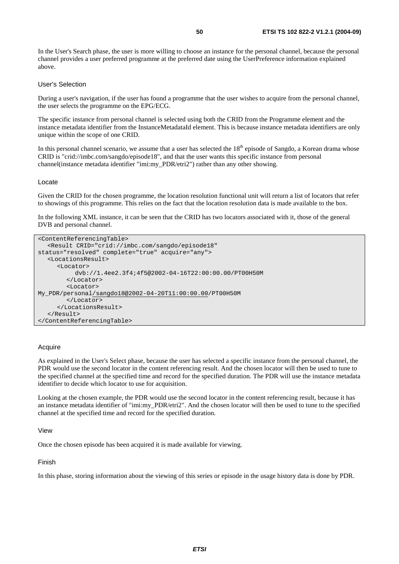In the User's Search phase, the user is more willing to choose an instance for the personal channel, because the personal channel provides a user preferred programme at the preferred date using the UserPreference information explained above.

#### User's Selection

During a user's navigation, if the user has found a programme that the user wishes to acquire from the personal channel, the user selects the programme on the EPG/ECG.

The specific instance from personal channel is selected using both the CRID from the Programme element and the instance metadata identifier from the InstanceMetadataId element. This is because instance metadata identifiers are only unique within the scope of one CRID.

In this personal channel scenario, we assume that a user has selected the  $18<sup>th</sup>$  episode of Sangdo, a Korean drama whose CRID is "crid://imbc.com/sangdo/episode18", and that the user wants this specific instance from personal channel(instance metadata identifier "imi:my\_PDR/etri2") rather than any other showing.

#### Locate

Given the CRID for the chosen programme, the location resolution functional unit will return a list of locators that refer to showings of this programme. This relies on the fact that the location resolution data is made available to the box.

In the following XML instance, it can be seen that the CRID has two locators associated with it, those of the general DVB and personal channel.

```
<ContentReferencingTable> 
    <Result CRID="crid://imbc.com/sangdo/episode18" 
status="resolved" complete="true" acquire="any"> 
    <LocationsResult> 
       <Locator> 
            dvb://1.4ee2.3f4;4f5@2002-04-16T22:00:00.00/PT00H50M 
         </Locator> 
         <Locator> 
My_PDR/personal/sangdo18@2002-04-20T11:00:00.00/PT00H50M 
         </Locator> 
      </LocationsResult> 
    </Result> 
</ContentReferencingTable>
```
#### Acquire

As explained in the User's Select phase, because the user has selected a specific instance from the personal channel, the PDR would use the second locator in the content referencing result. And the chosen locator will then be used to tune to the specified channel at the specified time and record for the specified duration. The PDR will use the instance metadata identifier to decide which locator to use for acquisition.

Looking at the chosen example, the PDR would use the second locator in the content referencing result, because it has an instance metadata identifier of "imi:my\_PDR/etri2". And the chosen locator will then be used to tune to the specified channel at the specified time and record for the specified duration.

 $V$ i $\approx$ 

Once the chosen episode has been acquired it is made available for viewing.

Finish

In this phase, storing information about the viewing of this series or episode in the usage history data is done by PDR.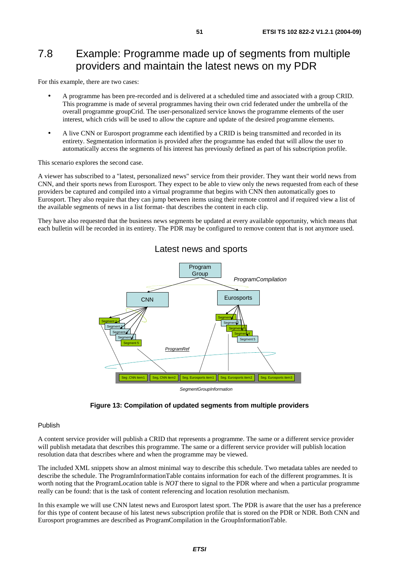## 7.8 Example: Programme made up of segments from multiple providers and maintain the latest news on my PDR

For this example, there are two cases:

- A programme has been pre-recorded and is delivered at a scheduled time and associated with a group CRID. This programme is made of several programmes having their own crid federated under the umbrella of the overall programme groupCrid. The user-personalized service knows the programme elements of the user interest, which crids will be used to allow the capture and update of the desired programme elements.
- A live CNN or Eurosport programme each identified by a CRID is being transmitted and recorded in its entirety. Segmentation information is provided after the programme has ended that will allow the user to automatically access the segments of his interest has previously defined as part of his subscription profile.

This scenario explores the second case.

A viewer has subscribed to a "latest, personalized news" service from their provider. They want their world news from CNN, and their sports news from Eurosport. They expect to be able to view only the news requested from each of these providers be captured and compiled into a virtual programme that begins with CNN then automatically goes to Eurosport. They also require that they can jump between items using their remote control and if required view a list of the available segments of news in a list format- that describes the content in each clip.

They have also requested that the business news segments be updated at every available opportunity, which means that each bulletin will be recorded in its entirety. The PDR may be configured to remove content that is not anymore used.



Latest news and sports

**Figure 13: Compilation of updated segments from multiple providers** 

#### Publish

A content service provider will publish a CRID that represents a programme. The same or a different service provider will publish metadata that describes this programme. The same or a different service provider will publish location resolution data that describes where and when the programme may be viewed.

The included XML snippets show an almost minimal way to describe this schedule. Two metadata tables are needed to describe the schedule. The ProgramInformationTable contains information for each of the different programmes. It is worth noting that the ProgramLocation table is *NOT* there to signal to the PDR where and when a particular programme really can be found: that is the task of content referencing and location resolution mechanism.

In this example we will use CNN latest news and Eurosport latest sport. The PDR is aware that the user has a preference for this type of content because of his latest news subscription profile that is stored on the PDR or NDR. Both CNN and Eurosport programmes are described as ProgramCompilation in the GroupInformationTable.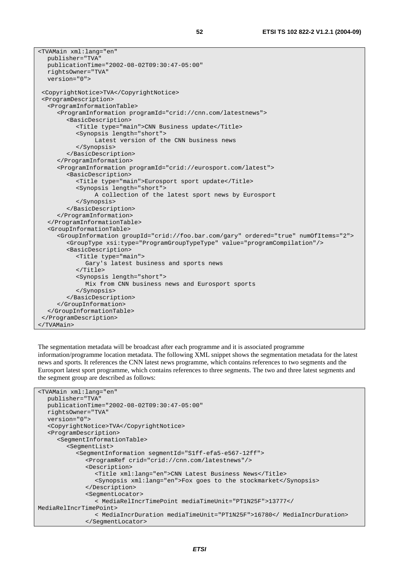```
<TVAMain xml:lang="en" 
   publisher="TVA" 
   publicationTime="2002-08-02T09:30:47-05:00" 
   rightsOwner="TVA" 
   version="0"> 
 <CopyrightNotice>TVA</CopyrightNotice> 
 <ProgramDescription> 
   <ProgramInformationTable> 
      <ProgramInformation programId="crid://cnn.com/latestnews"> 
         <BasicDescription> 
            <Title type="main">CNN Business update</Title> 
            <Synopsis length="short"> 
                 Latest version of the CNN business news 
            </Synopsis> 
         </BasicDescription> 
      </ProgramInformation> 
      <ProgramInformation programId="crid://eurosport.com/latest"> 
         <BasicDescription> 
            <Title type="main">Eurosport sport update</Title> 
            <Synopsis length="short"> 
                 A collection of the latest sport news by Eurosport 
            </Synopsis> 
         </BasicDescription> 
      </ProgramInformation> 
   </ProgramInformationTable> 
   <GroupInformationTable> 
      <GroupInformation groupId="crid://foo.bar.com/gary" ordered="true" numOfItems="2"> 
         <GroupType xsi:type="ProgramGroupTypeType" value="programCompilation"/> 
         <BasicDescription> 
            <Title type="main"> 
              Gary's latest business and sports news 
            </Title> 
            <Synopsis length="short"> 
              Mix from CNN business news and Eurosport sports 
            </Synopsis> 
         </BasicDescription> 
      </GroupInformation> 
   </GroupInformationTable> 
 </ProgramDescription>
```

```
</TVAMain>
```
The segmentation metadata will be broadcast after each programme and it is associated programme information/programme location metadata. The following XML snippet shows the segmentation metadata for the latest news and sports. It references the CNN latest news programme, which contains references to two segments and the Eurosport latest sport programme, which contains references to three segments. The two and three latest segments and the segment group are described as follows:

```
<TVAMain xml:lang="en" 
   publisher="TVA" 
    publicationTime="2002-08-02T09:30:47-05:00" 
   rightsOwner="TVA" 
   version="0"> 
    <CopyrightNotice>TVA</CopyrightNotice> 
    <ProgramDescription> 
       <SegmentInformationTable> 
         <SegmentList> 
            <SegmentInformation segmentId="S1ff-efa5-e567-12ff"> 
               <ProgramRef crid="crid://cnn.com/latestnews"/> 
               <Description> 
                  <Title xml:lang="en">CNN Latest Business News</Title> 
                  <Synopsis xml:lang="en">Fox goes to the stockmarket</Synopsis> 
               </Description> 
               <SegmentLocator> 
                  < MediaRelIncrTimePoint mediaTimeUnit="PT1N25F">13777</ 
MediaRelIncrTimePoint> 
                  < MediaIncrDuration mediaTimeUnit="PT1N25F">16780</ MediaIncrDuration> 
               </SegmentLocator>
```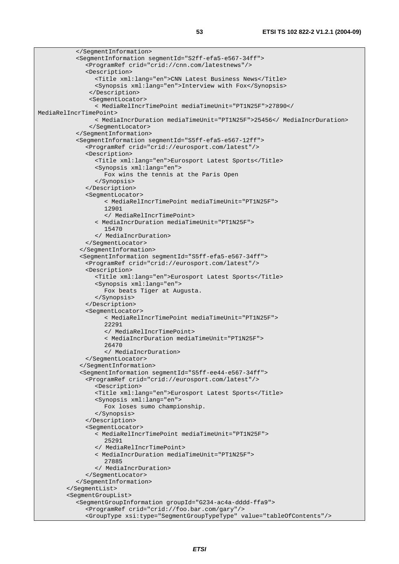```
 </SegmentInformation> 
            <SegmentInformation segmentId="S2ff-efa5-e567-34ff"> 
               <ProgramRef crid="crid://cnn.com/latestnews"/> 
               <Description> 
                  <Title xml:lang="en">CNN Latest Business News</Title> 
                  <Synopsis xml:lang="en">Interview with Fox</Synopsis> 
                </Description> 
                <SegmentLocator> 
                  < MediaRelIncrTimePoint mediaTimeUnit="PT1N25F">27890</ 
MediaRelIncrTimePoint> 
                  < MediaIncrDuration mediaTimeUnit="PT1N25F">25456</ MediaIncrDuration> 
                </SegmentLocator> 
            </SegmentInformation> 
            <SegmentInformation segmentId="S5ff-efa5-e567-12ff"> 
               <ProgramRef crid="crid://eurosport.com/latest"/> 
               <Description> 
                  <Title xml:lang="en">Eurosport Latest Sports</Title> 
                  <Synopsis xml:lang="en"> 
                     Fox wins the tennis at the Paris Open 
                  </Synopsis> 
               </Description> 
               <SegmentLocator> 
                     < MediaRelIncrTimePoint mediaTimeUnit="PT1N25F"> 
                     12901 
                     </ MediaRelIncrTimePoint> 
                  < MediaIncrDuration mediaTimeUnit="PT1N25F"> 
                     15470 
                  </ MediaIncrDuration> 
               </SegmentLocator> 
             </SegmentInformation> 
             <SegmentInformation segmentId="S5ff-efa5-e567-34ff"> 
               <ProgramRef crid="crid://eurosport.com/latest"/> 
               <Description> 
                  <Title xml:lang="en">Eurosport Latest Sports</Title> 
                  <Synopsis xml:lang="en"> 
                     Fox beats Tiger at Augusta. 
                  </Synopsis> 
               </Description> 
               <SegmentLocator> 
                     < MediaRelIncrTimePoint mediaTimeUnit="PT1N25F"> 
                     22291 
                     </ MediaRelIncrTimePoint> 
                     < MediaIncrDuration mediaTimeUnit="PT1N25F"> 
                     26470 
                     </ MediaIncrDuration> 
               </SegmentLocator> 
             </SegmentInformation> 
             <SegmentInformation segmentId="S5ff-ee44-e567-34ff"> 
               <ProgramRef crid="crid://eurosport.com/latest"/> 
                  <Description> 
                  <Title xml:lang="en">Eurosport Latest Sports</Title> 
                  <Synopsis xml:lang="en"> 
                     Fox loses sumo championship. 
                  </Synopsis> 
               </Description> 
               <SegmentLocator> 
                  < MediaRelIncrTimePoint mediaTimeUnit="PT1N25F"> 
                     25291 
                  </ MediaRelIncrTimePoint> 
                  < MediaIncrDuration mediaTimeUnit="PT1N25F"> 
                     27885 
                  </ MediaIncrDuration> 
               </SegmentLocator> 
            </SegmentInformation> 
         </SegmentList> 
         <SegmentGroupList> 
            <SegmentGroupInformation groupId="G234-ac4a-dddd-ffa9"> 
               <ProgramRef crid="crid://foo.bar.com/gary"/> 
               <GroupType xsi:type="SegmentGroupTypeType" value="tableOfContents"/>
```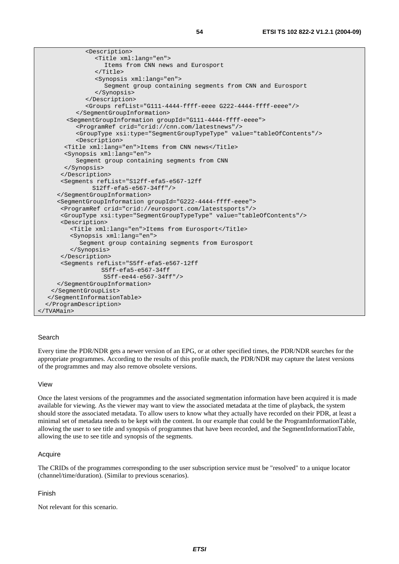| <description></description>                                                                                                                                                                                                                                                                                                          |
|--------------------------------------------------------------------------------------------------------------------------------------------------------------------------------------------------------------------------------------------------------------------------------------------------------------------------------------|
| <title xml:lang="en"></title>                                                                                                                                                                                                                                                                                                        |
| Items from CNN news and Eurosport                                                                                                                                                                                                                                                                                                    |
| $\langle$ Title>                                                                                                                                                                                                                                                                                                                     |
| <synopsis xml:lang="en"></synopsis>                                                                                                                                                                                                                                                                                                  |
| Seqment group containing seqments from CNN and Eurosport                                                                                                                                                                                                                                                                             |
|                                                                                                                                                                                                                                                                                                                                      |
|                                                                                                                                                                                                                                                                                                                                      |
| <groups reflist="G111-4444-ffff-eeee G222-4444-ffff-eeee"></groups>                                                                                                                                                                                                                                                                  |
|                                                                                                                                                                                                                                                                                                                                      |
| <seqmentgroupinformation qroupid="G111-4444-ffff-eeee"></seqmentgroupinformation>                                                                                                                                                                                                                                                    |
| <programref crid="crid://cnn.com/latestnews"></programref>                                                                                                                                                                                                                                                                           |
| <grouptype value="tableOfContents" xsi:type="SeqmentGroupTypeType"></grouptype>                                                                                                                                                                                                                                                      |
| <description><br/><title xml:lang="en">Items from CNN news</title></description>                                                                                                                                                                                                                                                     |
| <synopsis xml:lang="en"></synopsis>                                                                                                                                                                                                                                                                                                  |
| Segment group containing segments from CNN                                                                                                                                                                                                                                                                                           |
|                                                                                                                                                                                                                                                                                                                                      |
|                                                                                                                                                                                                                                                                                                                                      |
| <segments g222-4444-ffff-eeee"="" reflist="S12ff-efa5-e567-12ff&lt;/td&gt;&lt;/tr&gt;&lt;tr&gt;&lt;td&gt;&lt;math&gt;S12ff - efa5 - e567 - 34ff''/&lt;/math&gt;&lt;/td&gt;&lt;/tr&gt;&lt;tr&gt;&lt;td&gt;&lt;/SeqmentGroupInformation&gt;&lt;/td&gt;&lt;/tr&gt;&lt;tr&gt;&lt;td&gt;&lt;SegmentGroupInformation groupId="></segments> |
| <programref crid="crid://eurosport.com/latestsports"></programref>                                                                                                                                                                                                                                                                   |
| <grouptype value="tableOfContents" xsi:type="SegmentGroupTypeType"></grouptype>                                                                                                                                                                                                                                                      |
| <description></description>                                                                                                                                                                                                                                                                                                          |
| <title xml:lang="en">Items from Eurosport</title>                                                                                                                                                                                                                                                                                    |
| <synopsis xml:lang="en"></synopsis>                                                                                                                                                                                                                                                                                                  |
| Segment group containing segments from Eurosport                                                                                                                                                                                                                                                                                     |
|                                                                                                                                                                                                                                                                                                                                      |
|                                                                                                                                                                                                                                                                                                                                      |
| <seqments reflist="S5ff-efa5-e567-12ff&lt;/td&gt;&lt;/tr&gt;&lt;tr&gt;&lt;td&gt;&lt;math&gt;S5ff - efa5-e567-34ff&lt;/math&gt;&lt;/td&gt;&lt;/tr&gt;&lt;tr&gt;&lt;td&gt;S5ff-ee44-e567-34ff"></seqments>                                                                                                                             |
|                                                                                                                                                                                                                                                                                                                                      |
|                                                                                                                                                                                                                                                                                                                                      |
|                                                                                                                                                                                                                                                                                                                                      |
|                                                                                                                                                                                                                                                                                                                                      |
|                                                                                                                                                                                                                                                                                                                                      |

#### Search

Every time the PDR/NDR gets a newer version of an EPG, or at other specified times, the PDR/NDR searches for the appropriate programmes. According to the results of this profile match, the PDR/NDR may capture the latest versions of the programmes and may also remove obsolete versions.

#### View

Once the latest versions of the programmes and the associated segmentation information have been acquired it is made available for viewing. As the viewer may want to view the associated metadata at the time of playback, the system should store the associated metadata. To allow users to know what they actually have recorded on their PDR, at least a minimal set of metadata needs to be kept with the content. In our example that could be the ProgramInformationTable, allowing the user to see title and synopsis of programmes that have been recorded, and the SegmentInformationTable, allowing the use to see title and synopsis of the segments.

#### Acquire

The CRIDs of the programmes corresponding to the user subscription service must be "resolved" to a unique locator (channel/time/duration). (Similar to previous scenarios).

#### Finish

Not relevant for this scenario.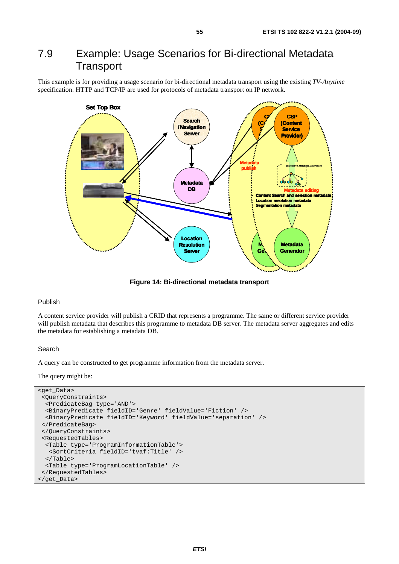### 7.9 Example: Usage Scenarios for Bi-directional Metadata **Transport**

This example is for providing a usage scenario for bi-directional metadata transport using the existing *TV-Anytime* specification. HTTP and TCP/IP are used for protocols of metadata transport on IP network.



**Figure 14: Bi-directional metadata transport** 

#### Publish

A content service provider will publish a CRID that represents a programme. The same or different service provider will publish metadata that describes this programme to metadata DB server. The metadata server aggregates and edits the metadata for establishing a metadata DB.

#### Search

A query can be constructed to get programme information from the metadata server.

The query might be:

```
<get_Data> 
  <QueryConstraints> 
  <PredicateBag type='AND'> 
  <BinaryPredicate fieldID='Genre' fieldValue='Fiction' /> 
  <BinaryPredicate fieldID='Keyword' fieldValue='separation' /> 
  </PredicateBag> 
  </QueryConstraints> 
  <RequestedTables> 
  <Table type='ProgramInformationTable'> 
   <SortCriteria fieldID='tvaf:Title' /> 
   </Table> 
   <Table type='ProgramLocationTable' /> 
  </RequestedTables> 
</get_Data>
```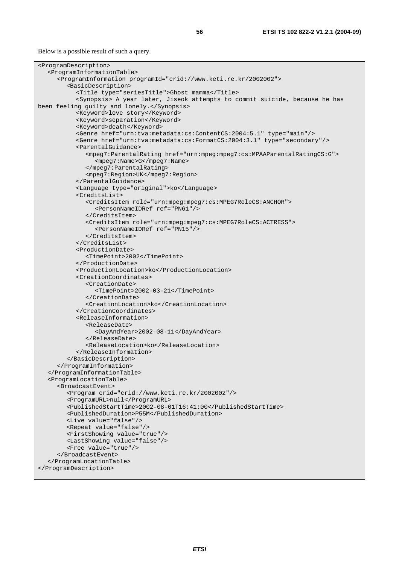Below is a possible result of such a query.

```
<ProgramDescription> 
    <ProgramInformationTable> 
       <ProgramInformation programId="crid://www.keti.re.kr/2002002"> 
         <BasicDescription> 
            <Title type="seriesTitle">Ghost mamma</Title> 
            <Synopsis> A year later, Jiseok attempts to commit suicide, because he has 
been feeling guilty and lonely.</Synopsis> 
            <Keyword>love story</Keyword> 
            <Keyword>separation</Keyword> 
            <Keyword>death</Keyword> 
            <Genre href="urn:tva:metadata:cs:ContentCS:2004:5.1" type="main"/> 
            <Genre href="urn:tva:metadata:cs:FormatCS:2004:3.1" type="secondary"/> 
            <ParentalGuidance> 
               <mpeg7:ParentalRating href="urn:mpeg:mpeg7:cs:MPAAParentalRatingCS:G"> 
                  <mpeg7:Name>G</mpeg7:Name> 
               </mpeg7:ParentalRating> 
               <mpeg7:Region>UK</mpeg7:Region> 
            </ParentalGuidance> 
            <Language type="original">ko</Language> 
            <CreditsList> 
               <CreditsItem role="urn:mpeg:mpeg7:cs:MPEG7RoleCS:ANCHOR"> 
                  <PersonNameIDRef ref="PN61"/> 
               </CreditsItem> 
               <CreditsItem role="urn:mpeg:mpeg7:cs:MPEG7RoleCS:ACTRESS"> 
                  <PersonNameIDRef ref="PN15"/> 
               </CreditsItem> 
            </CreditsList> 
            <ProductionDate> 
               <TimePoint>2002</TimePoint> 
            </ProductionDate> 
            <ProductionLocation>ko</ProductionLocation> 
            <CreationCoordinates> 
               <CreationDate> 
                  <TimePoint>2002-03-21</TimePoint> 
               </CreationDate> 
               <CreationLocation>ko</CreationLocation> 
            </CreationCoordinates> 
            <ReleaseInformation> 
               <ReleaseDate> 
                  <DayAndYear>2002-08-11</DayAndYear> 
               </ReleaseDate> 
               <ReleaseLocation>ko</ReleaseLocation> 
            </ReleaseInformation> 
         </BasicDescription> 
      </ProgramInformation> 
    </ProgramInformationTable> 
    <ProgramLocationTable> 
       <BroadcastEvent> 
         <Program crid="crid://www.keti.re.kr/2002002"/> 
         <ProgramURL>null</ProgramURL> 
         <PublishedStartTime>2002-08-01T16:41:00</PublishedStartTime> 
         <PublishedDuration>P55M</PublishedDuration> 
         <Live value="false"/> 
         <Repeat value="false"/> 
         <FirstShowing value="true"/> 
         <LastShowing value="false"/> 
         <Free value="true"/> 
       </BroadcastEvent> 
    </ProgramLocationTable> 
</ProgramDescription>
```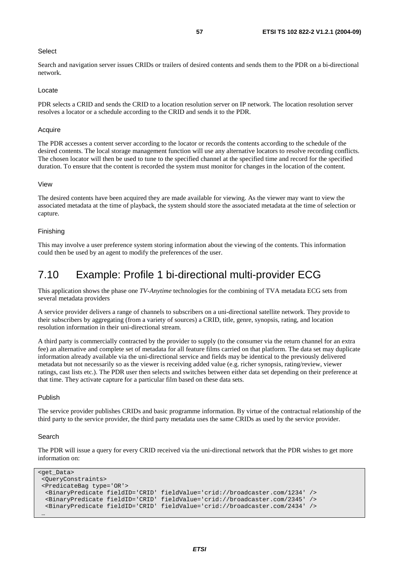#### **Select**

Search and navigation server issues CRIDs or trailers of desired contents and sends them to the PDR on a bi-directional network.

#### Locate

PDR selects a CRID and sends the CRID to a location resolution server on IP network. The location resolution server resolves a locator or a schedule according to the CRID and sends it to the PDR.

#### **Acquire**

The PDR accesses a content server according to the locator or records the contents according to the schedule of the desired contents. The local storage management function will use any alternative locators to resolve recording conflicts. The chosen locator will then be used to tune to the specified channel at the specified time and record for the specified duration. To ensure that the content is recorded the system must monitor for changes in the location of the content.

#### View

The desired contents have been acquired they are made available for viewing. As the viewer may want to view the associated metadata at the time of playback, the system should store the associated metadata at the time of selection or capture.

#### Finishing

This may involve a user preference system storing information about the viewing of the contents. This information could then be used by an agent to modify the preferences of the user.

### 7.10 Example: Profile 1 bi-directional multi-provider ECG

This application shows the phase one *TV-Anytime* technologies for the combining of TVA metadata ECG sets from several metadata providers

A service provider delivers a range of channels to subscribers on a uni-directional satellite network. They provide to their subscribers by aggregating (from a variety of sources) a CRID, title, genre, synopsis, rating, and location resolution information in their uni-directional stream.

A third party is commercially contracted by the provider to supply (to the consumer via the return channel for an extra fee) an alternative and complete set of metadata for all feature films carried on that platform. The data set may duplicate information already available via the uni-directional service and fields may be identical to the previously delivered metadata but not necessarily so as the viewer is receiving added value (e.g. richer synopsis, rating/review, viewer ratings, cast lists etc.). The PDR user then selects and switches between either data set depending on their preference at that time. They activate capture for a particular film based on these data sets.

#### Publish

The service provider publishes CRIDs and basic programme information. By virtue of the contractual relationship of the third party to the service provider, the third party metadata uses the same CRIDs as used by the service provider.

#### Search

The PDR will issue a query for every CRID received via the uni-directional network that the PDR wishes to get more information on:

```
<get Data>
 <QueryConstraints> 
 <PredicateBag type='OR'> 
  <BinaryPredicate fieldID='CRID' fieldValue='crid://broadcaster.com/1234' /> 
  <BinaryPredicate fieldID='CRID' fieldValue='crid://broadcaster.com/2345' /> 
  <BinaryPredicate fieldID='CRID' fieldValue='crid://broadcaster.com/2434' /> 
 …
```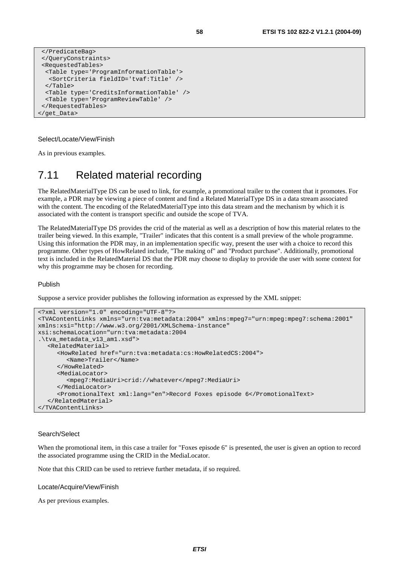```
 </PredicateBag> 
 </QueryConstraints> 
 <RequestedTables> 
  <Table type='ProgramInformationTable'> 
   <SortCriteria fieldID='tvaf:Title' /> 
   </Table> 
  <Table type='CreditsInformationTable' /> 
  <Table type='ProgramReviewTable' /> 
 </RequestedTables> 
</get_Data>
```
#### Select/Locate/View/Finish

As in previous examples.

### 7.11 Related material recording

The RelatedMaterialType DS can be used to link, for example, a promotional trailer to the content that it promotes. For example, a PDR may be viewing a piece of content and find a Related MaterialType DS in a data stream associated with the content. The encoding of the RelatedMaterialType into this data stream and the mechanism by which it is associated with the content is transport specific and outside the scope of TVA.

The RelatedMaterialType DS provides the crid of the material as well as a description of how this material relates to the trailer being viewed. In this example, "Trailer" indicates that this content is a small preview of the whole programme. Using this information the PDR may, in an implementation specific way, present the user with a choice to record this programme. Other types of HowRelated include, "The making of" and "Product purchase". Additionally, promotional text is included in the RelatedMaterial DS that the PDR may choose to display to provide the user with some context for why this programme may be chosen for recording.

#### Publish

Suppose a service provider publishes the following information as expressed by the XML snippet:

```
<?xml version="1.0" encoding="UTF-8"?> 
<TVAContentLinks xmlns="urn:tva:metadata:2004" xmlns:mpeg7="urn:mpeg:mpeg7:schema:2001" 
xmlns:xsi="http://www.w3.org/2001/XMLSchema-instance" 
xsi:schemaLocation="urn:tva:metadata:2004 
.\tva_metadata_v13_am1.xsd"> 
   <RelatedMaterial> 
      <HowRelated href="urn:tva:metadata:cs:HowRelatedCS:2004"> 
         <Name>Trailer</Name> 
      </HowRelated> 
      <MediaLocator> 
         <mpeg7:MediaUri>crid://whatever</mpeg7:MediaUri> 
      </MediaLocator> 
      <PromotionalText xml:lang="en">Record Foxes episode 6</PromotionalText> 
    </RelatedMaterial> 
</TVAContentLinks>
```
#### Search/Select

When the promotional item, in this case a trailer for "Foxes episode 6" is presented, the user is given an option to record the associated programme using the CRID in the MediaLocator.

Note that this CRID can be used to retrieve further metadata, if so required.

#### Locate/Acquire/View/Finish

As per previous examples.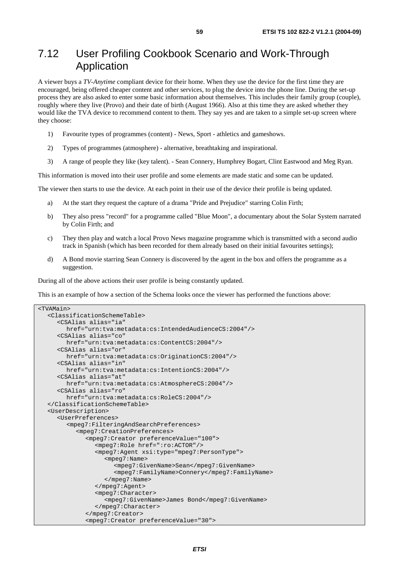### 7.12 User Profiling Cookbook Scenario and Work-Through Application

A viewer buys a *TV-Anytime* compliant device for their home. When they use the device for the first time they are encouraged, being offered cheaper content and other services, to plug the device into the phone line. During the set-up process they are also asked to enter some basic information about themselves. This includes their family group (couple), roughly where they live (Provo) and their date of birth (August 1966). Also at this time they are asked whether they would like the TVA device to recommend content to them. They say yes and are taken to a simple set-up screen where they choose:

- 1) Favourite types of programmes (content) News, Sport athletics and gameshows.
- 2) Types of programmes (atmosphere) alternative, breathtaking and inspirational.
- 3) A range of people they like (key talent). Sean Connery, Humphrey Bogart, Clint Eastwood and Meg Ryan.

This information is moved into their user profile and some elements are made static and some can be updated.

The viewer then starts to use the device. At each point in their use of the device their profile is being updated.

- a) At the start they request the capture of a drama "Pride and Prejudice" starring Colin Firth;
- b) They also press "record" for a programme called "Blue Moon", a documentary about the Solar System narrated by Colin Firth; and
- c) They then play and watch a local Provo News magazine programme which is transmitted with a second audio track in Spanish (which has been recorded for them already based on their initial favourites settings);
- d) A Bond movie starring Sean Connery is discovered by the agent in the box and offers the programme as a suggestion.

During all of the above actions their user profile is being constantly updated.

This is an example of how a section of the Schema looks once the viewer has performed the functions above:

```
<TVAMain> 
   <ClassificationSchemeTable> 
      <CSAlias alias="ia" 
         href="urn:tva:metadata:cs:IntendedAudienceCS:2004"/> 
      <CSAlias alias="co" 
         href="urn:tva:metadata:cs:ContentCS:2004"/> 
      <CSAlias alias="or" 
         href="urn:tva:metadata:cs:OriginationCS:2004"/> 
      <CSAlias alias="in" 
         href="urn:tva:metadata:cs:IntentionCS:2004"/> 
      <CSAlias alias="at" 
         href="urn:tva:metadata:cs:AtmosphereCS:2004"/> 
      <CSAlias alias="ro" 
         href="urn:tva:metadata:cs:RoleCS:2004"/> 
   </ClassificationSchemeTable> 
   <UserDescription> 
      <UserPreferences> 
         <mpeg7:FilteringAndSearchPreferences> 
            <mpeg7:CreationPreferences> 
               <mpeg7:Creator preferenceValue="100"> 
                  <mpeg7:Role href=":ro:ACTOR"/> 
                  <mpeg7:Agent xsi:type="mpeg7:PersonType"> 
                    <mpeg7:Name> 
                       <mpeg7:GivenName>Sean</mpeg7:GivenName> 
                       <mpeg7:FamilyName>Connery</mpeg7:FamilyName> 
                    </mpeg7:Name> 
                  </mpeg7:Agent> 
                  <mpeg7:Character> 
                     <mpeg7:GivenName>James Bond</mpeg7:GivenName> 
                  </mpeg7:Character> 
               </mpeg7:Creator> 
               <mpeg7:Creator preferenceValue="30">
```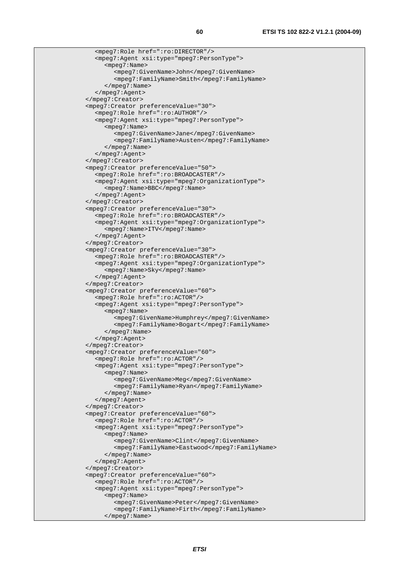```
 <mpeg7:Role href=":ro:DIRECTOR"/> 
    <mpeg7:Agent xsi:type="mpeg7:PersonType"> 
      <mpeg7:Name> 
         <mpeg7:GivenName>John</mpeg7:GivenName> 
         <mpeg7:FamilyName>Smith</mpeg7:FamilyName> 
      </mpeg7:Name> 
   </mpeg7:Agent> 
 </mpeg7:Creator> 
 <mpeg7:Creator preferenceValue="30"> 
   <mpeg7:Role href=":ro:AUTHOR"/> 
   <mpeg7:Agent xsi:type="mpeg7:PersonType"> 
      <mpeg7:Name> 
         <mpeg7:GivenName>Jane</mpeg7:GivenName> 
         <mpeg7:FamilyName>Austen</mpeg7:FamilyName> 
      </mpeg7:Name> 
   </mpeg7:Agent> 
 </mpeg7:Creator> 
 <mpeg7:Creator preferenceValue="50"> 
   <mpeg7:Role href=":ro:BROADCASTER"/> 
   <mpeg7:Agent xsi:type="mpeg7:OrganizationType"> 
      <mpeg7:Name>BBC</mpeg7:Name> 
    </mpeg7:Agent> 
 </mpeg7:Creator> 
 <mpeg7:Creator preferenceValue="30"> 
   <mpeg7:Role href=":ro:BROADCASTER"/> 
   <mpeg7:Agent xsi:type="mpeg7:OrganizationType"> 
      <mpeg7:Name>ITV</mpeg7:Name> 
    </mpeg7:Agent> 
 </mpeg7:Creator> 
 <mpeg7:Creator preferenceValue="30"> 
   <mpeg7:Role href=":ro:BROADCASTER"/> 
    <mpeg7:Agent xsi:type="mpeg7:OrganizationType"> 
      <mpeg7:Name>Sky</mpeg7:Name> 
   </mpeg7:Agent> 
 </mpeg7:Creator> 
 <mpeg7:Creator preferenceValue="60"> 
   <mpeg7:Role href=":ro:ACTOR"/> 
   <mpeg7:Agent xsi:type="mpeg7:PersonType"> 
      <mpeg7:Name> 
         <mpeg7:GivenName>Humphrey</mpeg7:GivenName> 
         <mpeg7:FamilyName>Bogart</mpeg7:FamilyName> 
      </mpeg7:Name> 
   </mpeg7:Agent> 
 </mpeg7:Creator> 
 <mpeg7:Creator preferenceValue="60"> 
   <mpeg7:Role href=":ro:ACTOR"/> 
   <mpeg7:Agent xsi:type="mpeg7:PersonType"> 
      <mpeg7:Name> 
         <mpeg7:GivenName>Meg</mpeg7:GivenName> 
         <mpeg7:FamilyName>Ryan</mpeg7:FamilyName> 
      </mpeg7:Name> 
   </mpeg7:Agent> 
 </mpeg7:Creator> 
 <mpeg7:Creator preferenceValue="60"> 
    <mpeg7:Role href=":ro:ACTOR"/> 
   <mpeg7:Agent xsi:type="mpeg7:PersonType"> 
      <mpeg7:Name> 
         <mpeg7:GivenName>Clint</mpeg7:GivenName> 
         <mpeg7:FamilyName>Eastwood</mpeg7:FamilyName> 
      </mpeg7:Name> 
    </mpeg7:Agent> 
 </mpeg7:Creator> 
 <mpeg7:Creator preferenceValue="60"> 
   <mpeg7:Role href=":ro:ACTOR"/> 
   <mpeg7:Agent xsi:type="mpeg7:PersonType"> 
      <mpeg7:Name> 
         <mpeg7:GivenName>Peter</mpeg7:GivenName> 
         <mpeg7:FamilyName>Firth</mpeg7:FamilyName> 
      </mpeg7:Name>
```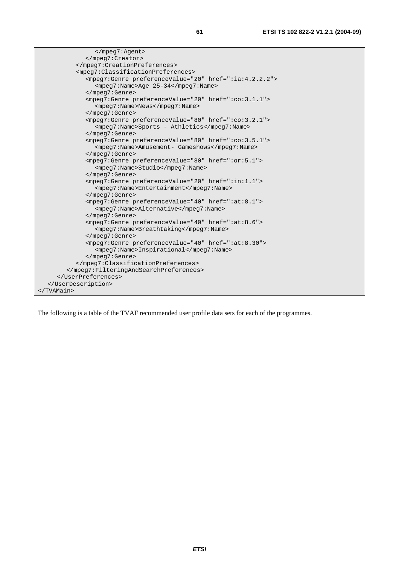| <mpeq7:classificationpreferences></mpeq7:classificationpreferences>                                         |
|-------------------------------------------------------------------------------------------------------------|
| <mpeq7:genre href=":ia:4.2.2.2" preferencevalue="20"></mpeq7:genre>                                         |
| <mpeq7:name>Aqe 25-34</mpeq7:name>                                                                          |
|                                                                                                             |
| <mpeq7:genre href=":co:3.1.1" preferencevalue="20"></mpeq7:genre>                                           |
| <mpeq7:name>News</mpeq7:name>                                                                               |
|                                                                                                             |
| <mpeq7:genre href=":co:3.2.1" preferencevalue="80"></mpeq7:genre>                                           |
| <mpeq7:name>Sports - Athletics</mpeq7:name>                                                                 |
|                                                                                                             |
| <mpeq7:genre href=":co:3.5.1" preferencevalue="80"></mpeq7:genre>                                           |
| <mpeg7:name>Amusement- Gameshows</mpeg7:name>                                                               |
|                                                                                                             |
| <mpeg7:genre href=":or:5.1" preferencevalue="80"></mpeg7:genre>                                             |
| <mpeg7:name>Studio</mpeg7:name>                                                                             |
|                                                                                                             |
| <mpeq7:genre href=":in:1.1" preferencevalue="20"></mpeq7:genre>                                             |
| <mpeq7:name>Entertainment</mpeq7:name>                                                                      |
|                                                                                                             |
| <mpeq7:genre href=":at:8.1" preferencevalue="40"></mpeq7:genre>                                             |
| <mpeq7:name>Alternative</mpeq7:name>                                                                        |
|                                                                                                             |
| <mpeq7:genre href=":at:8.6" preferencevalue="40"><br/><mpeq7:name>Breathtaking</mpeq7:name></mpeq7:genre>   |
|                                                                                                             |
|                                                                                                             |
| <mpeg7:genre href=":at:8.30" preferencevalue="40"><br/><mpeq7:name>Inspirational</mpeq7:name></mpeg7:genre> |
|                                                                                                             |
|                                                                                                             |
|                                                                                                             |
|                                                                                                             |
|                                                                                                             |
|                                                                                                             |
|                                                                                                             |

The following is a table of the TVAF recommended user profile data sets for each of the programmes.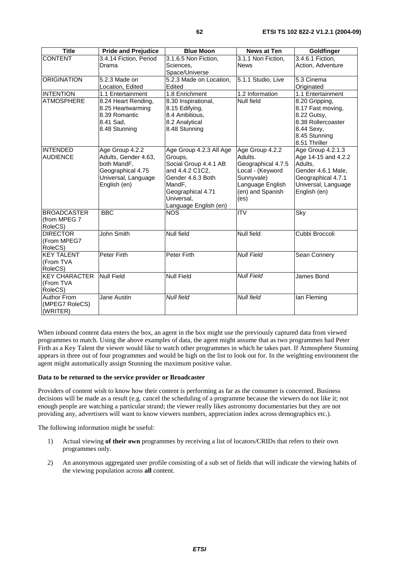| <b>Title</b>                                     | <b>Pride and Prejudice</b>                                                                                         | <b>Blue Moon</b>                                                                                                                                                          | <b>News at Ten</b>                                                                                                                 | Goldfinger                                                                                                                             |
|--------------------------------------------------|--------------------------------------------------------------------------------------------------------------------|---------------------------------------------------------------------------------------------------------------------------------------------------------------------------|------------------------------------------------------------------------------------------------------------------------------------|----------------------------------------------------------------------------------------------------------------------------------------|
| <b>CONTENT</b>                                   | 3.4.14 Fiction, Period<br>Drama                                                                                    | 3.1.6.5 Non Fiction,<br>Sciences,<br>Space/Universe                                                                                                                       | 3.1.1 Non Fiction,<br><b>News</b>                                                                                                  | 3.4.6.1 Fiction,<br>Action, Adventure                                                                                                  |
| <b>ORIGINATION</b>                               | 5.2.3 Made on<br>Location, Edited                                                                                  | 5.2.3 Made on Location,<br>Edited                                                                                                                                         | 5.1.1 Studio, Live                                                                                                                 | 5.3 Cinema<br>Originated                                                                                                               |
| <b>INTENTION</b>                                 | 1.1 Entertainment                                                                                                  | 1.8 Enrichment                                                                                                                                                            | 1.2 Information                                                                                                                    | 1.1 Entertainment                                                                                                                      |
| <b>ATMOSPHERE</b>                                | 8.24 Heart Rending,<br>8.25 Heartwarming<br>8.39 Romantic<br>8.41 Sad,<br>8.48 Stunning                            | 8.30 Inspirational,<br>8.15 Edifying,<br>8.4 Ambitious,<br>8.2 Analytical<br>8.48 Stunning                                                                                | Null field                                                                                                                         | 8.20 Gripping,<br>8.17 Fast moving,<br>8.22 Gutsy,<br>8.38 Rollercoaster<br>8.44 Sexy,<br>8.45 Stunning<br>8.51 Thriller               |
| <b>INTENDED</b><br><b>AUDIENCE</b>               | Age Group 4.2.2<br>Adults, Gender 4.63,<br>both MandF,<br>Geographical 4.75<br>Universal, Language<br>English (en) | Age Group 4.2.3 All Age<br>Groups,<br>Social Group 4.4.1 AB<br>and 4.4.2 C1C2,<br>Gender 4.6.3 Both<br>MandF.<br>Geographical 4.71<br>Universal,<br>Language English (en) | Age Group 4.2.2<br>Adults.<br>Geographical 4.7.5<br>Local - (Keyword<br>Sunnyvale)<br>Language English<br>(en) and Spanish<br>(es) | Age Group 4.2.1.3<br>Age 14-15 and 4.2.2<br>Adults,<br>Gender 4.6.1 Male,<br>Geographical 4.7.1<br>Universal, Language<br>English (en) |
| <b>BROADCASTER</b><br>(from MPEG 7<br>RoleCS)    | <b>BBC</b>                                                                                                         | <b>NOS</b>                                                                                                                                                                | <b>ITV</b>                                                                                                                         | Sky                                                                                                                                    |
| <b>DIRECTOR</b><br>(From MPEG7<br>RoleCS)        | John Smith                                                                                                         | <b>Null field</b>                                                                                                                                                         | <b>Null field</b>                                                                                                                  | Cubbi Broccoli                                                                                                                         |
| <b>KEY TALENT</b><br>(From TVA<br>RoleCS)        | Peter Firth                                                                                                        | <b>Peter Firth</b>                                                                                                                                                        | <b>Null Field</b>                                                                                                                  | Sean Connery                                                                                                                           |
| <b>KEY CHARACTER</b><br>(From TVA<br>RoleCS)     | <b>Null Field</b>                                                                                                  | <b>Null Field</b>                                                                                                                                                         | <b>Null Field</b>                                                                                                                  | James Bond                                                                                                                             |
| <b>Author From</b><br>(MPEG7 RoleCS)<br>(WRITER) | Jane Austin                                                                                                        | Null field                                                                                                                                                                | <b>Null field</b>                                                                                                                  | lan Fleming                                                                                                                            |

When inbound content data enters the box, an agent in the box might use the previously captured data from viewed programmes to match. Using the above examples of data, the agent might assume that as two programmes had Peter Firth as a Key Talent the viewer would like to watch other programmes in which he takes part. If Atmosphere Stunning appears in three out of four programmes and would be high on the list to look out for. In the weighting environment the agent might automatically assign Stunning the maximum positive value.

#### **Data to be returned to the service provider or Broadcaster**

Providers of content wish to know how their content is performing as far as the consumer is concerned. Business decisions will be made as a result (e.g. cancel the scheduling of a programme because the viewers do not like it; not enough people are watching a particular strand; the viewer really likes astronomy documentaries but they are not providing any, advertisers will want to know viewers numbers, appreciation index across demographics etc.).

The following information might be useful:

- 1) Actual viewing **of their own** programmes by receiving a list of locators/CRIDs that refers to their own programmes only.
- 2) An anonymous aggregated user profile consisting of a sub set of fields that will indicate the viewing habits of the viewing population across **all** content.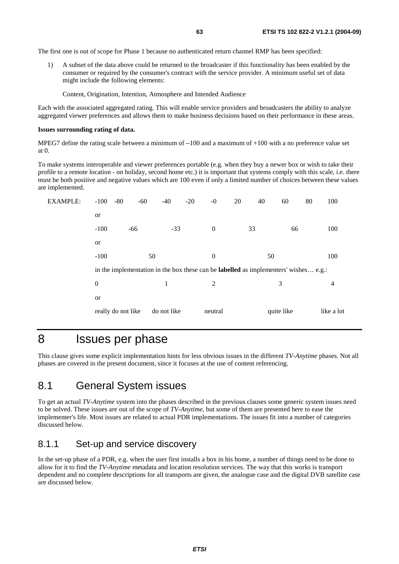The first one is out of scope for Phase 1 because no authenticated return channel RMP has been specified:

1) A subset of the data above could be returned to the broadcaster if this functionality has been enabled by the consumer or required by the consumer's contract with the service provider. A minimum useful set of data might include the following elements:

Content, Origination, Intention, Atmosphere and Intended Audience

Each with the associated aggregated rating. This will enable service providers and broadcasters the ability to analyze aggregated viewer preferences and allows them to make business decisions based on their performance in these areas.

#### **Issues surrounding rating of data.**

MPEG7 define the rating scale between a minimum of  $-100$  and a maximum of  $+100$  with a no preference value set at 0.

 $-100$  and a maximum of  $+100$  with a no preference value set<br>portable (e.g. when they buy a newer box or wish to take their<br>etc.) it is important that systems comply with this scale, i.e. th<br>0 even if only a limited numb To make systems interoperable and viewer preferences portable (e.g. when they buy a newer box or wish to take their profile to a remote location - on holiday, second home etc.) it is important that systems comply with this scale, i.e. there must be both positive and negative values which are 100 even if only a limited number of choices between these values are implemented.

| EXAMPLE: | $-100$<br>$-80$    | $-60$ | $-40$       | $-20$<br>$-0$                                                                               | 20 | 40         | 80<br>60 | 100        |
|----------|--------------------|-------|-------------|---------------------------------------------------------------------------------------------|----|------------|----------|------------|
|          | <b>or</b>          |       |             |                                                                                             |    |            |          |            |
|          | $-100$             | $-66$ | $-33$       | $\theta$                                                                                    | 33 |            | 66       | 100        |
|          | <b>or</b>          |       |             |                                                                                             |    |            |          |            |
|          | $-100$             | 50    |             | $\overline{0}$                                                                              |    | 50         |          | 100        |
|          |                    |       |             | in the implementation in the box these can be <b>labelled</b> as implementers' wishes e.g.: |    |            |          |            |
|          | $\boldsymbol{0}$   |       | 1           | 2                                                                                           |    | 3          |          | 4          |
|          | <b>or</b>          |       |             |                                                                                             |    |            |          |            |
|          | really do not like |       | do not like | neutral                                                                                     |    | quite like |          | like a lot |
|          |                    |       |             |                                                                                             |    |            |          |            |

## 8 Issues per phase

This clause gives some explicit implementation hints for less obvious issues in the different *TV-Anytime* phases. Not all phases are covered in the present document, since it focuses at the use of content referencing.

### 8.1 General System issues

To get an actual *TV-Anytime* system into the phases described in the previous clauses some generic system issues need to be solved. These issues are out of the scope of *TV-Anytime*, but some of them are presented here to ease the implementer's life. Most issues are related to actual PDR implementations. The issues fit into a number of categories discussed below.

### 8.1.1 Set-up and service discovery

In the set-up phase of a PDR, e.g. when the user first installs a box in his home, a number of things need to be done to allow for it to find the *TV-Anytime* metadata and location resolution services. The way that this works is transport dependent and no complete descriptions for all transports are given, the analogue case and the digital DVB satellite case are discussed below.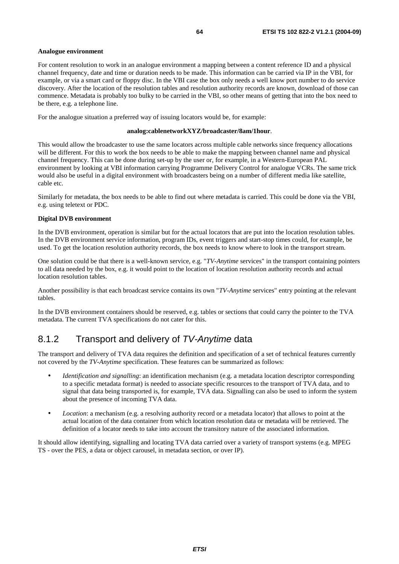#### **Analogue environment**

For content resolution to work in an analogue environment a mapping between a content reference ID and a physical channel frequency, date and time or duration needs to be made. This information can be carried via IP in the VBI, for example, or via a smart card or floppy disc. In the VBI case the box only needs a well know port number to do service discovery. After the location of the resolution tables and resolution authority records are known, download of those can commence. Metadata is probably too bulky to be carried in the VBI, so other means of getting that into the box need to be there, e.g. a telephone line.

For the analogue situation a preferred way of issuing locators would be, for example:

#### **analog:cablenetworkXYZ/broadcaster/8am/1hour**.

This would allow the broadcaster to use the same locators across multiple cable networks since frequency allocations will be different. For this to work the box needs to be able to make the mapping between channel name and physical channel frequency. This can be done during set-up by the user or, for example, in a Western-European PAL environment by looking at VBI information carrying Programme Delivery Control for analogue VCRs. The same trick would also be useful in a digital environment with broadcasters being on a number of different media like satellite, cable etc.

Similarly for metadata, the box needs to be able to find out where metadata is carried. This could be done via the VBI, e.g. using teletext or PDC.

#### **Digital DVB environment**

In the DVB environment, operation is similar but for the actual locators that are put into the location resolution tables. In the DVB environment service information, program IDs, event triggers and start-stop times could, for example, be used. To get the location resolution authority records, the box needs to know where to look in the transport stream.

One solution could be that there is a well-known service, e.g. "*TV-Anytime* services" in the transport containing pointers to all data needed by the box, e.g. it would point to the location of location resolution authority records and actual location resolution tables.

Another possibility is that each broadcast service contains its own "*TV-Anytime* services" entry pointing at the relevant tables.

In the DVB environment containers should be reserved, e.g. tables or sections that could carry the pointer to the TVA metadata. The current TVA specifications do not cater for this.

### 8.1.2 Transport and delivery of TV-Anytime data

The transport and delivery of TVA data requires the definition and specification of a set of technical features currently not covered by the *TV-Anytime* specification. These features can be summarized as follows:

- *Identification and signalling*: an identification mechanism (e.g. a metadata location descriptor corresponding to a specific metadata format) is needed to associate specific resources to the transport of TVA data, and to signal that data being transported is, for example, TVA data. Signalling can also be used to inform the system about the presence of incoming TVA data.
- *Location*: a mechanism (e.g. a resolving authority record or a metadata locator) that allows to point at the actual location of the data container from which location resolution data or metadata will be retrieved. The definition of a locator needs to take into account the transitory nature of the associated information.

It should allow identifying, signalling and locating TVA data carried over a variety of transport systems (e.g. MPEG TS - over the PES, a data or object carousel, in metadata section, or over IP).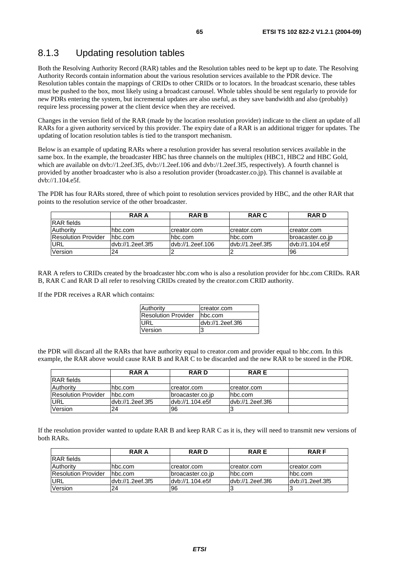### 8.1.3 Updating resolution tables

Both the Resolving Authority Record (RAR) tables and the Resolution tables need to be kept up to date. The Resolving Authority Records contain information about the various resolution services available to the PDR device. The Resolution tables contain the mappings of CRIDs to other CRIDs or to locators. In the broadcast scenario, these tables must be pushed to the box, most likely using a broadcast carousel. Whole tables should be sent regularly to provide for new PDRs entering the system, but incremental updates are also useful, as they save bandwidth and also (probably) require less processing power at the client device when they are received.

Changes in the version field of the RAR (made by the location resolution provider) indicate to the client an update of all RARs for a given authority serviced by this provider. The expiry date of a RAR is an additional trigger for updates. The updating of location resolution tables is tied to the transport mechanism.

Below is an example of updating RARs where a resolution provider has several resolution services available in the same box. In the example, the broadcaster HBC has three channels on the multiplex (HBC1, HBC2 and HBC Gold, which are available on dvb://1.2eef.3f5, dvb://1.2eef.106 and dvb://1.2eef.3f5, respectively). A fourth channel is provided by another broadcaster who is also a resolution provider (broadcaster.co.jp). This channel is available at dvb://1.104.e5f.

The PDR has four RARs stored, three of which point to resolution services provided by HBC, and the other RAR that points to the resolution service of the other broadcaster.

|                     | <b>RAR A</b>     | <b>RARB</b>      | <b>RAR C</b>      | <b>RARD</b>      |
|---------------------|------------------|------------------|-------------------|------------------|
| <b>IRAR</b> fields  |                  |                  |                   |                  |
| Authority           | hbc.com          | creator.com      | creator.com       | creator.com      |
| Resolution Provider | Thbc.com         | lhbc.com         | lhbc.com          | broacaster.co.jp |
| <b>URL</b>          | dyb://1.2eef.3f5 | dyb://1.2eef.106 | ldyb://1.2eef.3f5 | dyb://1.104.e5f  |
| Version             | 24               |                  |                   | <b>96</b>        |

RAR A refers to CRIDs created by the broadcaster hbc.com who is also a resolution provider for hbc.com CRIDs. RAR B, RAR C and RAR D all refer to resolving CRIDs created by the creator.com CRID authority.

If the PDR receives a RAR which contains:

| Authority                  | creator.com      |
|----------------------------|------------------|
| <b>Resolution Provider</b> | hbc.com          |
| <b>IURL</b>                | dvb://1.2eef.3f6 |
| Version                    | 3                |

the PDR will discard all the RARs that have authority equal to creator.com and provider equal to hbc.com. In this example, the RAR above would cause RAR B and RAR C to be discarded and the new RAR to be stored in the PDR.

|                     | RAR A            | <b>RARD</b>      | <b>RARE</b>                    |  |
|---------------------|------------------|------------------|--------------------------------|--|
| IRAR fields         |                  |                  |                                |  |
| Authority           | Thbc.com         | creator.com      | creator.com                    |  |
| Resolution Provider | Ihbc.com         | broacaster.co.jp | lhbc.com                       |  |
| URL                 | dyb://1.2eef.3f5 | dyb://1.104.e5f  | $\frac{1}{2}$ dvb://1.2eef.3f6 |  |
| Version             | 24               | 196              |                                |  |

If the resolution provider wanted to update RAR B and keep RAR C as it is, they will need to transmit new versions of both RARs.

|                            | <b>RAR A</b>     | <b>RARD</b>      | <b>RARE</b>                    | <b>RARF</b>      |
|----------------------------|------------------|------------------|--------------------------------|------------------|
| RAR fields                 |                  |                  |                                |                  |
| Authority                  | hbc.com          | creator.com      | creator.com                    | creator.com      |
| <b>Resolution Provider</b> | Thbc.com         | broacaster.co.jp | hbc.com                        | hbc.com          |
| URL                        | dyb://1.2eef.3f5 | dyb://1.104.e5f  | $\frac{1}{2}$ dvb://1.2eef.3f6 | dyb://1.2eef.3f5 |
| Version                    | 24               | 196              |                                |                  |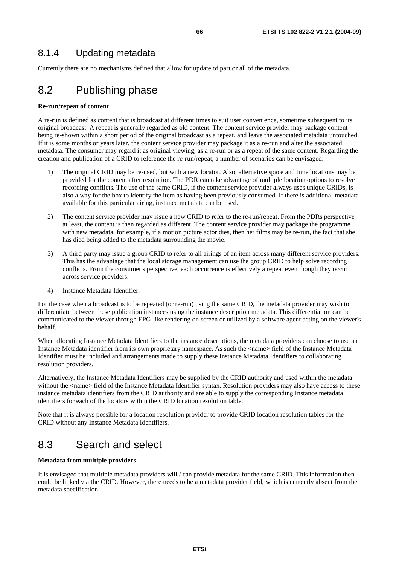Currently there are no mechanisms defined that allow for update of part or all of the metadata.

# 8.2 Publishing phase

#### **Re-run/repeat of content**

A re-run is defined as content that is broadcast at different times to suit user convenience, sometime subsequent to its original broadcast. A repeat is generally regarded as old content. The content service provider may package content being re-shown within a short period of the original broadcast as a repeat, and leave the associated metadata untouched. If it is some months or years later, the content service provider may package it as a re-run and alter the associated metadata. The consumer may regard it as original viewing, as a re-run or as a repeat of the same content. Regarding the creation and publication of a CRID to reference the re-run/repeat, a number of scenarios can be envisaged:

- 1) The original CRID may be re-used, but with a new locator. Also, alternative space and time locations may be provided for the content after resolution. The PDR can take advantage of multiple location options to resolve recording conflicts. The use of the same CRID, if the content service provider always uses unique CRIDs, is also a way for the box to identify the item as having been previously consumed. If there is additional metadata available for this particular airing, instance metadata can be used.
- 2) The content service provider may issue a new CRID to refer to the re-run/repeat. From the PDRs perspective at least, the content is then regarded as different. The content service provider may package the programme with new metadata, for example, if a motion picture actor dies, then her films may be re-run, the fact that she has died being added to the metadata surrounding the movie.
- 3) A third party may issue a group CRID to refer to all airings of an item across many different service providers. This has the advantage that the local storage management can use the group CRID to help solve recording conflicts. From the consumer's perspective, each occurrence is effectively a repeat even though they occur across service providers.
- 4) Instance Metadata Identifier.

For the case when a broadcast is to be repeated (or re-run) using the same CRID, the metadata provider may wish to differentiate between these publication instances using the instance description metadata. This differentiation can be communicated to the viewer through EPG-like rendering on screen or utilized by a software agent acting on the viewer's behalf.

When allocating Instance Metadata Identifiers to the instance descriptions, the metadata providers can choose to use an Instance Metadata identifier from its own proprietary namespace. As such the <name> field of the Instance Metadata Identifier must be included and arrangements made to supply these Instance Metadata Identifiers to collaborating resolution providers.

Alternatively, the Instance Metadata Identifiers may be supplied by the CRID authority and used within the metadata without the <name> field of the Instance Metadata Identifier syntax. Resolution providers may also have access to these instance metadata identifiers from the CRID authority and are able to supply the corresponding Instance metadata identifiers for each of the locators within the CRID location resolution table.

Note that it is always possible for a location resolution provider to provide CRID location resolution tables for the CRID without any Instance Metadata Identifiers.

## 8.3 Search and select

#### **Metadata from multiple providers**

It is envisaged that multiple metadata providers will / can provide metadata for the same CRID. This information then could be linked via the CRID. However, there needs to be a metadata provider field, which is currently absent from the metadata specification.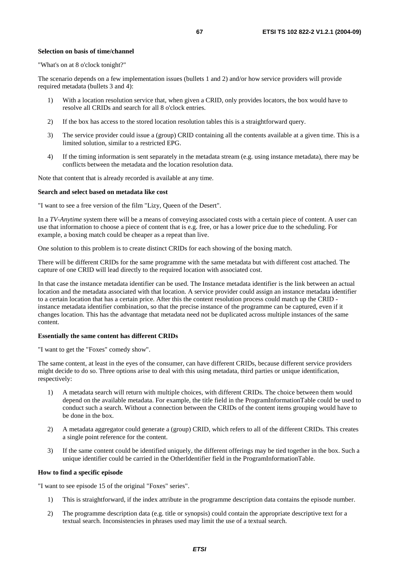#### **Selection on basis of time/channel**

"What's on at 8 o'clock tonight?"

The scenario depends on a few implementation issues (bullets 1 and 2) and/or how service providers will provide required metadata (bullets 3 and 4):

- 1) With a location resolution service that, when given a CRID, only provides locators, the box would have to resolve all CRIDs and search for all 8 o'clock entries.
- 2) If the box has access to the stored location resolution tables this is a straightforward query.
- 3) The service provider could issue a (group) CRID containing all the contents available at a given time. This is a limited solution, similar to a restricted EPG.
- 4) If the timing information is sent separately in the metadata stream (e.g. using instance metadata), there may be conflicts between the metadata and the location resolution data.

Note that content that is already recorded is available at any time.

#### **Search and select based on metadata like cost**

"I want to see a free version of the film "Lizy, Queen of the Desert".

In a *TV-Anytime* system there will be a means of conveying associated costs with a certain piece of content. A user can use that information to choose a piece of content that is e.g. free, or has a lower price due to the scheduling. For example, a boxing match could be cheaper as a repeat than live.

One solution to this problem is to create distinct CRIDs for each showing of the boxing match.

There will be different CRIDs for the same programme with the same metadata but with different cost attached. The capture of one CRID will lead directly to the required location with associated cost.

In that case the instance metadata identifier can be used. The Instance metadata identifier is the link between an actual location and the metadata associated with that location. A service provider could assign an instance metadata identifier to a certain location that has a certain price. After this the content resolution process could match up the CRID instance metadata identifier combination, so that the precise instance of the programme can be captured, even if it changes location. This has the advantage that metadata need not be duplicated across multiple instances of the same content.

#### **Essentially the same content has different CRIDs**

"I want to get the "Foxes" comedy show".

The same content, at least in the eyes of the consumer, can have different CRIDs, because different service providers might decide to do so. Three options arise to deal with this using metadata, third parties or unique identification, respectively:

- 1) A metadata search will return with multiple choices, with different CRIDs. The choice between them would depend on the available metadata. For example, the title field in the ProgramInformationTable could be used to conduct such a search. Without a connection between the CRIDs of the content items grouping would have to be done in the box.
- 2) A metadata aggregator could generate a (group) CRID, which refers to all of the different CRIDs. This creates a single point reference for the content.
- 3) If the same content could be identified uniquely, the different offerings may be tied together in the box. Such a unique identifier could be carried in the OtherIdentifier field in the ProgramInformationTable.

#### **How to find a specific episode**

"I want to see episode 15 of the original "Foxes" series".

- 1) This is straightforward, if the index attribute in the programme description data contains the episode number.
- 2) The programme description data (e.g. title or synopsis) could contain the appropriate descriptive text for a textual search. Inconsistencies in phrases used may limit the use of a textual search.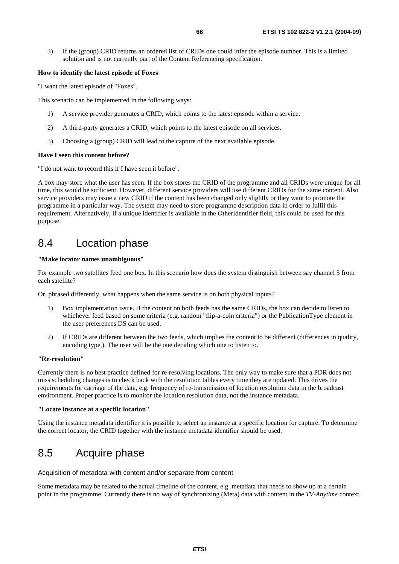3) If the (group) CRID returns an ordered list of CRIDs one could infer the episode number. This is a limited solution and is not currently part of the Content Referencing specification.

#### **How to identify the latest episode of Foxes**

"I want the latest episode of "Foxes".

This scenario can be implemented in the following ways:

- 1) A service provider generates a CRID, which points to the latest episode within a service.
- 2) A third-party generates a CRID, which points to the latest episode on all services.
- 3) Choosing a (group) CRID will lead to the capture of the next available episode.

#### **Have I seen this content before?**

"I do not want to record this if I have seen it before".

A box may store what the user has seen. If the box stores the CRID of the programme and all CRIDs were unique for all time, this would be sufficient. However, different service providers will use different CRIDs for the same content. Also service providers may issue a new CRID if the content has been changed only slightly or they want to promote the programme in a particular way. The system may need to store programme description data in order to fulfil this requirement. Alternatively, if a unique identifier is available in the OtherIdentifier field, this could be used for this purpose.

### 8.4 Location phase

#### **"Make locator names unambiguous"**

For example two satellites feed one box. In this scenario how does the system distinguish between say channel 5 from each satellite?

Or, phrased differently, what happens when the same service is on both physical inputs?

- 1) Box implementation issue. If the content on both feeds has the same CRIDs, the box can decide to listen to whichever feed based on some criteria (e.g. random "flip-a-coin criteria") or the PublicationType element in the user preferences DS can be used.
- 2) If CRIDs are different between the two feeds, which implies the content to be different (differences in quality, encoding type,). The user will be the one deciding which one to listen to.

#### **"Re-resolution"**

Currently there is no best practice defined for re-resolving locations. The only way to make sure that a PDR does not miss scheduling changes is to check back with the resolution tables every time they are updated. This drives the requirements for carriage of the data, e.g. frequency of re-transmission of location resolution data in the broadcast environment. Proper practice is to monitor the location resolution data, not the instance metadata.

#### **"Locate instance at a specific location"**

Using the instance metadata identifier it is possible to select an instance at a specific location for capture. To determine the correct locator, the CRID together with the instance metadata identifier should be used.

## 8.5 Acquire phase

#### Acquisition of metadata with content and/or separate from content

Some metadata may be related to the actual timeline of the content, e.g. metadata that needs to show up at a certain point in the programme. Currently there is no way of synchronizing (Meta) data with content in the *TV-Anytime* context.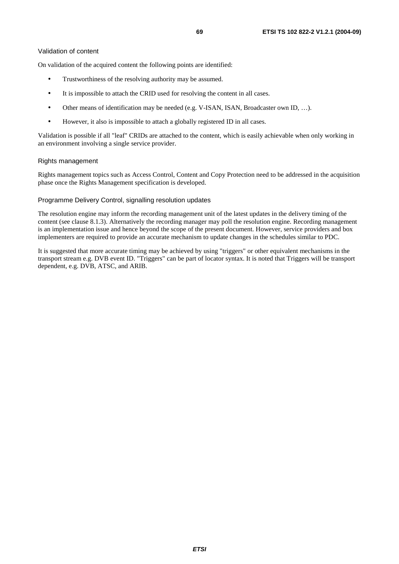On validation of the acquired content the following points are identified:

- Trustworthiness of the resolving authority may be assumed.
- It is impossible to attach the CRID used for resolving the content in all cases.
- Other means of identification may be needed (e.g. V-ISAN, ISAN, Broadcaster own ID, …).
- However, it also is impossible to attach a globally registered ID in all cases.

Validation is possible if all "leaf" CRIDs are attached to the content, which is easily achievable when only working in an environment involving a single service provider.

#### Rights management

Rights management topics such as Access Control, Content and Copy Protection need to be addressed in the acquisition phase once the Rights Management specification is developed.

#### Programme Delivery Control, signalling resolution updates

The resolution engine may inform the recording management unit of the latest updates in the delivery timing of the content (see clause 8.1.3). Alternatively the recording manager may poll the resolution engine. Recording management is an implementation issue and hence beyond the scope of the present document. However, service providers and box implementers are required to provide an accurate mechanism to update changes in the schedules similar to PDC.

It is suggested that more accurate timing may be achieved by using "triggers" or other equivalent mechanisms in the transport stream e.g. DVB event ID. "Triggers" can be part of locator syntax. It is noted that Triggers will be transport dependent, e.g. DVB, ATSC, and ARIB.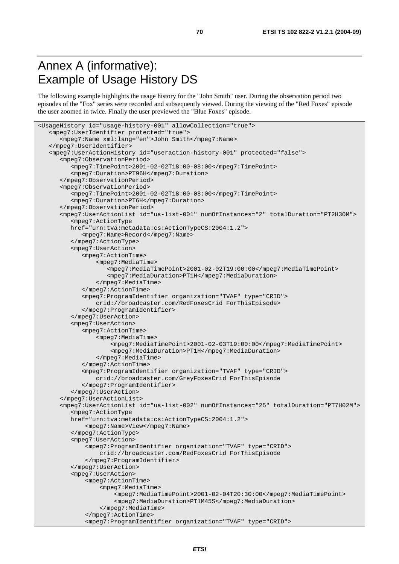# Annex A (informative): Example of Usage History DS

The following example highlights the usage history for the "John Smith" user. During the observation period two episodes of the "Fox" series were recorded and subsequently viewed. During the viewing of the "Red Foxes" episode the user zoomed in twice. Finally the user previewed the "Blue Foxes" episode.

```
<UsageHistory id="usage-history-001" allowCollection="true"> 
    <mpeg7:UserIdentifier protected="true"> 
       <mpeg7:Name xml:lang="en">John Smith</mpeg7:Name> 
    </mpeg7:UserIdentifier> 
    <mpeg7:UserActionHistory id="useraction-history-001" protected="false"> 
       <mpeg7:ObservationPeriod> 
          <mpeg7:TimePoint>2001-02-02T18:00-08:00</mpeg7:TimePoint> 
          <mpeg7:Duration>PT96H</mpeg7:Duration> 
       </mpeg7:ObservationPeriod> 
       <mpeg7:ObservationPeriod> 
          <mpeg7:TimePoint>2001-02-02T18:00-08:00</mpeg7:TimePoint> 
          <mpeg7:Duration>PT6H</mpeg7:Duration> 
       </mpeg7:ObservationPeriod> 
       <mpeg7:UserActionList id="ua-list-001" numOfInstances="2" totalDuration="PT2H30M"> 
          <mpeg7:ActionType 
          href="urn:tva:metadata:cs:ActionTypeCS:2004:1.2"> 
             <mpeg7:Name>Record</mpeg7:Name> 
          </mpeg7:ActionType> 
          <mpeg7:UserAction> 
             <mpeg7:ActionTime> 
                  <mpeg7:MediaTime> 
                     <mpeg7:MediaTimePoint>2001-02-02T19:00:00</mpeg7:MediaTimePoint> 
                     <mpeg7:MediaDuration>PT1H</mpeg7:MediaDuration> 
                  </mpeg7:MediaTime> 
             </mpeg7:ActionTime> 
              <mpeg7:ProgramIdentifier organization="TVAF" type="CRID"> 
                  crid://broadcaster.com/RedFoxesCrid ForThisEpisode> 
             </mpeg7:ProgramIdentifier> 
          </mpeg7:UserAction> 
          <mpeg7:UserAction> 
             <mpeg7:ActionTime> 
                  <mpeg7:MediaTime> 
                      <mpeg7:MediaTimePoint>2001-02-03T19:00:00</mpeg7:MediaTimePoint> 
                      <mpeg7:MediaDuration>PT1H</mpeg7:MediaDuration> 
                  </mpeg7:MediaTime> 
             </mpeg7:ActionTime> 
             <mpeg7:ProgramIdentifier organization="TVAF" type="CRID"> 
                  crid://broadcaster.com/GreyFoxesCrid ForThisEpisode 
             </mpeg7:ProgramIdentifier> 
          </mpeg7:UserAction> 
       </mpeg7:UserActionList> 
       <mpeg7:UserActionList id="ua-list-002" numOfInstances="25" totalDuration="PT7H02M"> 
          <mpeg7:ActionType 
          href="urn:tva:metadata:cs:ActionTypeCS:2004:1.2"> 
              <mpeg7:Name>View</mpeg7:Name> 
          </mpeg7:ActionType> 
          <mpeg7:UserAction> 
              <mpeg7:ProgramIdentifier organization="TVAF" type="CRID"> 
                   crid://broadcaster.com/RedFoxesCrid ForThisEpisode 
              </mpeg7:ProgramIdentifier> 
          </mpeg7:UserAction> 
          <mpeg7:UserAction> 
              <mpeg7:ActionTime> 
                   <mpeg7:MediaTime> 
                       <mpeg7:MediaTimePoint>2001-02-04T20:30:00</mpeg7:MediaTimePoint> 
                       <mpeg7:MediaDuration>PT1M45S</mpeg7:MediaDuration> 
                   </mpeg7:MediaTime> 
              </mpeg7:ActionTime> 
               <mpeg7:ProgramIdentifier organization="TVAF" type="CRID">
```
**ETSI**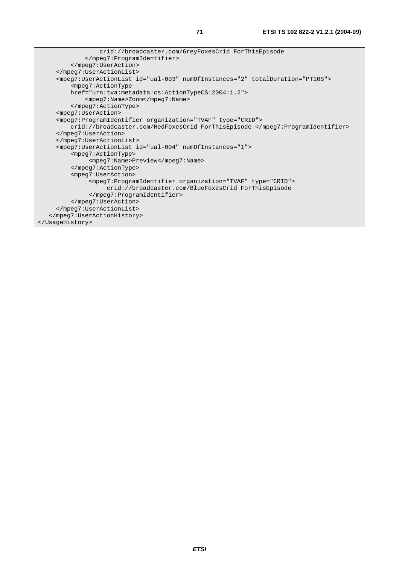```
 crid://broadcaster.com/GreyFoxesCrid ForThisEpisode 
              </mpeg7:ProgramIdentifier> 
          </mpeg7:UserAction> 
      </mpeg7:UserActionList> 
      <mpeg7:UserActionList id="ual-003" numOfInstances="2" totalDuration="PT10S"> 
          <mpeg7:ActionType 
          href="urn:tva:metadata:cs:ActionTypeCS:2004:1.2"> 
              <mpeg7:Name>Zoom</mpeg7:Name> 
          </mpeg7:ActionType> 
      <mpeg7:UserAction> 
      <mpeg7:ProgramIdentifier organization="TVAF" type="CRID"> 
          crid://broadcaster.com/RedFoxesCrid ForThisEpisode </mpeg7:ProgramIdentifier> 
      </mpeg7:UserAction> 
      </mpeg7:UserActionList> 
      <mpeg7:UserActionList id="ual-004" numOfInstances="1"> 
          <mpeg7:ActionType> 
                <mpeg7:Name>Preview</mpeg7:Name> 
          </mpeg7:ActionType> 
          <mpeg7:UserAction> 
               <mpeg7:ProgramIdentifier organization="TVAF" type="CRID"> 
                    crid://broadcaster.com/BlueFoxesCrid ForThisEpisode 
               </mpeg7:ProgramIdentifier> 
          </mpeg7:UserAction> 
      </mpeg7:UserActionList> 
    </mpeg7:UserActionHistory> 
</UsageHistory>
```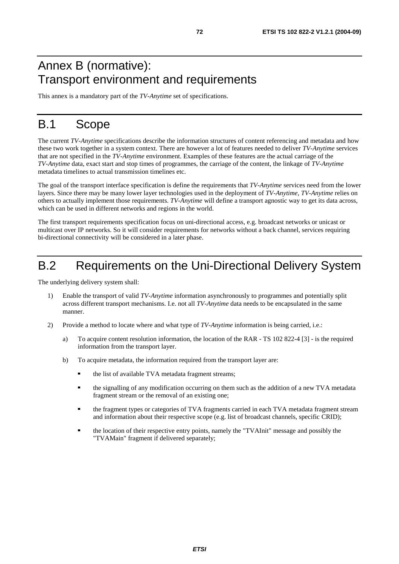# Annex B (normative): Transport environment and requirements

This annex is a mandatory part of the *TV-Anytime* set of specifications.

# B.1 Scope

The current *TV-Anytime* specifications describe the information structures of content referencing and metadata and how these two work together in a system context. There are however a lot of features needed to deliver *TV-Anytime* services that are not specified in the *TV-Anytime* environment. Examples of these features are the actual carriage of the *TV-Anytime* data, exact start and stop times of programmes, the carriage of the content, the linkage of *TV-Anytime* metadata timelines to actual transmission timelines etc.

The goal of the transport interface specification is define the requirements that *TV-Anytime* services need from the lower layers. Since there may be many lower layer technologies used in the deployment of *TV-Anytime*, *TV-Anytime* relies on others to actually implement those requirements. *TV-Anytime* will define a transport agnostic way to get its data across, which can be used in different networks and regions in the world.

The first transport requirements specification focus on uni-directional access, e.g. broadcast networks or unicast or multicast over IP networks. So it will consider requirements for networks without a back channel, services requiring bi-directional connectivity will be considered in a later phase.

# B.2 Requirements on the Uni-Directional Delivery System

The underlying delivery system shall:

- 1) Enable the transport of valid *TV-Anytime* information asynchronously to programmes and potentially split across different transport mechanisms. I.e. not all *TV-Anytime* data needs to be encapsulated in the same manner.
- 2) Provide a method to locate where and what type of *TV-Anytime* information is being carried, i.e.:
	- a) To acquire content resolution information, the location of the RAR TS 102 822-4 [3] is the required information from the transport layer.
	- b) To acquire metadata, the information required from the transport layer are:
		- the list of available TVA metadata fragment streams;
		- the signalling of any modification occurring on them such as the addition of a new TVA metadata fragment stream or the removal of an existing one;
		- the fragment types or categories of TVA fragments carried in each TVA metadata fragment stream and information about their respective scope (e.g. list of broadcast channels, specific CRID);
		- the location of their respective entry points, namely the "TVAInit" message and possibly the "TVAMain" fragment if delivered separately;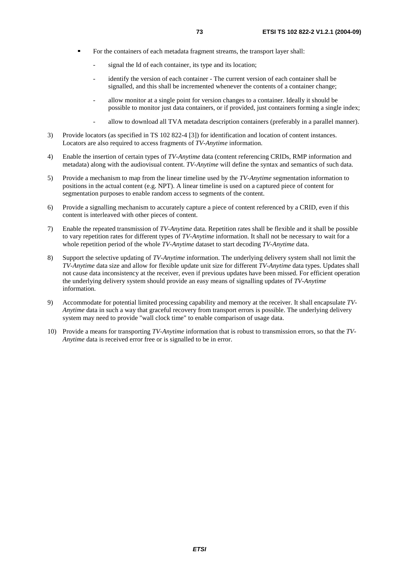- For the containers of each metadata fragment streams, the transport layer shall:
	- signal the Id of each container, its type and its location;
	- identify the version of each container The current version of each container shall be signalled, and this shall be incremented whenever the contents of a container change;
	- allow monitor at a single point for version changes to a container. Ideally it should be possible to monitor just data containers, or if provided, just containers forming a single index;
	- allow to download all TVA metadata description containers (preferably in a parallel manner).
- 3) Provide locators (as specified in TS 102 822-4 [3]) for identification and location of content instances. Locators are also required to access fragments of *TV-Anytime* information.
- 4) Enable the insertion of certain types of *TV-Anytime* data (content referencing CRIDs, RMP information and metadata) along with the audiovisual content. *TV-Anytime* will define the syntax and semantics of such data.
- 5) Provide a mechanism to map from the linear timeline used by the *TV-Anytime* segmentation information to positions in the actual content (e.g. NPT). A linear timeline is used on a captured piece of content for segmentation purposes to enable random access to segments of the content.
- 6) Provide a signalling mechanism to accurately capture a piece of content referenced by a CRID, even if this content is interleaved with other pieces of content.
- 7) Enable the repeated transmission of *TV-Anytime* data. Repetition rates shall be flexible and it shall be possible to vary repetition rates for different types of *TV-Anytime* information. It shall not be necessary to wait for a whole repetition period of the whole *TV-Anytime* dataset to start decoding *TV-Anytime* data.
- 8) Support the selective updating of *TV-Anytime* information. The underlying delivery system shall not limit the *TV-Anytime* data size and allow for flexible update unit size for different *TV-Anytime* data types. Updates shall not cause data inconsistency at the receiver, even if previous updates have been missed. For efficient operation the underlying delivery system should provide an easy means of signalling updates of *TV-Anytime* information.
- 9) Accommodate for potential limited processing capability and memory at the receiver. It shall encapsulate *TV-Anytime* data in such a way that graceful recovery from transport errors is possible. The underlying delivery system may need to provide "wall clock time" to enable comparison of usage data.
- 10) Provide a means for transporting *TV-Anytime* information that is robust to transmission errors, so that the *TV-Anytime* data is received error free or is signalled to be in error.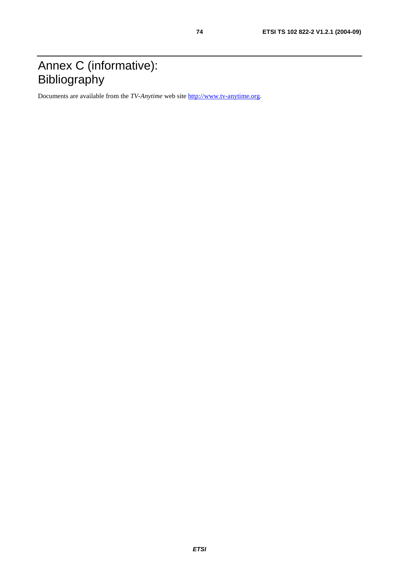## Annex C (informative): **Bibliography**

Documents are available from the *TV-Anytime* web site [http://www.tv-anytime.org](http://www.tv-anytime.org/).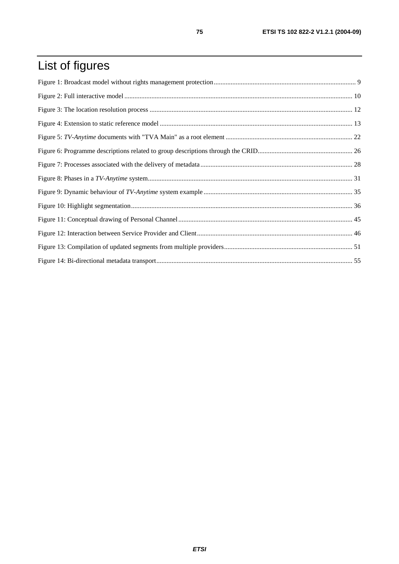## List of figures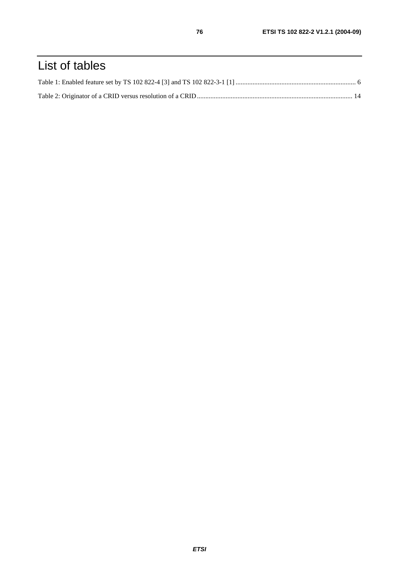## List of tables